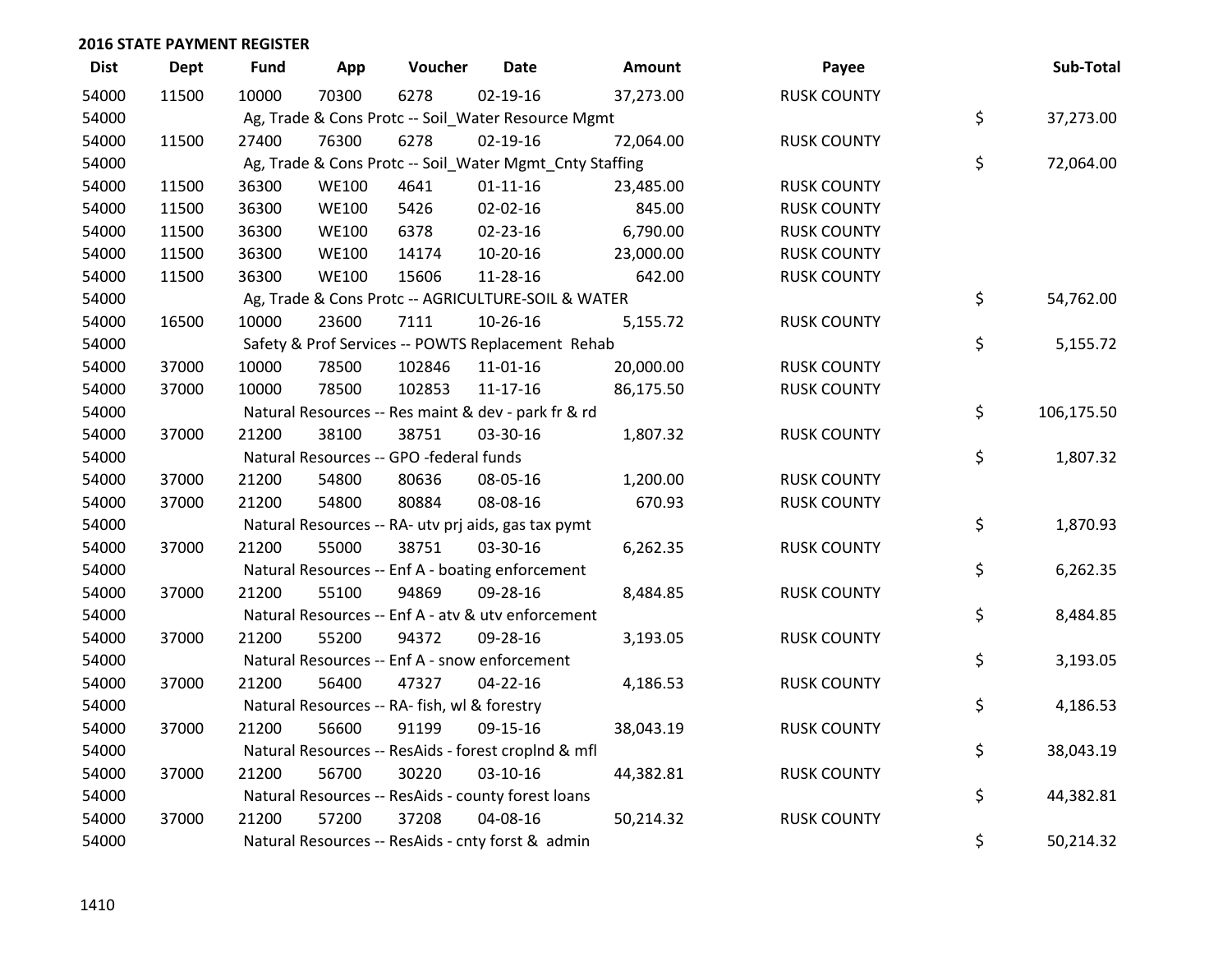| <b>Dist</b> | <b>Dept</b> | <b>Fund</b> | App          | Voucher                                      | <b>Date</b>                                             | Amount    | Payee              | Sub-Total        |
|-------------|-------------|-------------|--------------|----------------------------------------------|---------------------------------------------------------|-----------|--------------------|------------------|
| 54000       | 11500       | 10000       | 70300        | 6278                                         | 02-19-16                                                | 37,273.00 | <b>RUSK COUNTY</b> |                  |
| 54000       |             |             |              |                                              | Ag, Trade & Cons Protc -- Soil_Water Resource Mgmt      |           |                    | \$<br>37,273.00  |
| 54000       | 11500       | 27400       | 76300        | 6278                                         | $02 - 19 - 16$                                          | 72,064.00 | <b>RUSK COUNTY</b> |                  |
| 54000       |             |             |              |                                              | Ag, Trade & Cons Protc -- Soil_Water Mgmt_Cnty Staffing |           |                    | \$<br>72,064.00  |
| 54000       | 11500       | 36300       | <b>WE100</b> | 4641                                         | $01 - 11 - 16$                                          | 23,485.00 | <b>RUSK COUNTY</b> |                  |
| 54000       | 11500       | 36300       | <b>WE100</b> | 5426                                         | 02-02-16                                                | 845.00    | <b>RUSK COUNTY</b> |                  |
| 54000       | 11500       | 36300       | <b>WE100</b> | 6378                                         | 02-23-16                                                | 6,790.00  | <b>RUSK COUNTY</b> |                  |
| 54000       | 11500       | 36300       | <b>WE100</b> | 14174                                        | 10-20-16                                                | 23,000.00 | <b>RUSK COUNTY</b> |                  |
| 54000       | 11500       | 36300       | <b>WE100</b> | 15606                                        | 11-28-16                                                | 642.00    | <b>RUSK COUNTY</b> |                  |
| 54000       |             |             |              |                                              | Ag, Trade & Cons Protc -- AGRICULTURE-SOIL & WATER      |           |                    | \$<br>54,762.00  |
| 54000       | 16500       | 10000       | 23600        | 7111                                         | 10-26-16                                                | 5,155.72  | <b>RUSK COUNTY</b> |                  |
| 54000       |             |             |              |                                              | Safety & Prof Services -- POWTS Replacement Rehab       |           |                    | \$<br>5,155.72   |
| 54000       | 37000       | 10000       | 78500        | 102846                                       | 11-01-16                                                | 20,000.00 | <b>RUSK COUNTY</b> |                  |
| 54000       | 37000       | 10000       | 78500        | 102853                                       | 11-17-16                                                | 86,175.50 | <b>RUSK COUNTY</b> |                  |
| 54000       |             |             |              |                                              | Natural Resources -- Res maint & dev - park fr & rd     |           |                    | \$<br>106,175.50 |
| 54000       | 37000       | 21200       | 38100        | 38751                                        | 03-30-16                                                | 1,807.32  | <b>RUSK COUNTY</b> |                  |
| 54000       |             |             |              | Natural Resources -- GPO -federal funds      |                                                         |           |                    | \$<br>1,807.32   |
| 54000       | 37000       | 21200       | 54800        | 80636                                        | 08-05-16                                                | 1,200.00  | <b>RUSK COUNTY</b> |                  |
| 54000       | 37000       | 21200       | 54800        | 80884                                        | 08-08-16                                                | 670.93    | <b>RUSK COUNTY</b> |                  |
| 54000       |             |             |              |                                              | Natural Resources -- RA- utv prj aids, gas tax pymt     |           |                    | \$<br>1,870.93   |
| 54000       | 37000       | 21200       | 55000        | 38751                                        | 03-30-16                                                | 6,262.35  | <b>RUSK COUNTY</b> |                  |
| 54000       |             |             |              |                                              | Natural Resources -- Enf A - boating enforcement        |           |                    | \$<br>6,262.35   |
| 54000       | 37000       | 21200       | 55100        | 94869                                        | 09-28-16                                                | 8,484.85  | <b>RUSK COUNTY</b> |                  |
| 54000       |             |             |              |                                              | Natural Resources -- Enf A - atv & utv enforcement      |           |                    | \$<br>8,484.85   |
| 54000       | 37000       | 21200       | 55200        | 94372                                        | 09-28-16                                                | 3,193.05  | <b>RUSK COUNTY</b> |                  |
| 54000       |             |             |              |                                              | Natural Resources -- Enf A - snow enforcement           |           |                    | \$<br>3,193.05   |
| 54000       | 37000       | 21200       | 56400        | 47327                                        | $04 - 22 - 16$                                          | 4,186.53  | <b>RUSK COUNTY</b> |                  |
| 54000       |             |             |              | Natural Resources -- RA- fish, wl & forestry |                                                         |           |                    | \$<br>4,186.53   |
| 54000       | 37000       | 21200       | 56600        | 91199                                        | 09-15-16                                                | 38,043.19 | <b>RUSK COUNTY</b> |                  |
| 54000       |             |             |              |                                              | Natural Resources -- ResAids - forest croplnd & mfl     |           |                    | \$<br>38,043.19  |
| 54000       | 37000       | 21200       | 56700        | 30220                                        | 03-10-16                                                | 44,382.81 | <b>RUSK COUNTY</b> |                  |
| 54000       |             |             |              |                                              | Natural Resources -- ResAids - county forest loans      |           |                    | \$<br>44,382.81  |
| 54000       | 37000       | 21200       | 57200        | 37208                                        | 04-08-16                                                | 50,214.32 | <b>RUSK COUNTY</b> |                  |
| 54000       |             |             |              |                                              | Natural Resources -- ResAids - cnty forst & admin       |           |                    | \$<br>50,214.32  |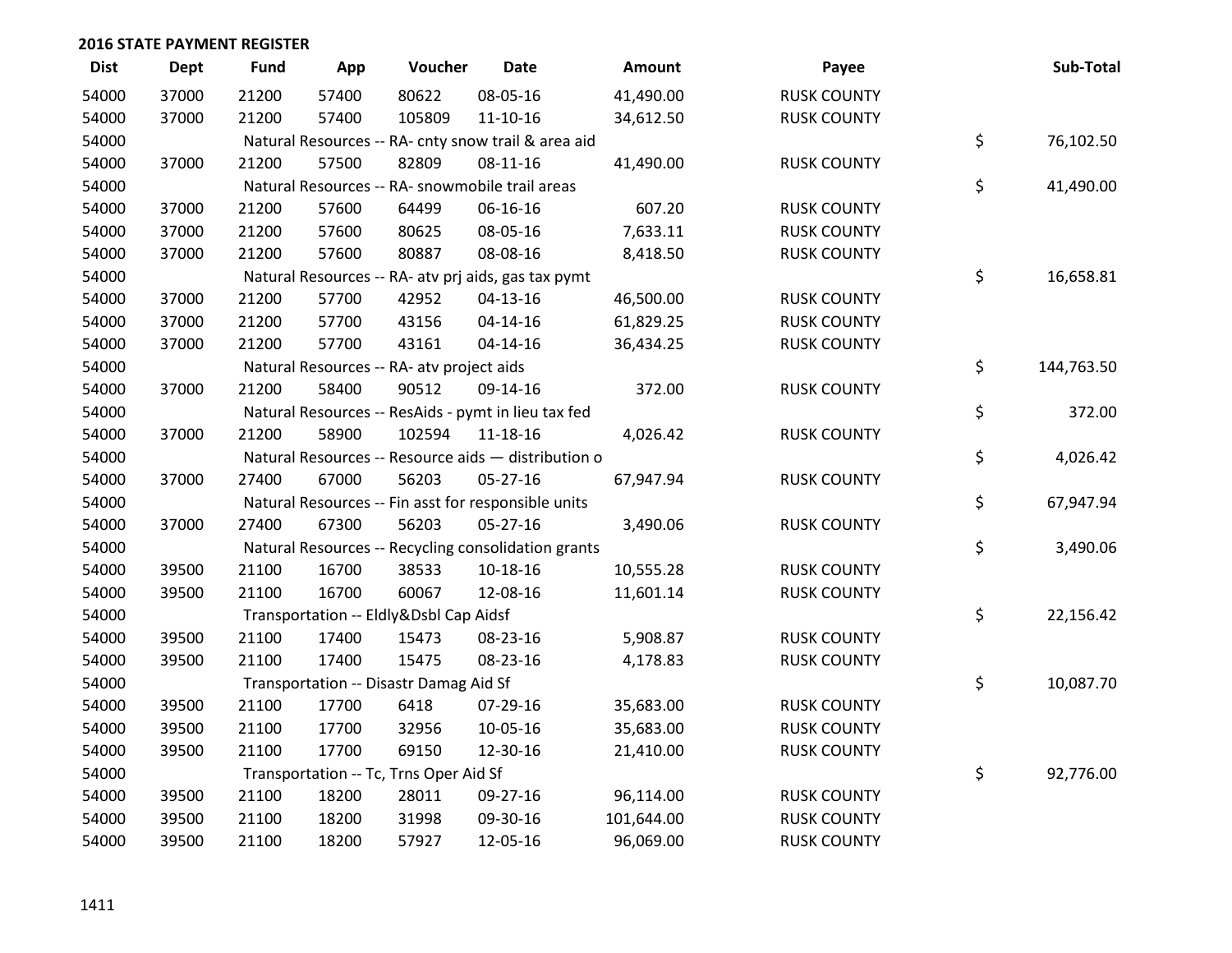| <b>Dist</b> | Dept  | <b>Fund</b> | App   | Voucher                                             | <b>Date</b>    | Amount     | Payee              | Sub-Total        |
|-------------|-------|-------------|-------|-----------------------------------------------------|----------------|------------|--------------------|------------------|
| 54000       | 37000 | 21200       | 57400 | 80622                                               | 08-05-16       | 41,490.00  | <b>RUSK COUNTY</b> |                  |
| 54000       | 37000 | 21200       | 57400 | 105809                                              | $11 - 10 - 16$ | 34,612.50  | <b>RUSK COUNTY</b> |                  |
| 54000       |       |             |       | Natural Resources -- RA- cnty snow trail & area aid |                |            |                    | \$<br>76,102.50  |
| 54000       | 37000 | 21200       | 57500 | 82809                                               | $08-11-16$     | 41,490.00  | <b>RUSK COUNTY</b> |                  |
| 54000       |       |             |       | Natural Resources -- RA- snowmobile trail areas     |                |            |                    | \$<br>41,490.00  |
| 54000       | 37000 | 21200       | 57600 | 64499                                               | 06-16-16       | 607.20     | <b>RUSK COUNTY</b> |                  |
| 54000       | 37000 | 21200       | 57600 | 80625                                               | 08-05-16       | 7,633.11   | <b>RUSK COUNTY</b> |                  |
| 54000       | 37000 | 21200       | 57600 | 80887                                               | 08-08-16       | 8,418.50   | <b>RUSK COUNTY</b> |                  |
| 54000       |       |             |       | Natural Resources -- RA- atv prj aids, gas tax pymt |                |            |                    | \$<br>16,658.81  |
| 54000       | 37000 | 21200       | 57700 | 42952                                               | $04 - 13 - 16$ | 46,500.00  | <b>RUSK COUNTY</b> |                  |
| 54000       | 37000 | 21200       | 57700 | 43156                                               | $04 - 14 - 16$ | 61,829.25  | <b>RUSK COUNTY</b> |                  |
| 54000       | 37000 | 21200       | 57700 | 43161                                               | $04 - 14 - 16$ | 36,434.25  | <b>RUSK COUNTY</b> |                  |
| 54000       |       |             |       | Natural Resources -- RA- atv project aids           |                |            |                    | \$<br>144,763.50 |
| 54000       | 37000 | 21200       | 58400 | 90512                                               | 09-14-16       | 372.00     | <b>RUSK COUNTY</b> |                  |
| 54000       |       |             |       | Natural Resources -- ResAids - pymt in lieu tax fed |                |            |                    | \$<br>372.00     |
| 54000       | 37000 | 21200       | 58900 | 102594                                              | 11-18-16       | 4,026.42   | <b>RUSK COUNTY</b> |                  |
| 54000       |       |             |       | Natural Resources -- Resource aids - distribution o |                |            |                    | \$<br>4,026.42   |
| 54000       | 37000 | 27400       | 67000 | 56203                                               | $05 - 27 - 16$ | 67,947.94  | <b>RUSK COUNTY</b> |                  |
| 54000       |       |             |       | Natural Resources -- Fin asst for responsible units |                |            |                    | \$<br>67,947.94  |
| 54000       | 37000 | 27400       | 67300 | 56203                                               | $05 - 27 - 16$ | 3,490.06   | <b>RUSK COUNTY</b> |                  |
| 54000       |       |             |       | Natural Resources -- Recycling consolidation grants |                |            |                    | \$<br>3,490.06   |
| 54000       | 39500 | 21100       | 16700 | 38533                                               | 10-18-16       | 10,555.28  | <b>RUSK COUNTY</b> |                  |
| 54000       | 39500 | 21100       | 16700 | 60067                                               | 12-08-16       | 11,601.14  | <b>RUSK COUNTY</b> |                  |
| 54000       |       |             |       | Transportation -- Eldly&Dsbl Cap Aidsf              |                |            |                    | \$<br>22,156.42  |
| 54000       | 39500 | 21100       | 17400 | 15473                                               | 08-23-16       | 5,908.87   | <b>RUSK COUNTY</b> |                  |
| 54000       | 39500 | 21100       | 17400 | 15475                                               | 08-23-16       | 4,178.83   | <b>RUSK COUNTY</b> |                  |
| 54000       |       |             |       | Transportation -- Disastr Damag Aid Sf              |                |            |                    | \$<br>10,087.70  |
| 54000       | 39500 | 21100       | 17700 | 6418                                                | 07-29-16       | 35,683.00  | <b>RUSK COUNTY</b> |                  |
| 54000       | 39500 | 21100       | 17700 | 32956                                               | 10-05-16       | 35,683.00  | <b>RUSK COUNTY</b> |                  |
| 54000       | 39500 | 21100       | 17700 | 69150                                               | 12-30-16       | 21,410.00  | <b>RUSK COUNTY</b> |                  |
| 54000       |       |             |       | Transportation -- Tc, Trns Oper Aid Sf              |                |            |                    | \$<br>92,776.00  |
| 54000       | 39500 | 21100       | 18200 | 28011                                               | 09-27-16       | 96,114.00  | <b>RUSK COUNTY</b> |                  |
| 54000       | 39500 | 21100       | 18200 | 31998                                               | 09-30-16       | 101,644.00 | <b>RUSK COUNTY</b> |                  |
| 54000       | 39500 | 21100       | 18200 | 57927                                               | 12-05-16       | 96,069.00  | <b>RUSK COUNTY</b> |                  |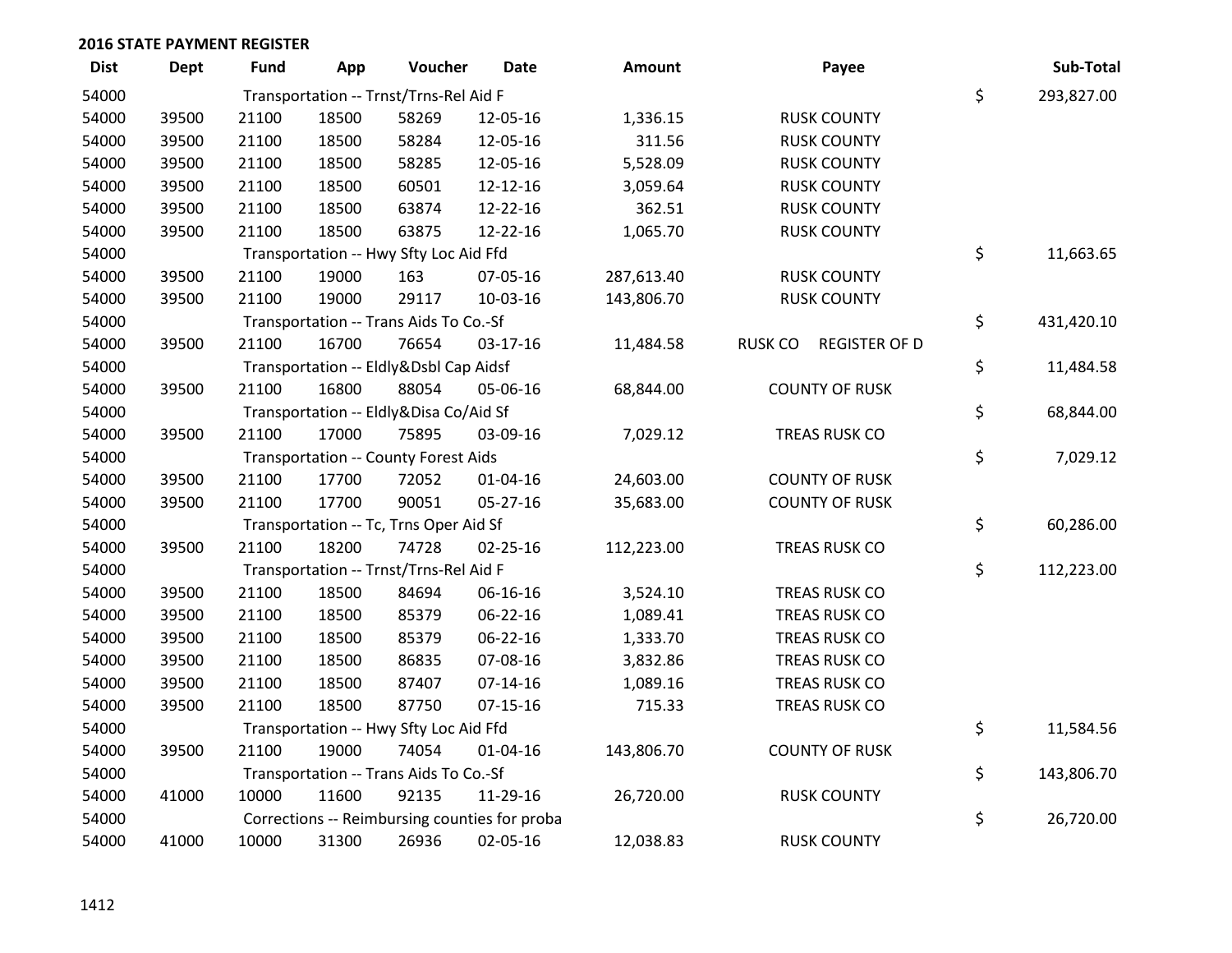| <b>Dist</b> | <b>Dept</b> | <b>Fund</b> | App   | Voucher                                       | <b>Date</b>    | Amount     |         | Payee                 | Sub-Total        |
|-------------|-------------|-------------|-------|-----------------------------------------------|----------------|------------|---------|-----------------------|------------------|
| 54000       |             |             |       | Transportation -- Trnst/Trns-Rel Aid F        |                |            |         |                       | \$<br>293,827.00 |
| 54000       | 39500       | 21100       | 18500 | 58269                                         | 12-05-16       | 1,336.15   |         | <b>RUSK COUNTY</b>    |                  |
| 54000       | 39500       | 21100       | 18500 | 58284                                         | 12-05-16       | 311.56     |         | <b>RUSK COUNTY</b>    |                  |
| 54000       | 39500       | 21100       | 18500 | 58285                                         | 12-05-16       | 5,528.09   |         | <b>RUSK COUNTY</b>    |                  |
| 54000       | 39500       | 21100       | 18500 | 60501                                         | 12-12-16       | 3,059.64   |         | <b>RUSK COUNTY</b>    |                  |
| 54000       | 39500       | 21100       | 18500 | 63874                                         | 12-22-16       | 362.51     |         | <b>RUSK COUNTY</b>    |                  |
| 54000       | 39500       | 21100       | 18500 | 63875                                         | 12-22-16       | 1,065.70   |         | <b>RUSK COUNTY</b>    |                  |
| 54000       |             |             |       | Transportation -- Hwy Sfty Loc Aid Ffd        |                |            |         |                       | \$<br>11,663.65  |
| 54000       | 39500       | 21100       | 19000 | 163                                           | 07-05-16       | 287,613.40 |         | <b>RUSK COUNTY</b>    |                  |
| 54000       | 39500       | 21100       | 19000 | 29117                                         | 10-03-16       | 143,806.70 |         | <b>RUSK COUNTY</b>    |                  |
| 54000       |             |             |       | Transportation -- Trans Aids To Co.-Sf        |                |            |         |                       | \$<br>431,420.10 |
| 54000       | 39500       | 21100       | 16700 | 76654                                         | $03-17-16$     | 11,484.58  | RUSK CO | <b>REGISTER OF D</b>  |                  |
| 54000       |             |             |       | Transportation -- Eldly&Dsbl Cap Aidsf        |                |            |         |                       | \$<br>11,484.58  |
| 54000       | 39500       | 21100       | 16800 | 88054                                         | 05-06-16       | 68,844.00  |         | <b>COUNTY OF RUSK</b> |                  |
| 54000       |             |             |       | Transportation -- Eldly&Disa Co/Aid Sf        |                |            |         |                       | \$<br>68,844.00  |
| 54000       | 39500       | 21100       | 17000 | 75895                                         | 03-09-16       | 7,029.12   |         | TREAS RUSK CO         |                  |
| 54000       |             |             |       | <b>Transportation -- County Forest Aids</b>   |                |            |         |                       | \$<br>7,029.12   |
| 54000       | 39500       | 21100       | 17700 | 72052                                         | $01 - 04 - 16$ | 24,603.00  |         | <b>COUNTY OF RUSK</b> |                  |
| 54000       | 39500       | 21100       | 17700 | 90051                                         | 05-27-16       | 35,683.00  |         | <b>COUNTY OF RUSK</b> |                  |
| 54000       |             |             |       | Transportation -- Tc, Trns Oper Aid Sf        |                |            |         |                       | \$<br>60,286.00  |
| 54000       | 39500       | 21100       | 18200 | 74728                                         | $02 - 25 - 16$ | 112,223.00 |         | TREAS RUSK CO         |                  |
| 54000       |             |             |       | Transportation -- Trnst/Trns-Rel Aid F        |                |            |         |                       | \$<br>112,223.00 |
| 54000       | 39500       | 21100       | 18500 | 84694                                         | 06-16-16       | 3,524.10   |         | TREAS RUSK CO         |                  |
| 54000       | 39500       | 21100       | 18500 | 85379                                         | 06-22-16       | 1,089.41   |         | TREAS RUSK CO         |                  |
| 54000       | 39500       | 21100       | 18500 | 85379                                         | 06-22-16       | 1,333.70   |         | TREAS RUSK CO         |                  |
| 54000       | 39500       | 21100       | 18500 | 86835                                         | 07-08-16       | 3,832.86   |         | TREAS RUSK CO         |                  |
| 54000       | 39500       | 21100       | 18500 | 87407                                         | $07-14-16$     | 1,089.16   |         | TREAS RUSK CO         |                  |
| 54000       | 39500       | 21100       | 18500 | 87750                                         | $07-15-16$     | 715.33     |         | <b>TREAS RUSK CO</b>  |                  |
| 54000       |             |             |       | Transportation -- Hwy Sfty Loc Aid Ffd        |                |            |         |                       | \$<br>11,584.56  |
| 54000       | 39500       | 21100       | 19000 | 74054                                         | $01 - 04 - 16$ | 143,806.70 |         | <b>COUNTY OF RUSK</b> |                  |
| 54000       |             |             |       | Transportation -- Trans Aids To Co.-Sf        |                |            |         |                       | \$<br>143,806.70 |
| 54000       | 41000       | 10000       | 11600 | 92135                                         | 11-29-16       | 26,720.00  |         | <b>RUSK COUNTY</b>    |                  |
| 54000       |             |             |       | Corrections -- Reimbursing counties for proba |                |            |         |                       | \$<br>26,720.00  |
| 54000       | 41000       | 10000       | 31300 | 26936                                         | 02-05-16       | 12,038.83  |         | <b>RUSK COUNTY</b>    |                  |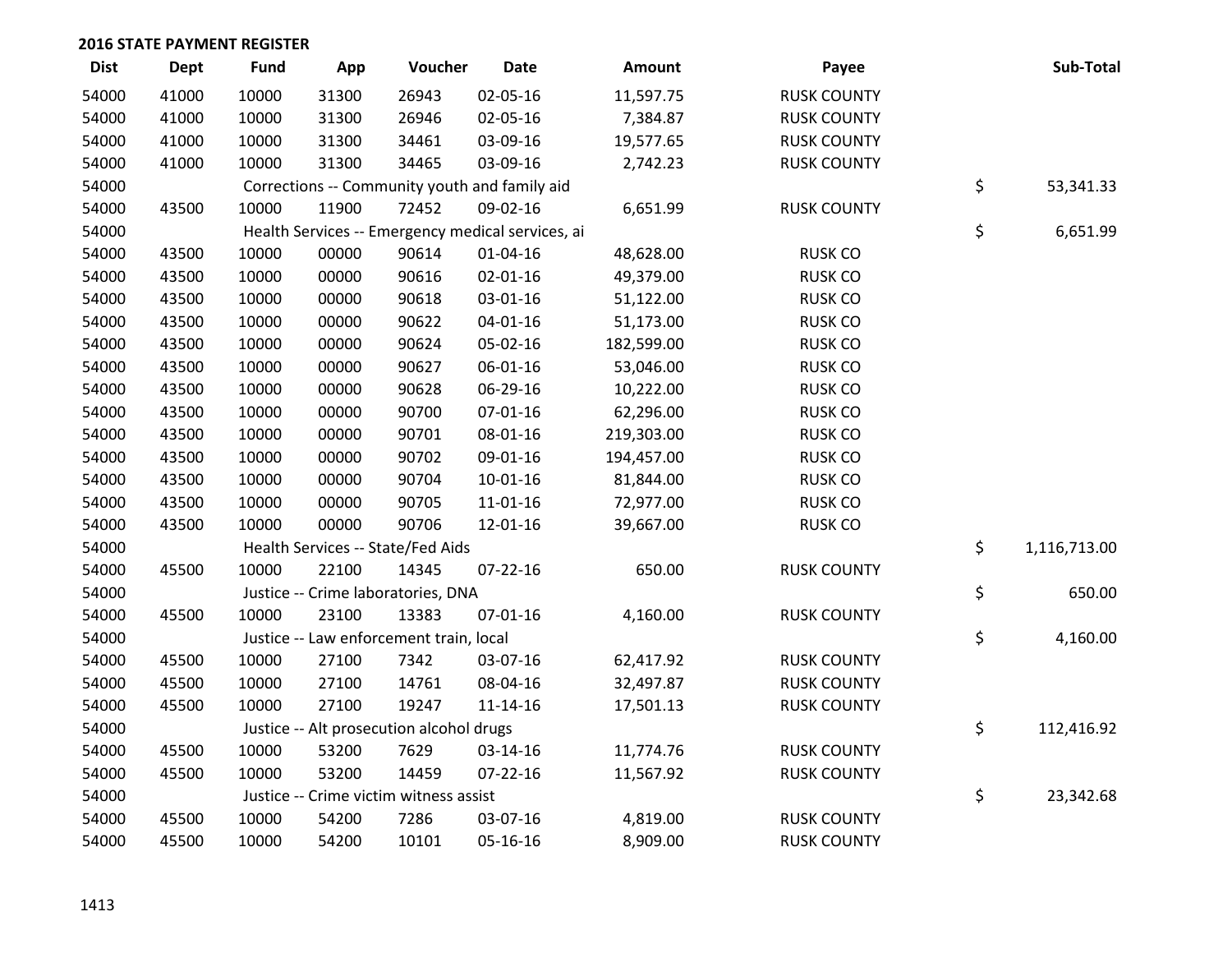| <b>Dist</b> | <b>Dept</b> | <b>Fund</b> | App   | Voucher                                           | <b>Date</b>    | Amount     | Payee              | Sub-Total          |
|-------------|-------------|-------------|-------|---------------------------------------------------|----------------|------------|--------------------|--------------------|
| 54000       | 41000       | 10000       | 31300 | 26943                                             | 02-05-16       | 11,597.75  | <b>RUSK COUNTY</b> |                    |
| 54000       | 41000       | 10000       | 31300 | 26946                                             | 02-05-16       | 7,384.87   | <b>RUSK COUNTY</b> |                    |
| 54000       | 41000       | 10000       | 31300 | 34461                                             | 03-09-16       | 19,577.65  | <b>RUSK COUNTY</b> |                    |
| 54000       | 41000       | 10000       | 31300 | 34465                                             | 03-09-16       | 2,742.23   | <b>RUSK COUNTY</b> |                    |
| 54000       |             |             |       | Corrections -- Community youth and family aid     |                |            |                    | \$<br>53,341.33    |
| 54000       | 43500       | 10000       | 11900 | 72452                                             | 09-02-16       | 6,651.99   | <b>RUSK COUNTY</b> |                    |
| 54000       |             |             |       | Health Services -- Emergency medical services, ai |                |            |                    | \$<br>6,651.99     |
| 54000       | 43500       | 10000       | 00000 | 90614                                             | $01 - 04 - 16$ | 48,628.00  | <b>RUSK CO</b>     |                    |
| 54000       | 43500       | 10000       | 00000 | 90616                                             | 02-01-16       | 49,379.00  | <b>RUSK CO</b>     |                    |
| 54000       | 43500       | 10000       | 00000 | 90618                                             | 03-01-16       | 51,122.00  | <b>RUSK CO</b>     |                    |
| 54000       | 43500       | 10000       | 00000 | 90622                                             | $04 - 01 - 16$ | 51,173.00  | <b>RUSK CO</b>     |                    |
| 54000       | 43500       | 10000       | 00000 | 90624                                             | 05-02-16       | 182,599.00 | <b>RUSK CO</b>     |                    |
| 54000       | 43500       | 10000       | 00000 | 90627                                             | 06-01-16       | 53,046.00  | <b>RUSK CO</b>     |                    |
| 54000       | 43500       | 10000       | 00000 | 90628                                             | 06-29-16       | 10,222.00  | <b>RUSK CO</b>     |                    |
| 54000       | 43500       | 10000       | 00000 | 90700                                             | 07-01-16       | 62,296.00  | <b>RUSK CO</b>     |                    |
| 54000       | 43500       | 10000       | 00000 | 90701                                             | 08-01-16       | 219,303.00 | <b>RUSK CO</b>     |                    |
| 54000       | 43500       | 10000       | 00000 | 90702                                             | 09-01-16       | 194,457.00 | <b>RUSK CO</b>     |                    |
| 54000       | 43500       | 10000       | 00000 | 90704                                             | 10-01-16       | 81,844.00  | <b>RUSK CO</b>     |                    |
| 54000       | 43500       | 10000       | 00000 | 90705                                             | 11-01-16       | 72,977.00  | <b>RUSK CO</b>     |                    |
| 54000       | 43500       | 10000       | 00000 | 90706                                             | 12-01-16       | 39,667.00  | <b>RUSK CO</b>     |                    |
| 54000       |             |             |       | Health Services -- State/Fed Aids                 |                |            |                    | \$<br>1,116,713.00 |
| 54000       | 45500       | 10000       | 22100 | 14345                                             | $07 - 22 - 16$ | 650.00     | <b>RUSK COUNTY</b> |                    |
| 54000       |             |             |       | Justice -- Crime laboratories, DNA                |                |            |                    | \$<br>650.00       |
| 54000       | 45500       | 10000       | 23100 | 13383                                             | 07-01-16       | 4,160.00   | <b>RUSK COUNTY</b> |                    |
| 54000       |             |             |       | Justice -- Law enforcement train, local           |                |            |                    | \$<br>4,160.00     |
| 54000       | 45500       | 10000       | 27100 | 7342                                              | 03-07-16       | 62,417.92  | <b>RUSK COUNTY</b> |                    |
| 54000       | 45500       | 10000       | 27100 | 14761                                             | 08-04-16       | 32,497.87  | <b>RUSK COUNTY</b> |                    |
| 54000       | 45500       | 10000       | 27100 | 19247                                             | $11 - 14 - 16$ | 17,501.13  | <b>RUSK COUNTY</b> |                    |
| 54000       |             |             |       | Justice -- Alt prosecution alcohol drugs          |                |            |                    | \$<br>112,416.92   |
| 54000       | 45500       | 10000       | 53200 | 7629                                              | 03-14-16       | 11,774.76  | <b>RUSK COUNTY</b> |                    |
| 54000       | 45500       | 10000       | 53200 | 14459                                             | $07 - 22 - 16$ | 11,567.92  | <b>RUSK COUNTY</b> |                    |
| 54000       |             |             |       | Justice -- Crime victim witness assist            |                |            |                    | \$<br>23,342.68    |
| 54000       | 45500       | 10000       | 54200 | 7286                                              | 03-07-16       | 4,819.00   | <b>RUSK COUNTY</b> |                    |
| 54000       | 45500       | 10000       | 54200 | 10101                                             | 05-16-16       | 8,909.00   | <b>RUSK COUNTY</b> |                    |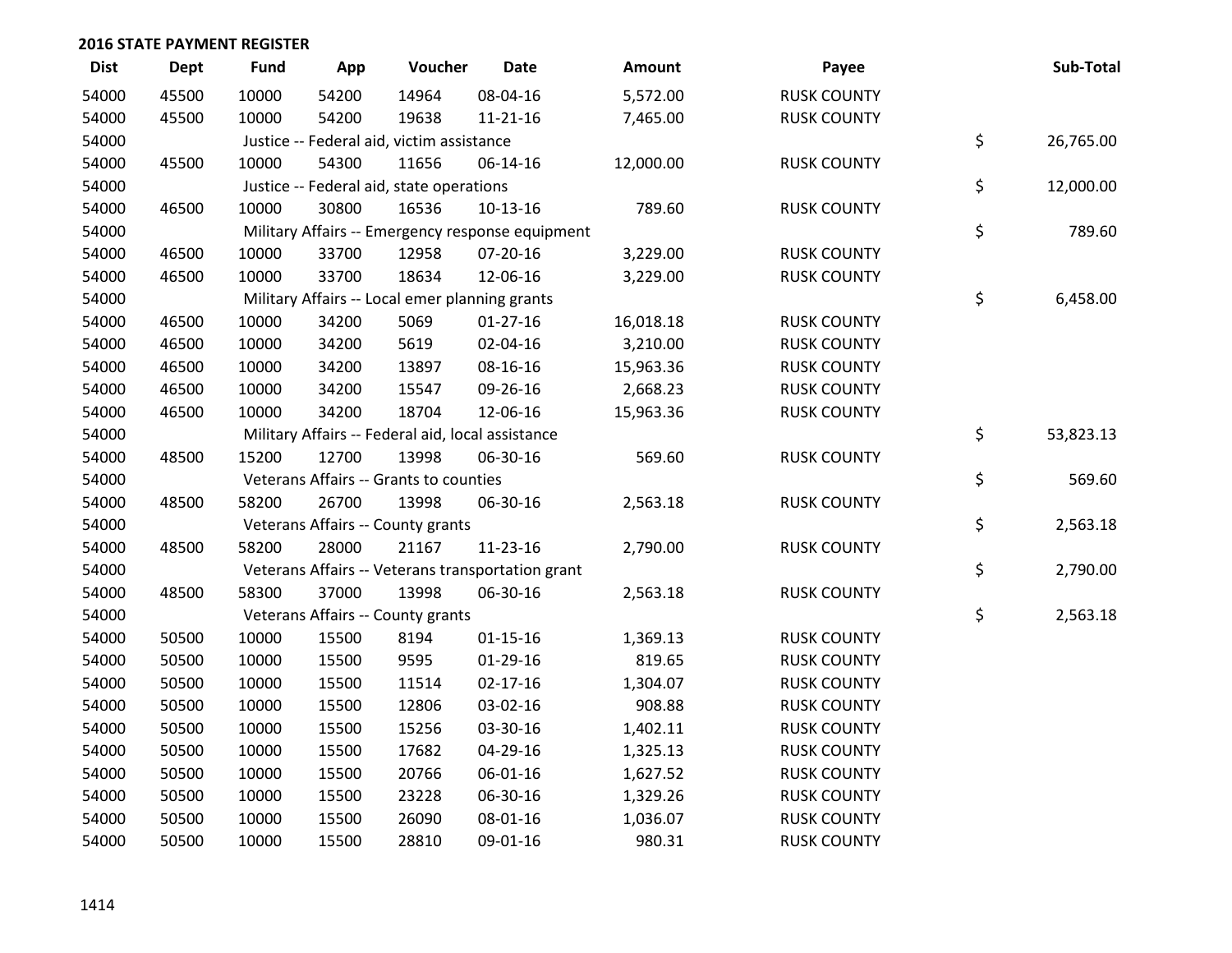| <b>Dist</b> | <b>Dept</b> | <b>Fund</b> | App   | Voucher                                           | <b>Date</b>    | Amount    | Payee              | Sub-Total       |
|-------------|-------------|-------------|-------|---------------------------------------------------|----------------|-----------|--------------------|-----------------|
| 54000       | 45500       | 10000       | 54200 | 14964                                             | 08-04-16       | 5,572.00  | <b>RUSK COUNTY</b> |                 |
| 54000       | 45500       | 10000       | 54200 | 19638                                             | 11-21-16       | 7,465.00  | <b>RUSK COUNTY</b> |                 |
| 54000       |             |             |       | Justice -- Federal aid, victim assistance         |                |           |                    | \$<br>26,765.00 |
| 54000       | 45500       | 10000       | 54300 | 11656                                             | 06-14-16       | 12,000.00 | <b>RUSK COUNTY</b> |                 |
| 54000       |             |             |       | Justice -- Federal aid, state operations          |                |           |                    | \$<br>12,000.00 |
| 54000       | 46500       | 10000       | 30800 | 16536                                             | $10-13-16$     | 789.60    | <b>RUSK COUNTY</b> |                 |
| 54000       |             |             |       | Military Affairs -- Emergency response equipment  |                |           |                    | \$<br>789.60    |
| 54000       | 46500       | 10000       | 33700 | 12958                                             | 07-20-16       | 3,229.00  | <b>RUSK COUNTY</b> |                 |
| 54000       | 46500       | 10000       | 33700 | 18634                                             | 12-06-16       | 3,229.00  | <b>RUSK COUNTY</b> |                 |
| 54000       |             |             |       | Military Affairs -- Local emer planning grants    |                |           |                    | \$<br>6,458.00  |
| 54000       | 46500       | 10000       | 34200 | 5069                                              | $01-27-16$     | 16,018.18 | <b>RUSK COUNTY</b> |                 |
| 54000       | 46500       | 10000       | 34200 | 5619                                              | 02-04-16       | 3,210.00  | <b>RUSK COUNTY</b> |                 |
| 54000       | 46500       | 10000       | 34200 | 13897                                             | 08-16-16       | 15,963.36 | <b>RUSK COUNTY</b> |                 |
| 54000       | 46500       | 10000       | 34200 | 15547                                             | 09-26-16       | 2,668.23  | <b>RUSK COUNTY</b> |                 |
| 54000       | 46500       | 10000       | 34200 | 18704                                             | 12-06-16       | 15,963.36 | <b>RUSK COUNTY</b> |                 |
| 54000       |             |             |       | Military Affairs -- Federal aid, local assistance |                |           |                    | \$<br>53,823.13 |
| 54000       | 48500       | 15200       | 12700 | 13998                                             | 06-30-16       | 569.60    | <b>RUSK COUNTY</b> |                 |
| 54000       |             |             |       | Veterans Affairs -- Grants to counties            |                |           |                    | \$<br>569.60    |
| 54000       | 48500       | 58200       | 26700 | 13998                                             | 06-30-16       | 2,563.18  | <b>RUSK COUNTY</b> |                 |
| 54000       |             |             |       | Veterans Affairs -- County grants                 |                |           |                    | \$<br>2,563.18  |
| 54000       | 48500       | 58200       | 28000 | 21167                                             | 11-23-16       | 2,790.00  | <b>RUSK COUNTY</b> |                 |
| 54000       |             |             |       | Veterans Affairs -- Veterans transportation grant |                |           |                    | \$<br>2,790.00  |
| 54000       | 48500       | 58300       | 37000 | 13998                                             | 06-30-16       | 2,563.18  | <b>RUSK COUNTY</b> |                 |
| 54000       |             |             |       | Veterans Affairs -- County grants                 |                |           |                    | \$<br>2,563.18  |
| 54000       | 50500       | 10000       | 15500 | 8194                                              | $01 - 15 - 16$ | 1,369.13  | <b>RUSK COUNTY</b> |                 |
| 54000       | 50500       | 10000       | 15500 | 9595                                              | $01-29-16$     | 819.65    | <b>RUSK COUNTY</b> |                 |
| 54000       | 50500       | 10000       | 15500 | 11514                                             | $02 - 17 - 16$ | 1,304.07  | <b>RUSK COUNTY</b> |                 |
| 54000       | 50500       | 10000       | 15500 | 12806                                             | 03-02-16       | 908.88    | <b>RUSK COUNTY</b> |                 |
| 54000       | 50500       | 10000       | 15500 | 15256                                             | 03-30-16       | 1,402.11  | <b>RUSK COUNTY</b> |                 |
| 54000       | 50500       | 10000       | 15500 | 17682                                             | 04-29-16       | 1,325.13  | <b>RUSK COUNTY</b> |                 |
| 54000       | 50500       | 10000       | 15500 | 20766                                             | 06-01-16       | 1,627.52  | <b>RUSK COUNTY</b> |                 |
| 54000       | 50500       | 10000       | 15500 | 23228                                             | 06-30-16       | 1,329.26  | <b>RUSK COUNTY</b> |                 |
| 54000       | 50500       | 10000       | 15500 | 26090                                             | 08-01-16       | 1,036.07  | <b>RUSK COUNTY</b> |                 |
| 54000       | 50500       | 10000       | 15500 | 28810                                             | 09-01-16       | 980.31    | <b>RUSK COUNTY</b> |                 |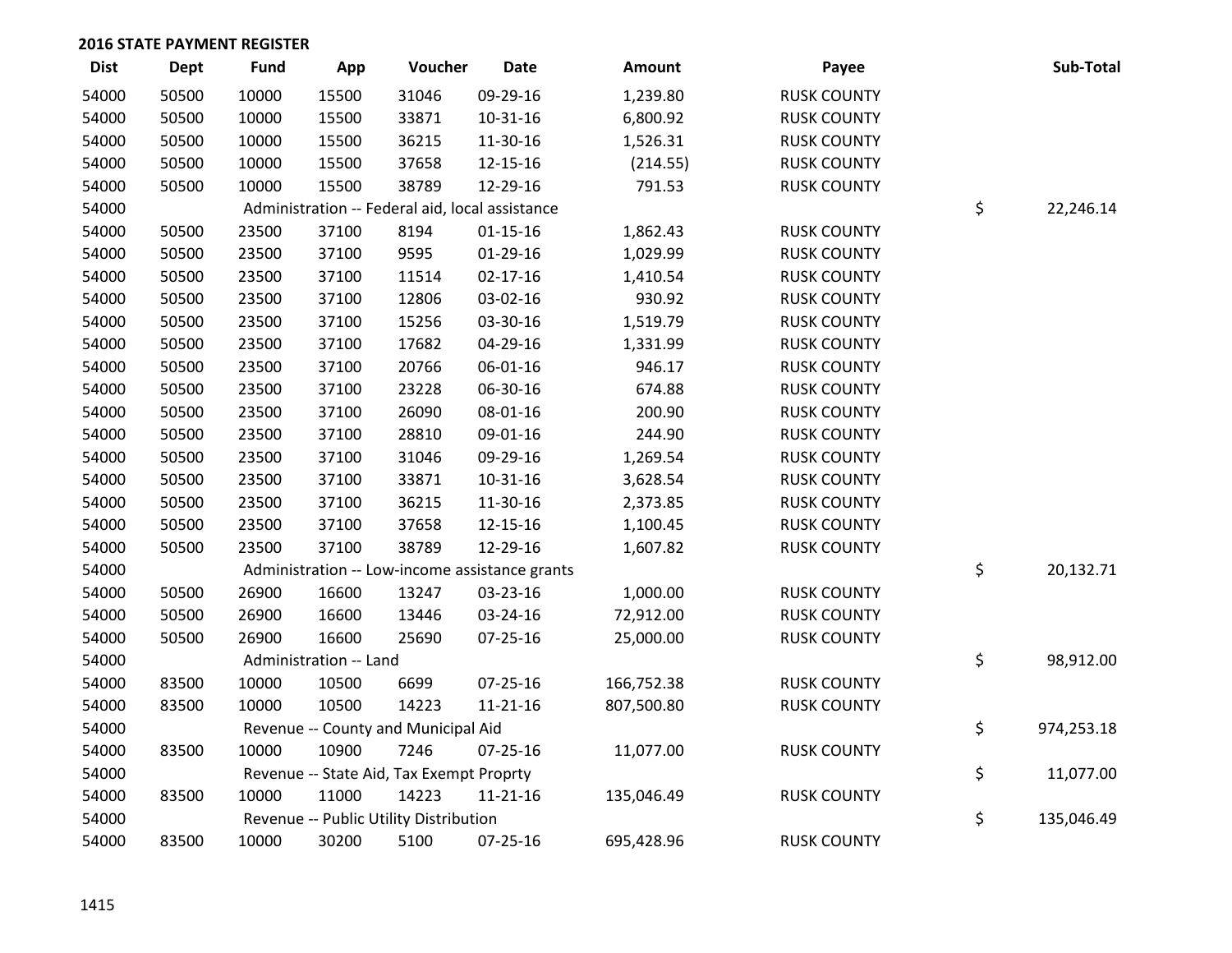| <b>Dist</b> | <b>Dept</b> | <b>Fund</b> | App                    | Voucher                                         | <b>Date</b>                                    | <b>Amount</b> | Payee              | Sub-Total        |
|-------------|-------------|-------------|------------------------|-------------------------------------------------|------------------------------------------------|---------------|--------------------|------------------|
| 54000       | 50500       | 10000       | 15500                  | 31046                                           | 09-29-16                                       | 1,239.80      | <b>RUSK COUNTY</b> |                  |
| 54000       | 50500       | 10000       | 15500                  | 33871                                           | 10-31-16                                       | 6,800.92      | <b>RUSK COUNTY</b> |                  |
| 54000       | 50500       | 10000       | 15500                  | 36215                                           | 11-30-16                                       | 1,526.31      | <b>RUSK COUNTY</b> |                  |
| 54000       | 50500       | 10000       | 15500                  | 37658                                           | 12-15-16                                       | (214.55)      | <b>RUSK COUNTY</b> |                  |
| 54000       | 50500       | 10000       | 15500                  | 38789                                           | 12-29-16                                       | 791.53        | <b>RUSK COUNTY</b> |                  |
| 54000       |             |             |                        | Administration -- Federal aid, local assistance |                                                |               |                    | \$<br>22,246.14  |
| 54000       | 50500       | 23500       | 37100                  | 8194                                            | $01 - 15 - 16$                                 | 1,862.43      | <b>RUSK COUNTY</b> |                  |
| 54000       | 50500       | 23500       | 37100                  | 9595                                            | $01-29-16$                                     | 1,029.99      | <b>RUSK COUNTY</b> |                  |
| 54000       | 50500       | 23500       | 37100                  | 11514                                           | $02 - 17 - 16$                                 | 1,410.54      | <b>RUSK COUNTY</b> |                  |
| 54000       | 50500       | 23500       | 37100                  | 12806                                           | 03-02-16                                       | 930.92        | <b>RUSK COUNTY</b> |                  |
| 54000       | 50500       | 23500       | 37100                  | 15256                                           | 03-30-16                                       | 1,519.79      | <b>RUSK COUNTY</b> |                  |
| 54000       | 50500       | 23500       | 37100                  | 17682                                           | 04-29-16                                       | 1,331.99      | <b>RUSK COUNTY</b> |                  |
| 54000       | 50500       | 23500       | 37100                  | 20766                                           | 06-01-16                                       | 946.17        | <b>RUSK COUNTY</b> |                  |
| 54000       | 50500       | 23500       | 37100                  | 23228                                           | 06-30-16                                       | 674.88        | <b>RUSK COUNTY</b> |                  |
| 54000       | 50500       | 23500       | 37100                  | 26090                                           | 08-01-16                                       | 200.90        | <b>RUSK COUNTY</b> |                  |
| 54000       | 50500       | 23500       | 37100                  | 28810                                           | 09-01-16                                       | 244.90        | <b>RUSK COUNTY</b> |                  |
| 54000       | 50500       | 23500       | 37100                  | 31046                                           | 09-29-16                                       | 1,269.54      | <b>RUSK COUNTY</b> |                  |
| 54000       | 50500       | 23500       | 37100                  | 33871                                           | 10-31-16                                       | 3,628.54      | <b>RUSK COUNTY</b> |                  |
| 54000       | 50500       | 23500       | 37100                  | 36215                                           | 11-30-16                                       | 2,373.85      | <b>RUSK COUNTY</b> |                  |
| 54000       | 50500       | 23500       | 37100                  | 37658                                           | 12-15-16                                       | 1,100.45      | <b>RUSK COUNTY</b> |                  |
| 54000       | 50500       | 23500       | 37100                  | 38789                                           | 12-29-16                                       | 1,607.82      | <b>RUSK COUNTY</b> |                  |
| 54000       |             |             |                        |                                                 | Administration -- Low-income assistance grants |               |                    | \$<br>20,132.71  |
| 54000       | 50500       | 26900       | 16600                  | 13247                                           | 03-23-16                                       | 1,000.00      | <b>RUSK COUNTY</b> |                  |
| 54000       | 50500       | 26900       | 16600                  | 13446                                           | 03-24-16                                       | 72,912.00     | <b>RUSK COUNTY</b> |                  |
| 54000       | 50500       | 26900       | 16600                  | 25690                                           | 07-25-16                                       | 25,000.00     | <b>RUSK COUNTY</b> |                  |
| 54000       |             |             | Administration -- Land |                                                 |                                                |               |                    | \$<br>98,912.00  |
| 54000       | 83500       | 10000       | 10500                  | 6699                                            | 07-25-16                                       | 166,752.38    | <b>RUSK COUNTY</b> |                  |
| 54000       | 83500       | 10000       | 10500                  | 14223                                           | $11 - 21 - 16$                                 | 807,500.80    | <b>RUSK COUNTY</b> |                  |
| 54000       |             |             |                        | Revenue -- County and Municipal Aid             |                                                |               |                    | \$<br>974,253.18 |
| 54000       | 83500       | 10000       | 10900                  | 7246                                            | 07-25-16                                       | 11,077.00     | <b>RUSK COUNTY</b> |                  |
| 54000       |             |             |                        | Revenue -- State Aid, Tax Exempt Proprty        |                                                |               |                    | \$<br>11,077.00  |
| 54000       | 83500       | 10000       | 11000                  | 14223                                           | $11 - 21 - 16$                                 | 135,046.49    | <b>RUSK COUNTY</b> |                  |
| 54000       |             |             |                        | Revenue -- Public Utility Distribution          |                                                |               |                    | \$<br>135,046.49 |
| 54000       | 83500       | 10000       | 30200                  | 5100                                            | 07-25-16                                       | 695,428.96    | <b>RUSK COUNTY</b> |                  |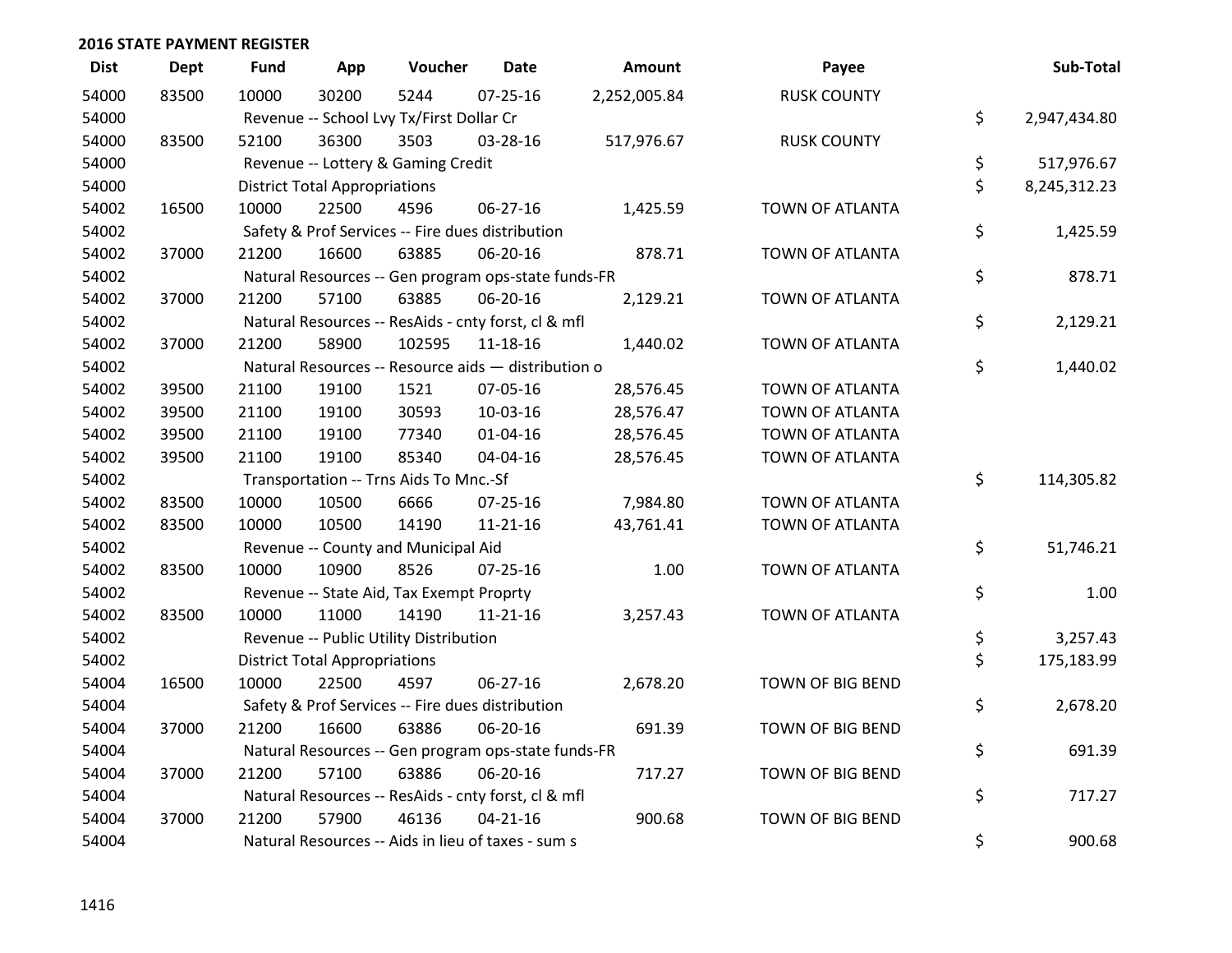| <b>Dist</b> | <b>Dept</b> | <b>Fund</b> | App                                  | Voucher                                             | <b>Date</b>    | <b>Amount</b> | Payee                  | Sub-Total          |
|-------------|-------------|-------------|--------------------------------------|-----------------------------------------------------|----------------|---------------|------------------------|--------------------|
| 54000       | 83500       | 10000       | 30200                                | 5244                                                | $07 - 25 - 16$ | 2,252,005.84  | <b>RUSK COUNTY</b>     |                    |
| 54000       |             |             |                                      | Revenue -- School Lvy Tx/First Dollar Cr            |                |               |                        | \$<br>2,947,434.80 |
| 54000       | 83500       | 52100       | 36300                                | 3503                                                | 03-28-16       | 517,976.67    | <b>RUSK COUNTY</b>     |                    |
| 54000       |             |             |                                      | Revenue -- Lottery & Gaming Credit                  |                |               |                        | \$<br>517,976.67   |
| 54000       |             |             | <b>District Total Appropriations</b> |                                                     |                |               |                        | \$<br>8,245,312.23 |
| 54002       | 16500       | 10000       | 22500                                | 4596                                                | 06-27-16       | 1,425.59      | TOWN OF ATLANTA        |                    |
| 54002       |             |             |                                      | Safety & Prof Services -- Fire dues distribution    |                |               |                        | \$<br>1,425.59     |
| 54002       | 37000       | 21200       | 16600                                | 63885                                               | 06-20-16       | 878.71        | <b>TOWN OF ATLANTA</b> |                    |
| 54002       |             |             |                                      | Natural Resources -- Gen program ops-state funds-FR |                |               |                        | \$<br>878.71       |
| 54002       | 37000       | 21200       | 57100                                | 63885                                               | 06-20-16       | 2,129.21      | TOWN OF ATLANTA        |                    |
| 54002       |             |             |                                      | Natural Resources -- ResAids - cnty forst, cl & mfl |                |               |                        | \$<br>2,129.21     |
| 54002       | 37000       | 21200       | 58900                                | 102595                                              | 11-18-16       | 1,440.02      | TOWN OF ATLANTA        |                    |
| 54002       |             |             |                                      | Natural Resources -- Resource aids - distribution o |                |               |                        | \$<br>1,440.02     |
| 54002       | 39500       | 21100       | 19100                                | 1521                                                | 07-05-16       | 28,576.45     | TOWN OF ATLANTA        |                    |
| 54002       | 39500       | 21100       | 19100                                | 30593                                               | 10-03-16       | 28,576.47     | TOWN OF ATLANTA        |                    |
| 54002       | 39500       | 21100       | 19100                                | 77340                                               | $01 - 04 - 16$ | 28,576.45     | <b>TOWN OF ATLANTA</b> |                    |
| 54002       | 39500       | 21100       | 19100                                | 85340                                               | 04-04-16       | 28,576.45     | TOWN OF ATLANTA        |                    |
| 54002       |             |             |                                      | Transportation -- Trns Aids To Mnc.-Sf              |                |               |                        | \$<br>114,305.82   |
| 54002       | 83500       | 10000       | 10500                                | 6666                                                | 07-25-16       | 7,984.80      | TOWN OF ATLANTA        |                    |
| 54002       | 83500       | 10000       | 10500                                | 14190                                               | $11 - 21 - 16$ | 43,761.41     | <b>TOWN OF ATLANTA</b> |                    |
| 54002       |             |             |                                      | Revenue -- County and Municipal Aid                 |                |               |                        | \$<br>51,746.21    |
| 54002       | 83500       | 10000       | 10900                                | 8526                                                | $07 - 25 - 16$ | 1.00          | TOWN OF ATLANTA        |                    |
| 54002       |             |             |                                      | Revenue -- State Aid, Tax Exempt Proprty            |                |               |                        | \$<br>1.00         |
| 54002       | 83500       | 10000       | 11000                                | 14190                                               | $11 - 21 - 16$ | 3,257.43      | <b>TOWN OF ATLANTA</b> |                    |
| 54002       |             |             |                                      | Revenue -- Public Utility Distribution              |                |               |                        | \$<br>3,257.43     |
| 54002       |             |             | <b>District Total Appropriations</b> |                                                     |                |               |                        | \$<br>175,183.99   |
| 54004       | 16500       | 10000       | 22500                                | 4597                                                | 06-27-16       | 2,678.20      | TOWN OF BIG BEND       |                    |
| 54004       |             |             |                                      | Safety & Prof Services -- Fire dues distribution    |                |               |                        | \$<br>2,678.20     |
| 54004       | 37000       | 21200       | 16600                                | 63886                                               | 06-20-16       | 691.39        | TOWN OF BIG BEND       |                    |
| 54004       |             |             |                                      | Natural Resources -- Gen program ops-state funds-FR |                |               |                        | \$<br>691.39       |
| 54004       | 37000       | 21200       | 57100                                | 63886                                               | 06-20-16       | 717.27        | TOWN OF BIG BEND       |                    |
| 54004       |             |             |                                      | Natural Resources -- ResAids - cnty forst, cl & mfl |                |               |                        | \$<br>717.27       |
| 54004       | 37000       | 21200       | 57900                                | 46136                                               | $04 - 21 - 16$ | 900.68        | TOWN OF BIG BEND       |                    |
| 54004       |             |             |                                      | Natural Resources -- Aids in lieu of taxes - sum s  |                |               |                        | \$<br>900.68       |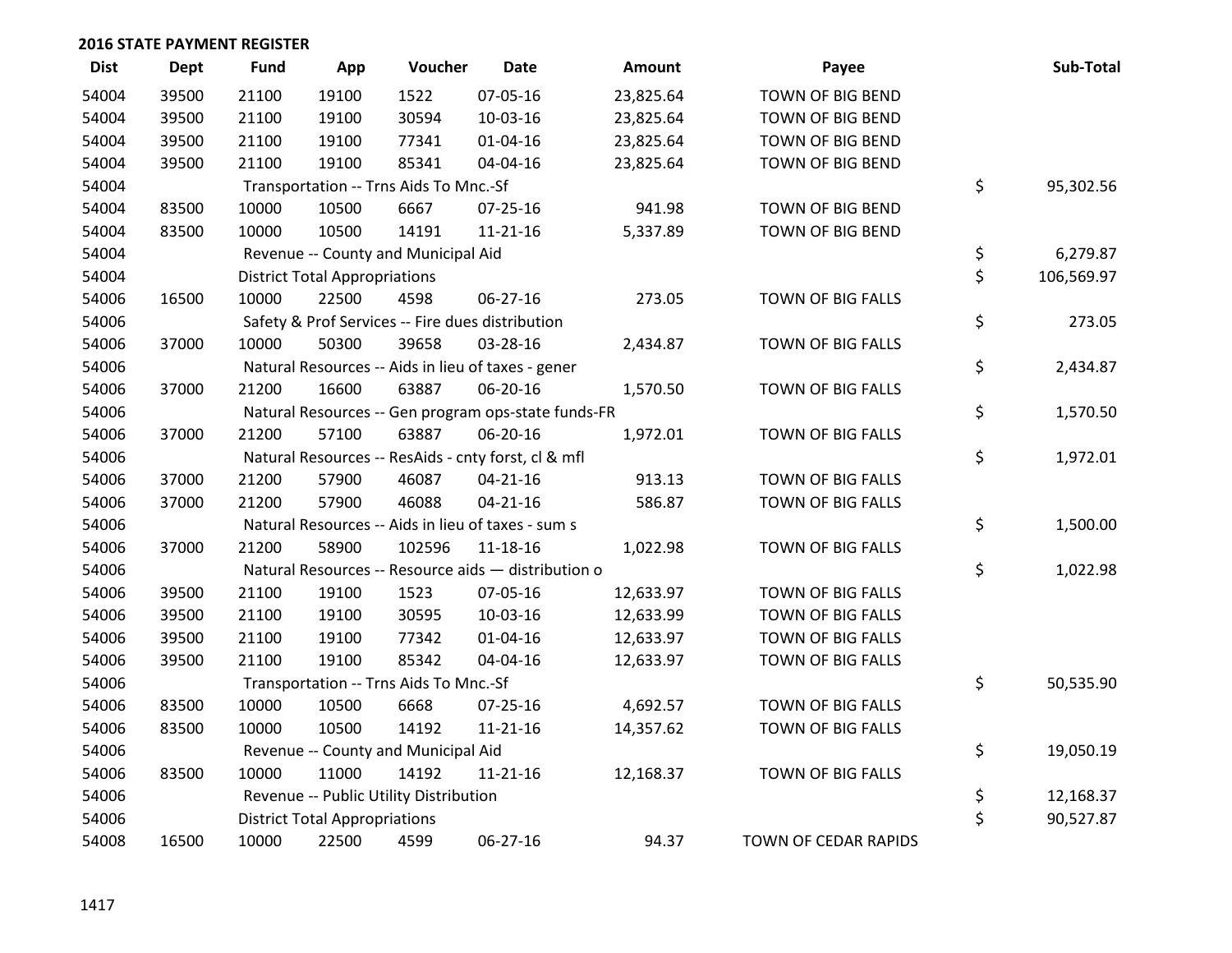| <b>Dist</b> | <b>Dept</b> | <b>Fund</b> | App                                  | Voucher                                | <b>Date</b>                                         | <b>Amount</b> | Payee                    | Sub-Total        |
|-------------|-------------|-------------|--------------------------------------|----------------------------------------|-----------------------------------------------------|---------------|--------------------------|------------------|
| 54004       | 39500       | 21100       | 19100                                | 1522                                   | 07-05-16                                            | 23,825.64     | TOWN OF BIG BEND         |                  |
| 54004       | 39500       | 21100       | 19100                                | 30594                                  | 10-03-16                                            | 23,825.64     | TOWN OF BIG BEND         |                  |
| 54004       | 39500       | 21100       | 19100                                | 77341                                  | $01 - 04 - 16$                                      | 23,825.64     | TOWN OF BIG BEND         |                  |
| 54004       | 39500       | 21100       | 19100                                | 85341                                  | 04-04-16                                            | 23,825.64     | TOWN OF BIG BEND         |                  |
| 54004       |             |             |                                      | Transportation -- Trns Aids To Mnc.-Sf |                                                     |               |                          | \$<br>95,302.56  |
| 54004       | 83500       | 10000       | 10500                                | 6667                                   | 07-25-16                                            | 941.98        | TOWN OF BIG BEND         |                  |
| 54004       | 83500       | 10000       | 10500                                | 14191                                  | $11 - 21 - 16$                                      | 5,337.89      | TOWN OF BIG BEND         |                  |
| 54004       |             |             |                                      | Revenue -- County and Municipal Aid    |                                                     |               |                          | \$<br>6,279.87   |
| 54004       |             |             | <b>District Total Appropriations</b> |                                        |                                                     |               |                          | \$<br>106,569.97 |
| 54006       | 16500       | 10000       | 22500                                | 4598                                   | 06-27-16                                            | 273.05        | TOWN OF BIG FALLS        |                  |
| 54006       |             |             |                                      |                                        | Safety & Prof Services -- Fire dues distribution    |               |                          | \$<br>273.05     |
| 54006       | 37000       | 10000       | 50300                                | 39658                                  | 03-28-16                                            | 2,434.87      | TOWN OF BIG FALLS        |                  |
| 54006       |             |             |                                      |                                        | Natural Resources -- Aids in lieu of taxes - gener  |               |                          | \$<br>2,434.87   |
| 54006       | 37000       | 21200       | 16600                                | 63887                                  | 06-20-16                                            | 1,570.50      | <b>TOWN OF BIG FALLS</b> |                  |
| 54006       |             |             |                                      |                                        | Natural Resources -- Gen program ops-state funds-FR |               |                          | \$<br>1,570.50   |
| 54006       | 37000       | 21200       | 57100                                | 63887                                  | 06-20-16                                            | 1,972.01      | TOWN OF BIG FALLS        |                  |
| 54006       |             |             |                                      |                                        | Natural Resources -- ResAids - cnty forst, cl & mfl |               |                          | \$<br>1,972.01   |
| 54006       | 37000       | 21200       | 57900                                | 46087                                  | $04 - 21 - 16$                                      | 913.13        | TOWN OF BIG FALLS        |                  |
| 54006       | 37000       | 21200       | 57900                                | 46088                                  | $04 - 21 - 16$                                      | 586.87        | TOWN OF BIG FALLS        |                  |
| 54006       |             |             |                                      |                                        | Natural Resources -- Aids in lieu of taxes - sum s  |               |                          | \$<br>1,500.00   |
| 54006       | 37000       | 21200       | 58900                                | 102596                                 | $11 - 18 - 16$                                      | 1,022.98      | TOWN OF BIG FALLS        |                  |
| 54006       |             |             |                                      |                                        | Natural Resources -- Resource aids - distribution o |               |                          | \$<br>1,022.98   |
| 54006       | 39500       | 21100       | 19100                                | 1523                                   | 07-05-16                                            | 12,633.97     | TOWN OF BIG FALLS        |                  |
| 54006       | 39500       | 21100       | 19100                                | 30595                                  | 10-03-16                                            | 12,633.99     | TOWN OF BIG FALLS        |                  |
| 54006       | 39500       | 21100       | 19100                                | 77342                                  | $01 - 04 - 16$                                      | 12,633.97     | TOWN OF BIG FALLS        |                  |
| 54006       | 39500       | 21100       | 19100                                | 85342                                  | 04-04-16                                            | 12,633.97     | TOWN OF BIG FALLS        |                  |
| 54006       |             |             |                                      | Transportation -- Trns Aids To Mnc.-Sf |                                                     |               |                          | \$<br>50,535.90  |
| 54006       | 83500       | 10000       | 10500                                | 6668                                   | $07 - 25 - 16$                                      | 4,692.57      | TOWN OF BIG FALLS        |                  |
| 54006       | 83500       | 10000       | 10500                                | 14192                                  | $11 - 21 - 16$                                      | 14,357.62     | TOWN OF BIG FALLS        |                  |
| 54006       |             |             |                                      | Revenue -- County and Municipal Aid    |                                                     |               |                          | \$<br>19,050.19  |
| 54006       | 83500       | 10000       | 11000                                | 14192                                  | 11-21-16                                            | 12,168.37     | TOWN OF BIG FALLS        |                  |
| 54006       |             |             |                                      | Revenue -- Public Utility Distribution |                                                     |               |                          | \$<br>12,168.37  |
| 54006       |             |             | <b>District Total Appropriations</b> |                                        |                                                     |               |                          | \$<br>90,527.87  |
| 54008       | 16500       | 10000       | 22500                                | 4599                                   | 06-27-16                                            | 94.37         | TOWN OF CEDAR RAPIDS     |                  |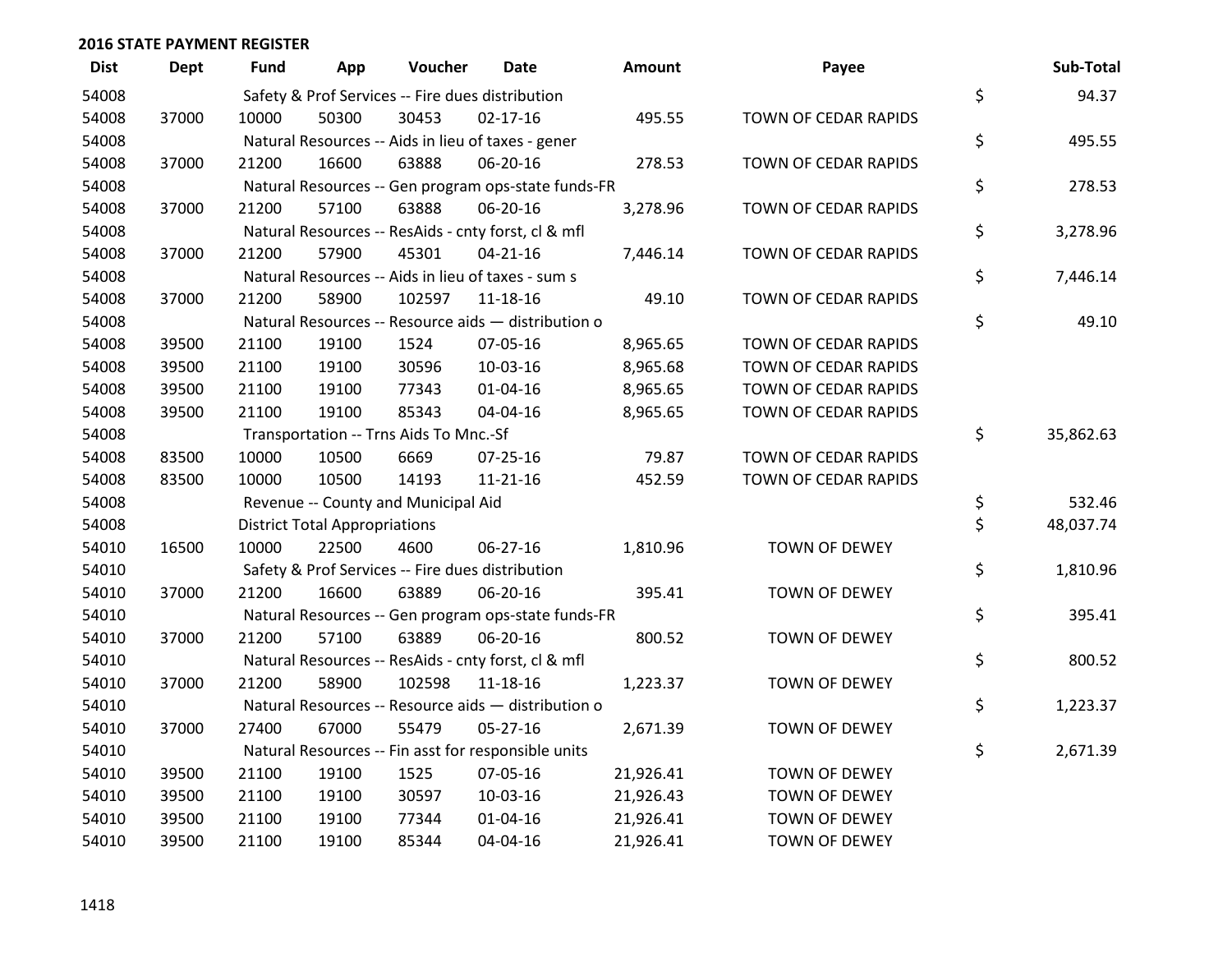| <b>Dist</b> | <b>Dept</b> | <b>Fund</b> | App                                  | Voucher                                             | <b>Date</b>    | <b>Amount</b> | Payee                | Sub-Total       |
|-------------|-------------|-------------|--------------------------------------|-----------------------------------------------------|----------------|---------------|----------------------|-----------------|
| 54008       |             |             |                                      | Safety & Prof Services -- Fire dues distribution    |                |               |                      | \$<br>94.37     |
| 54008       | 37000       | 10000       | 50300                                | 30453                                               | $02 - 17 - 16$ | 495.55        | TOWN OF CEDAR RAPIDS |                 |
| 54008       |             |             |                                      | Natural Resources -- Aids in lieu of taxes - gener  |                |               |                      | \$<br>495.55    |
| 54008       | 37000       | 21200       | 16600                                | 63888                                               | 06-20-16       | 278.53        | TOWN OF CEDAR RAPIDS |                 |
| 54008       |             |             |                                      | Natural Resources -- Gen program ops-state funds-FR |                |               |                      | \$<br>278.53    |
| 54008       | 37000       | 21200       | 57100                                | 63888                                               | 06-20-16       | 3,278.96      | TOWN OF CEDAR RAPIDS |                 |
| 54008       |             |             |                                      | Natural Resources -- ResAids - cnty forst, cl & mfl |                |               |                      | \$<br>3,278.96  |
| 54008       | 37000       | 21200       | 57900                                | 45301                                               | $04 - 21 - 16$ | 7,446.14      | TOWN OF CEDAR RAPIDS |                 |
| 54008       |             |             |                                      | Natural Resources -- Aids in lieu of taxes - sum s  |                |               |                      | \$<br>7,446.14  |
| 54008       | 37000       | 21200       | 58900                                | 102597                                              | $11 - 18 - 16$ | 49.10         | TOWN OF CEDAR RAPIDS |                 |
| 54008       |             |             |                                      | Natural Resources -- Resource aids - distribution o |                |               |                      | \$<br>49.10     |
| 54008       | 39500       | 21100       | 19100                                | 1524                                                | 07-05-16       | 8,965.65      | TOWN OF CEDAR RAPIDS |                 |
| 54008       | 39500       | 21100       | 19100                                | 30596                                               | 10-03-16       | 8,965.68      | TOWN OF CEDAR RAPIDS |                 |
| 54008       | 39500       | 21100       | 19100                                | 77343                                               | $01 - 04 - 16$ | 8,965.65      | TOWN OF CEDAR RAPIDS |                 |
| 54008       | 39500       | 21100       | 19100                                | 85343                                               | 04-04-16       | 8,965.65      | TOWN OF CEDAR RAPIDS |                 |
| 54008       |             |             |                                      | Transportation -- Trns Aids To Mnc.-Sf              |                |               |                      | \$<br>35,862.63 |
| 54008       | 83500       | 10000       | 10500                                | 6669                                                | $07 - 25 - 16$ | 79.87         | TOWN OF CEDAR RAPIDS |                 |
| 54008       | 83500       | 10000       | 10500                                | 14193                                               | $11 - 21 - 16$ | 452.59        | TOWN OF CEDAR RAPIDS |                 |
| 54008       |             |             |                                      | Revenue -- County and Municipal Aid                 |                |               |                      | \$<br>532.46    |
| 54008       |             |             | <b>District Total Appropriations</b> |                                                     |                |               |                      | \$<br>48,037.74 |
| 54010       | 16500       | 10000       | 22500                                | 4600                                                | $06 - 27 - 16$ | 1,810.96      | <b>TOWN OF DEWEY</b> |                 |
| 54010       |             |             |                                      | Safety & Prof Services -- Fire dues distribution    |                |               |                      | \$<br>1,810.96  |
| 54010       | 37000       | 21200       | 16600                                | 63889                                               | 06-20-16       | 395.41        | TOWN OF DEWEY        |                 |
| 54010       |             |             |                                      | Natural Resources -- Gen program ops-state funds-FR |                |               |                      | \$<br>395.41    |
| 54010       | 37000       | 21200       | 57100                                | 63889                                               | 06-20-16       | 800.52        | <b>TOWN OF DEWEY</b> |                 |
| 54010       |             |             |                                      | Natural Resources -- ResAids - cnty forst, cl & mfl |                |               |                      | \$<br>800.52    |
| 54010       | 37000       | 21200       | 58900                                | 102598                                              | 11-18-16       | 1,223.37      | <b>TOWN OF DEWEY</b> |                 |
| 54010       |             |             |                                      | Natural Resources -- Resource aids - distribution o |                |               |                      | \$<br>1,223.37  |
| 54010       | 37000       | 27400       | 67000                                | 55479                                               | $05 - 27 - 16$ | 2,671.39      | <b>TOWN OF DEWEY</b> |                 |
| 54010       |             |             |                                      | Natural Resources -- Fin asst for responsible units |                |               |                      | \$<br>2,671.39  |
| 54010       | 39500       | 21100       | 19100                                | 1525                                                | 07-05-16       | 21,926.41     | TOWN OF DEWEY        |                 |
| 54010       | 39500       | 21100       | 19100                                | 30597                                               | 10-03-16       | 21,926.43     | <b>TOWN OF DEWEY</b> |                 |
| 54010       | 39500       | 21100       | 19100                                | 77344                                               | $01 - 04 - 16$ | 21,926.41     | TOWN OF DEWEY        |                 |
| 54010       | 39500       | 21100       | 19100                                | 85344                                               | 04-04-16       | 21,926.41     | <b>TOWN OF DEWEY</b> |                 |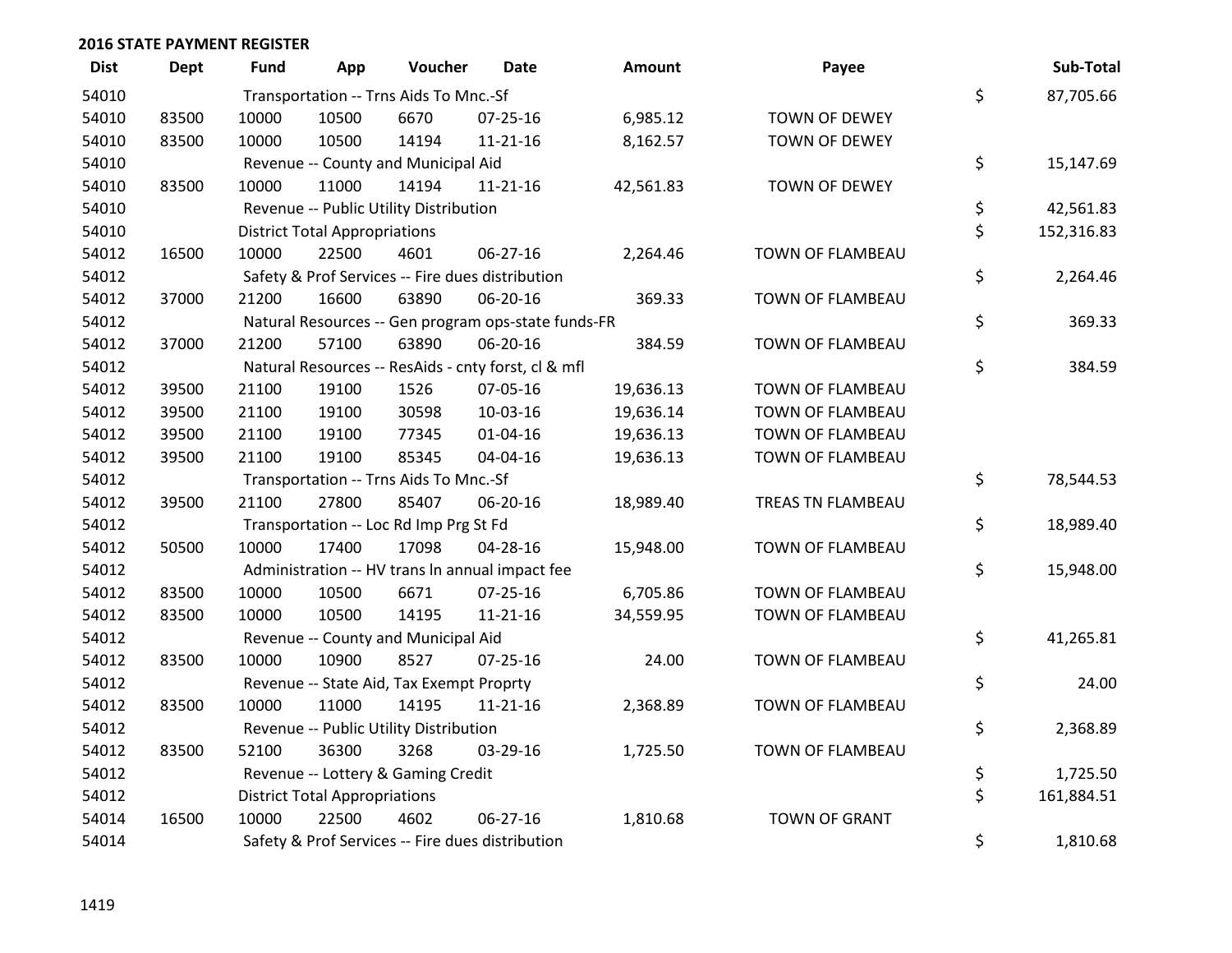| <b>Dist</b> | <b>Dept</b> | <b>Fund</b> | App                                  | Voucher                                             | <b>Date</b>    | <b>Amount</b> | Payee                | Sub-Total        |
|-------------|-------------|-------------|--------------------------------------|-----------------------------------------------------|----------------|---------------|----------------------|------------------|
| 54010       |             |             |                                      | Transportation -- Trns Aids To Mnc.-Sf              |                |               |                      | \$<br>87,705.66  |
| 54010       | 83500       | 10000       | 10500                                | 6670                                                | $07 - 25 - 16$ | 6,985.12      | TOWN OF DEWEY        |                  |
| 54010       | 83500       | 10000       | 10500                                | 14194                                               | $11 - 21 - 16$ | 8,162.57      | TOWN OF DEWEY        |                  |
| 54010       |             |             |                                      | Revenue -- County and Municipal Aid                 |                |               |                      | \$<br>15,147.69  |
| 54010       | 83500       | 10000       | 11000                                | 14194                                               | $11 - 21 - 16$ | 42,561.83     | TOWN OF DEWEY        |                  |
| 54010       |             |             |                                      | Revenue -- Public Utility Distribution              |                |               |                      | \$<br>42,561.83  |
| 54010       |             |             | <b>District Total Appropriations</b> |                                                     |                |               |                      | \$<br>152,316.83 |
| 54012       | 16500       | 10000       | 22500                                | 4601                                                | 06-27-16       | 2,264.46      | TOWN OF FLAMBEAU     |                  |
| 54012       |             |             |                                      | Safety & Prof Services -- Fire dues distribution    |                |               |                      | \$<br>2,264.46   |
| 54012       | 37000       | 21200       | 16600                                | 63890                                               | 06-20-16       | 369.33        | TOWN OF FLAMBEAU     |                  |
| 54012       |             |             |                                      | Natural Resources -- Gen program ops-state funds-FR |                |               |                      | \$<br>369.33     |
| 54012       | 37000       | 21200       | 57100                                | 63890                                               | 06-20-16       | 384.59        | TOWN OF FLAMBEAU     |                  |
| 54012       |             |             |                                      | Natural Resources -- ResAids - cnty forst, cl & mfl |                |               |                      | \$<br>384.59     |
| 54012       | 39500       | 21100       | 19100                                | 1526                                                | 07-05-16       | 19,636.13     | TOWN OF FLAMBEAU     |                  |
| 54012       | 39500       | 21100       | 19100                                | 30598                                               | 10-03-16       | 19,636.14     | TOWN OF FLAMBEAU     |                  |
| 54012       | 39500       | 21100       | 19100                                | 77345                                               | $01 - 04 - 16$ | 19,636.13     | TOWN OF FLAMBEAU     |                  |
| 54012       | 39500       | 21100       | 19100                                | 85345                                               | 04-04-16       | 19,636.13     | TOWN OF FLAMBEAU     |                  |
| 54012       |             |             |                                      | Transportation -- Trns Aids To Mnc.-Sf              |                |               |                      | \$<br>78,544.53  |
| 54012       | 39500       | 21100       | 27800                                | 85407                                               | 06-20-16       | 18,989.40     | TREAS TN FLAMBEAU    |                  |
| 54012       |             |             |                                      | Transportation -- Loc Rd Imp Prg St Fd              |                |               |                      | \$<br>18,989.40  |
| 54012       | 50500       | 10000       | 17400                                | 17098                                               | 04-28-16       | 15,948.00     | TOWN OF FLAMBEAU     |                  |
| 54012       |             |             |                                      | Administration -- HV trans In annual impact fee     |                |               |                      | \$<br>15,948.00  |
| 54012       | 83500       | 10000       | 10500                                | 6671                                                | $07 - 25 - 16$ | 6,705.86      | TOWN OF FLAMBEAU     |                  |
| 54012       | 83500       | 10000       | 10500                                | 14195                                               | $11 - 21 - 16$ | 34,559.95     | TOWN OF FLAMBEAU     |                  |
| 54012       |             |             |                                      | Revenue -- County and Municipal Aid                 |                |               |                      | \$<br>41,265.81  |
| 54012       | 83500       | 10000       | 10900                                | 8527                                                | $07 - 25 - 16$ | 24.00         | TOWN OF FLAMBEAU     |                  |
| 54012       |             |             |                                      | Revenue -- State Aid, Tax Exempt Proprty            |                |               |                      | \$<br>24.00      |
| 54012       | 83500       | 10000       | 11000                                | 14195                                               | $11 - 21 - 16$ | 2,368.89      | TOWN OF FLAMBEAU     |                  |
| 54012       |             |             |                                      | Revenue -- Public Utility Distribution              |                |               |                      | \$<br>2,368.89   |
| 54012       | 83500       | 52100       | 36300                                | 3268                                                | 03-29-16       | 1,725.50      | TOWN OF FLAMBEAU     |                  |
| 54012       |             |             |                                      | Revenue -- Lottery & Gaming Credit                  |                |               |                      | \$<br>1,725.50   |
| 54012       |             |             | <b>District Total Appropriations</b> |                                                     |                |               |                      | \$<br>161,884.51 |
| 54014       | 16500       | 10000       | 22500                                | 4602                                                | 06-27-16       | 1,810.68      | <b>TOWN OF GRANT</b> |                  |
| 54014       |             |             |                                      | Safety & Prof Services -- Fire dues distribution    |                |               |                      | \$<br>1,810.68   |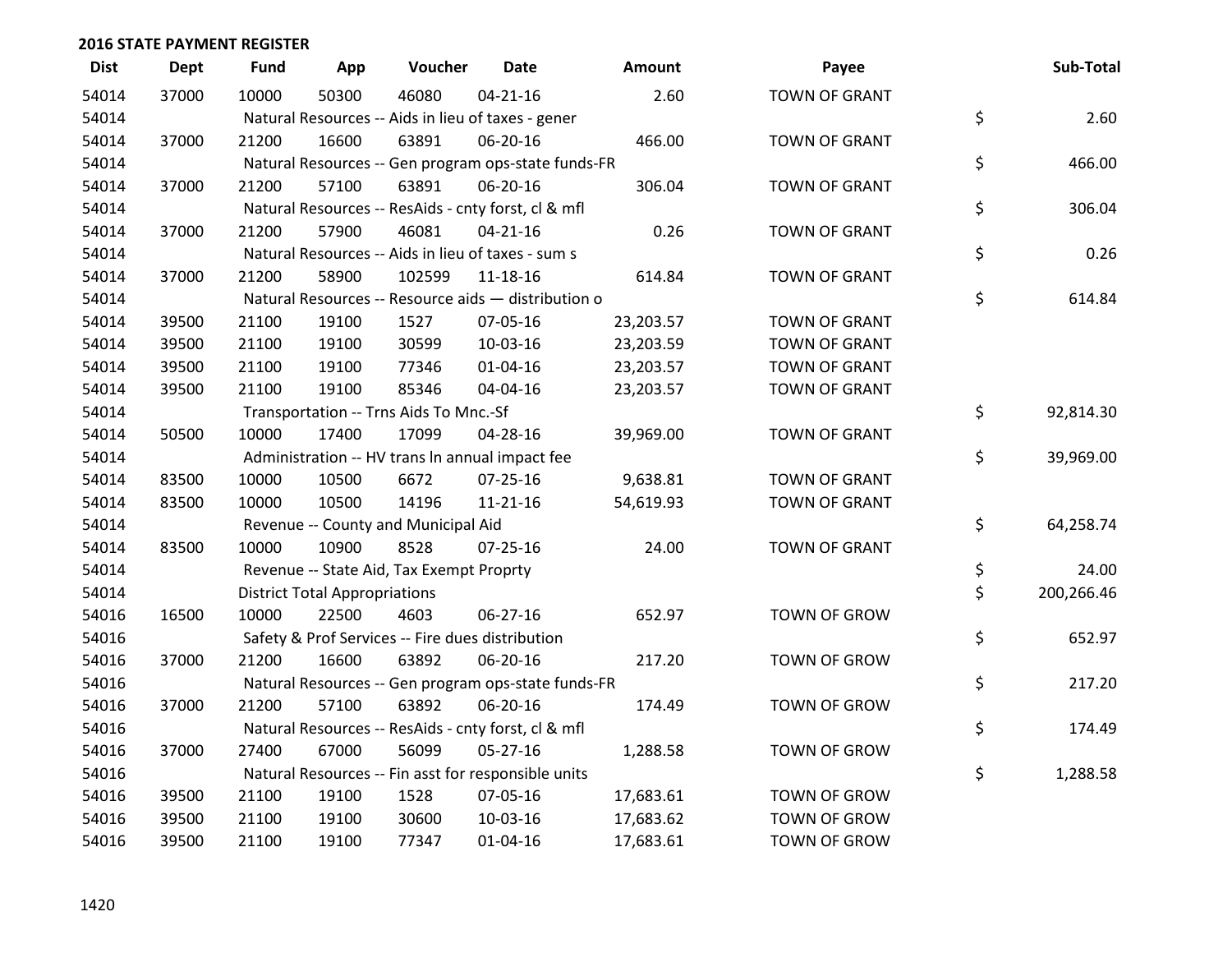| <b>Dist</b> | <b>Dept</b> | <b>Fund</b> | App                                  | Voucher                                             | <b>Date</b>    | Amount    | Payee                | Sub-Total        |
|-------------|-------------|-------------|--------------------------------------|-----------------------------------------------------|----------------|-----------|----------------------|------------------|
| 54014       | 37000       | 10000       | 50300                                | 46080                                               | $04 - 21 - 16$ | 2.60      | <b>TOWN OF GRANT</b> |                  |
| 54014       |             |             |                                      | Natural Resources -- Aids in lieu of taxes - gener  |                |           |                      | \$<br>2.60       |
| 54014       | 37000       | 21200       | 16600                                | 63891                                               | 06-20-16       | 466.00    | <b>TOWN OF GRANT</b> |                  |
| 54014       |             |             |                                      | Natural Resources -- Gen program ops-state funds-FR |                |           |                      | \$<br>466.00     |
| 54014       | 37000       | 21200       | 57100                                | 63891                                               | 06-20-16       | 306.04    | <b>TOWN OF GRANT</b> |                  |
| 54014       |             |             |                                      | Natural Resources -- ResAids - cnty forst, cl & mfl |                |           |                      | \$<br>306.04     |
| 54014       | 37000       | 21200       | 57900                                | 46081                                               | $04 - 21 - 16$ | 0.26      | <b>TOWN OF GRANT</b> |                  |
| 54014       |             |             |                                      | Natural Resources -- Aids in lieu of taxes - sum s  |                |           |                      | \$<br>0.26       |
| 54014       | 37000       | 21200       | 58900                                | 102599                                              | $11 - 18 - 16$ | 614.84    | <b>TOWN OF GRANT</b> |                  |
| 54014       |             |             |                                      | Natural Resources -- Resource aids - distribution o |                |           |                      | \$<br>614.84     |
| 54014       | 39500       | 21100       | 19100                                | 1527                                                | 07-05-16       | 23,203.57 | <b>TOWN OF GRANT</b> |                  |
| 54014       | 39500       | 21100       | 19100                                | 30599                                               | 10-03-16       | 23,203.59 | <b>TOWN OF GRANT</b> |                  |
| 54014       | 39500       | 21100       | 19100                                | 77346                                               | $01 - 04 - 16$ | 23,203.57 | <b>TOWN OF GRANT</b> |                  |
| 54014       | 39500       | 21100       | 19100                                | 85346                                               | 04-04-16       | 23,203.57 | <b>TOWN OF GRANT</b> |                  |
| 54014       |             |             |                                      | Transportation -- Trns Aids To Mnc.-Sf              |                |           |                      | \$<br>92,814.30  |
| 54014       | 50500       | 10000       | 17400                                | 17099                                               | 04-28-16       | 39,969.00 | <b>TOWN OF GRANT</b> |                  |
| 54014       |             |             |                                      | Administration -- HV trans In annual impact fee     |                |           |                      | \$<br>39,969.00  |
| 54014       | 83500       | 10000       | 10500                                | 6672                                                | 07-25-16       | 9,638.81  | <b>TOWN OF GRANT</b> |                  |
| 54014       | 83500       | 10000       | 10500                                | 14196                                               | $11 - 21 - 16$ | 54,619.93 | <b>TOWN OF GRANT</b> |                  |
| 54014       |             |             |                                      | Revenue -- County and Municipal Aid                 |                |           |                      | \$<br>64,258.74  |
| 54014       | 83500       | 10000       | 10900                                | 8528                                                | 07-25-16       | 24.00     | <b>TOWN OF GRANT</b> |                  |
| 54014       |             |             |                                      | Revenue -- State Aid, Tax Exempt Proprty            |                |           |                      | \$<br>24.00      |
| 54014       |             |             | <b>District Total Appropriations</b> |                                                     |                |           |                      | \$<br>200,266.46 |
| 54016       | 16500       | 10000       | 22500                                | 4603                                                | 06-27-16       | 652.97    | <b>TOWN OF GROW</b>  |                  |
| 54016       |             |             |                                      | Safety & Prof Services -- Fire dues distribution    |                |           |                      | \$<br>652.97     |
| 54016       | 37000       | 21200       | 16600                                | 63892                                               | 06-20-16       | 217.20    | <b>TOWN OF GROW</b>  |                  |
| 54016       |             |             |                                      | Natural Resources -- Gen program ops-state funds-FR |                |           |                      | \$<br>217.20     |
| 54016       | 37000       | 21200       | 57100                                | 63892                                               | 06-20-16       | 174.49    | <b>TOWN OF GROW</b>  |                  |
| 54016       |             |             |                                      | Natural Resources -- ResAids - cnty forst, cl & mfl |                |           |                      | \$<br>174.49     |
| 54016       | 37000       | 27400       | 67000                                | 56099                                               | $05 - 27 - 16$ | 1,288.58  | TOWN OF GROW         |                  |
| 54016       |             |             |                                      | Natural Resources -- Fin asst for responsible units |                |           |                      | \$<br>1,288.58   |
| 54016       | 39500       | 21100       | 19100                                | 1528                                                | 07-05-16       | 17,683.61 | <b>TOWN OF GROW</b>  |                  |
| 54016       | 39500       | 21100       | 19100                                | 30600                                               | 10-03-16       | 17,683.62 | <b>TOWN OF GROW</b>  |                  |
| 54016       | 39500       | 21100       | 19100                                | 77347                                               | $01 - 04 - 16$ | 17,683.61 | <b>TOWN OF GROW</b>  |                  |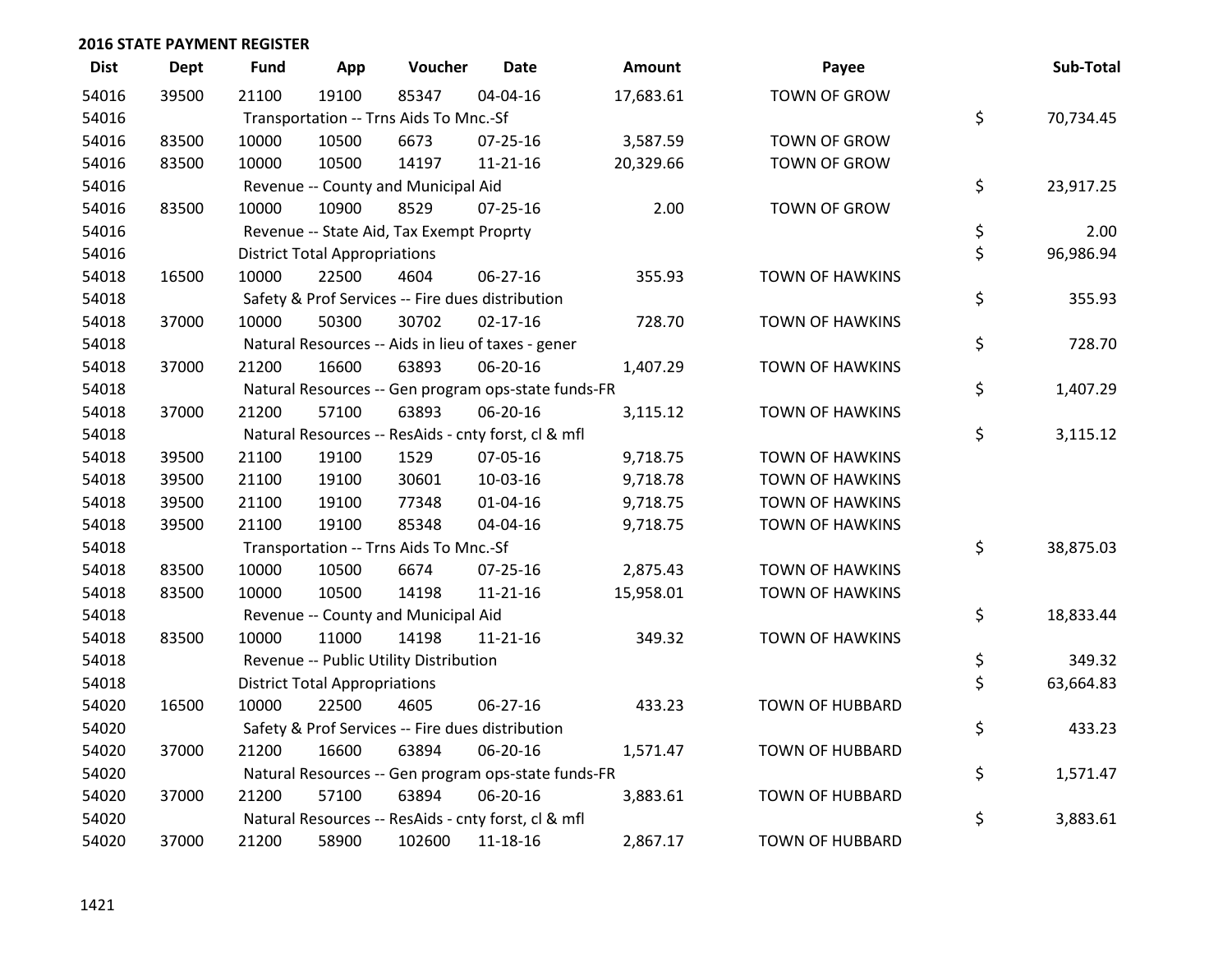| <b>Dist</b> | <b>Dept</b> | <b>Fund</b> | App                                  | Voucher                                          | Date                                                | <b>Amount</b> | Payee                  | Sub-Total       |
|-------------|-------------|-------------|--------------------------------------|--------------------------------------------------|-----------------------------------------------------|---------------|------------------------|-----------------|
| 54016       | 39500       | 21100       | 19100                                | 85347                                            | 04-04-16                                            | 17,683.61     | <b>TOWN OF GROW</b>    |                 |
| 54016       |             |             |                                      | Transportation -- Trns Aids To Mnc.-Sf           |                                                     |               |                        | \$<br>70,734.45 |
| 54016       | 83500       | 10000       | 10500                                | 6673                                             | 07-25-16                                            | 3,587.59      | TOWN OF GROW           |                 |
| 54016       | 83500       | 10000       | 10500                                | 14197                                            | $11 - 21 - 16$                                      | 20,329.66     | TOWN OF GROW           |                 |
| 54016       |             |             |                                      | Revenue -- County and Municipal Aid              |                                                     |               |                        | \$<br>23,917.25 |
| 54016       | 83500       | 10000       | 10900                                | 8529                                             | $07 - 25 - 16$                                      | 2.00          | TOWN OF GROW           |                 |
| 54016       |             |             |                                      | Revenue -- State Aid, Tax Exempt Proprty         |                                                     |               |                        | \$<br>2.00      |
| 54016       |             |             | <b>District Total Appropriations</b> |                                                  |                                                     |               |                        | \$<br>96,986.94 |
| 54018       | 16500       | 10000       | 22500                                | 4604                                             | 06-27-16                                            | 355.93        | <b>TOWN OF HAWKINS</b> |                 |
| 54018       |             |             |                                      | Safety & Prof Services -- Fire dues distribution |                                                     |               |                        | \$<br>355.93    |
| 54018       | 37000       | 10000       | 50300                                | 30702                                            | $02 - 17 - 16$                                      | 728.70        | <b>TOWN OF HAWKINS</b> |                 |
| 54018       |             |             |                                      |                                                  | Natural Resources -- Aids in lieu of taxes - gener  |               |                        | \$<br>728.70    |
| 54018       | 37000       | 21200       | 16600                                | 63893                                            | 06-20-16                                            | 1,407.29      | <b>TOWN OF HAWKINS</b> |                 |
| 54018       |             |             |                                      |                                                  | Natural Resources -- Gen program ops-state funds-FR |               |                        | \$<br>1,407.29  |
| 54018       | 37000       | 21200       | 57100                                | 63893                                            | 06-20-16                                            | 3,115.12      | <b>TOWN OF HAWKINS</b> |                 |
| 54018       |             |             |                                      |                                                  | Natural Resources -- ResAids - cnty forst, cl & mfl |               |                        | \$<br>3,115.12  |
| 54018       | 39500       | 21100       | 19100                                | 1529                                             | 07-05-16                                            | 9,718.75      | <b>TOWN OF HAWKINS</b> |                 |
| 54018       | 39500       | 21100       | 19100                                | 30601                                            | 10-03-16                                            | 9,718.78      | <b>TOWN OF HAWKINS</b> |                 |
| 54018       | 39500       | 21100       | 19100                                | 77348                                            | $01 - 04 - 16$                                      | 9,718.75      | <b>TOWN OF HAWKINS</b> |                 |
| 54018       | 39500       | 21100       | 19100                                | 85348                                            | 04-04-16                                            | 9,718.75      | <b>TOWN OF HAWKINS</b> |                 |
| 54018       |             |             |                                      | Transportation -- Trns Aids To Mnc.-Sf           |                                                     |               |                        | \$<br>38,875.03 |
| 54018       | 83500       | 10000       | 10500                                | 6674                                             | $07 - 25 - 16$                                      | 2,875.43      | TOWN OF HAWKINS        |                 |
| 54018       | 83500       | 10000       | 10500                                | 14198                                            | $11 - 21 - 16$                                      | 15,958.01     | TOWN OF HAWKINS        |                 |
| 54018       |             |             |                                      | Revenue -- County and Municipal Aid              |                                                     |               |                        | \$<br>18,833.44 |
| 54018       | 83500       | 10000       | 11000                                | 14198                                            | $11 - 21 - 16$                                      | 349.32        | <b>TOWN OF HAWKINS</b> |                 |
| 54018       |             |             |                                      | Revenue -- Public Utility Distribution           |                                                     |               |                        | \$<br>349.32    |
| 54018       |             |             | <b>District Total Appropriations</b> |                                                  |                                                     |               |                        | \$<br>63,664.83 |
| 54020       | 16500       | 10000       | 22500                                | 4605                                             | 06-27-16                                            | 433.23        | <b>TOWN OF HUBBARD</b> |                 |
| 54020       |             |             |                                      | Safety & Prof Services -- Fire dues distribution |                                                     |               |                        | \$<br>433.23    |
| 54020       | 37000       | 21200       | 16600                                | 63894                                            | 06-20-16                                            | 1,571.47      | <b>TOWN OF HUBBARD</b> |                 |
| 54020       |             |             |                                      |                                                  | Natural Resources -- Gen program ops-state funds-FR |               |                        | \$<br>1,571.47  |
| 54020       | 37000       | 21200       | 57100                                | 63894                                            | 06-20-16                                            | 3,883.61      | <b>TOWN OF HUBBARD</b> |                 |
| 54020       |             |             |                                      |                                                  | Natural Resources -- ResAids - cnty forst, cl & mfl |               |                        | \$<br>3,883.61  |
| 54020       | 37000       | 21200       | 58900                                | 102600                                           | 11-18-16                                            | 2,867.17      | <b>TOWN OF HUBBARD</b> |                 |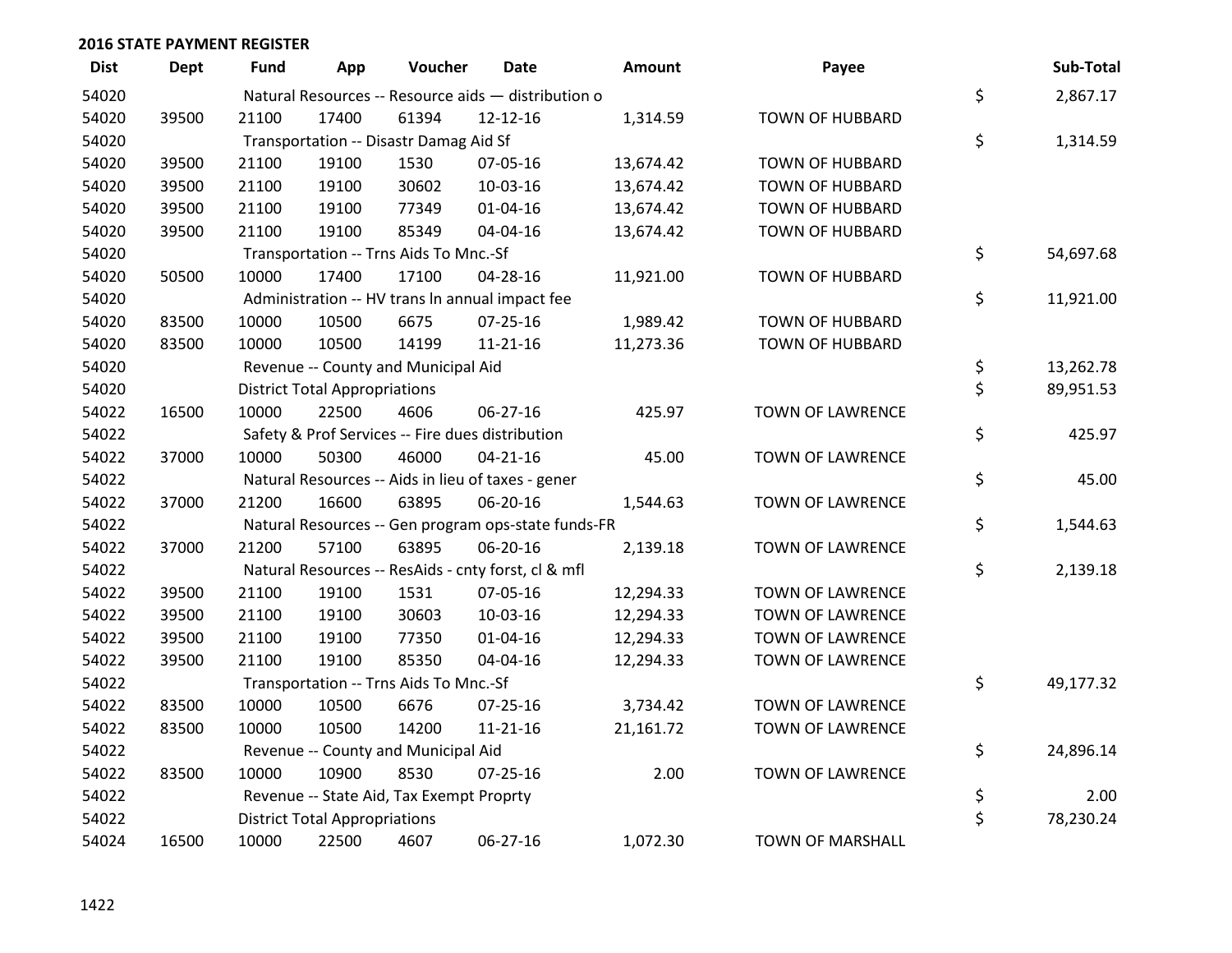| <b>Dist</b> | <b>Dept</b> | Fund  | App                                  | Voucher                                  | Date                                                | <b>Amount</b> | Payee                   | Sub-Total       |
|-------------|-------------|-------|--------------------------------------|------------------------------------------|-----------------------------------------------------|---------------|-------------------------|-----------------|
| 54020       |             |       |                                      |                                          | Natural Resources -- Resource aids - distribution o |               |                         | \$<br>2,867.17  |
| 54020       | 39500       | 21100 | 17400                                | 61394                                    | 12-12-16                                            | 1,314.59      | <b>TOWN OF HUBBARD</b>  |                 |
| 54020       |             |       |                                      | Transportation -- Disastr Damag Aid Sf   |                                                     |               |                         | \$<br>1,314.59  |
| 54020       | 39500       | 21100 | 19100                                | 1530                                     | 07-05-16                                            | 13,674.42     | <b>TOWN OF HUBBARD</b>  |                 |
| 54020       | 39500       | 21100 | 19100                                | 30602                                    | 10-03-16                                            | 13,674.42     | <b>TOWN OF HUBBARD</b>  |                 |
| 54020       | 39500       | 21100 | 19100                                | 77349                                    | $01 - 04 - 16$                                      | 13,674.42     | <b>TOWN OF HUBBARD</b>  |                 |
| 54020       | 39500       | 21100 | 19100                                | 85349                                    | 04-04-16                                            | 13,674.42     | <b>TOWN OF HUBBARD</b>  |                 |
| 54020       |             |       |                                      | Transportation -- Trns Aids To Mnc.-Sf   |                                                     |               |                         | \$<br>54,697.68 |
| 54020       | 50500       | 10000 | 17400                                | 17100                                    | 04-28-16                                            | 11,921.00     | <b>TOWN OF HUBBARD</b>  |                 |
| 54020       |             |       |                                      |                                          | Administration -- HV trans In annual impact fee     |               |                         | \$<br>11,921.00 |
| 54020       | 83500       | 10000 | 10500                                | 6675                                     | $07 - 25 - 16$                                      | 1,989.42      | <b>TOWN OF HUBBARD</b>  |                 |
| 54020       | 83500       | 10000 | 10500                                | 14199                                    | $11 - 21 - 16$                                      | 11,273.36     | <b>TOWN OF HUBBARD</b>  |                 |
| 54020       |             |       |                                      | Revenue -- County and Municipal Aid      |                                                     |               |                         | \$<br>13,262.78 |
| 54020       |             |       | <b>District Total Appropriations</b> |                                          |                                                     |               |                         | \$<br>89,951.53 |
| 54022       | 16500       | 10000 | 22500                                | 4606                                     | 06-27-16                                            | 425.97        | <b>TOWN OF LAWRENCE</b> |                 |
| 54022       |             |       |                                      |                                          | Safety & Prof Services -- Fire dues distribution    |               |                         | \$<br>425.97    |
| 54022       | 37000       | 10000 | 50300                                | 46000                                    | $04 - 21 - 16$                                      | 45.00         | TOWN OF LAWRENCE        |                 |
| 54022       |             |       |                                      |                                          | Natural Resources -- Aids in lieu of taxes - gener  |               |                         | \$<br>45.00     |
| 54022       | 37000       | 21200 | 16600                                | 63895                                    | 06-20-16                                            | 1,544.63      | <b>TOWN OF LAWRENCE</b> |                 |
| 54022       |             |       |                                      |                                          | Natural Resources -- Gen program ops-state funds-FR |               |                         | \$<br>1,544.63  |
| 54022       | 37000       | 21200 | 57100                                | 63895                                    | 06-20-16                                            | 2,139.18      | <b>TOWN OF LAWRENCE</b> |                 |
| 54022       |             |       |                                      |                                          | Natural Resources -- ResAids - cnty forst, cl & mfl |               |                         | \$<br>2,139.18  |
| 54022       | 39500       | 21100 | 19100                                | 1531                                     | 07-05-16                                            | 12,294.33     | <b>TOWN OF LAWRENCE</b> |                 |
| 54022       | 39500       | 21100 | 19100                                | 30603                                    | 10-03-16                                            | 12,294.33     | TOWN OF LAWRENCE        |                 |
| 54022       | 39500       | 21100 | 19100                                | 77350                                    | $01 - 04 - 16$                                      | 12,294.33     | <b>TOWN OF LAWRENCE</b> |                 |
| 54022       | 39500       | 21100 | 19100                                | 85350                                    | 04-04-16                                            | 12,294.33     | <b>TOWN OF LAWRENCE</b> |                 |
| 54022       |             |       |                                      | Transportation -- Trns Aids To Mnc.-Sf   |                                                     |               |                         | \$<br>49,177.32 |
| 54022       | 83500       | 10000 | 10500                                | 6676                                     | 07-25-16                                            | 3,734.42      | TOWN OF LAWRENCE        |                 |
| 54022       | 83500       | 10000 | 10500                                | 14200                                    | $11 - 21 - 16$                                      | 21,161.72     | TOWN OF LAWRENCE        |                 |
| 54022       |             |       |                                      | Revenue -- County and Municipal Aid      |                                                     |               |                         | \$<br>24,896.14 |
| 54022       | 83500       | 10000 | 10900                                | 8530                                     | $07 - 25 - 16$                                      | 2.00          | <b>TOWN OF LAWRENCE</b> |                 |
| 54022       |             |       |                                      | Revenue -- State Aid, Tax Exempt Proprty |                                                     |               |                         | \$<br>2.00      |
| 54022       |             |       | <b>District Total Appropriations</b> |                                          |                                                     |               |                         | \$<br>78,230.24 |
| 54024       | 16500       | 10000 | 22500                                | 4607                                     | 06-27-16                                            | 1,072.30      | <b>TOWN OF MARSHALL</b> |                 |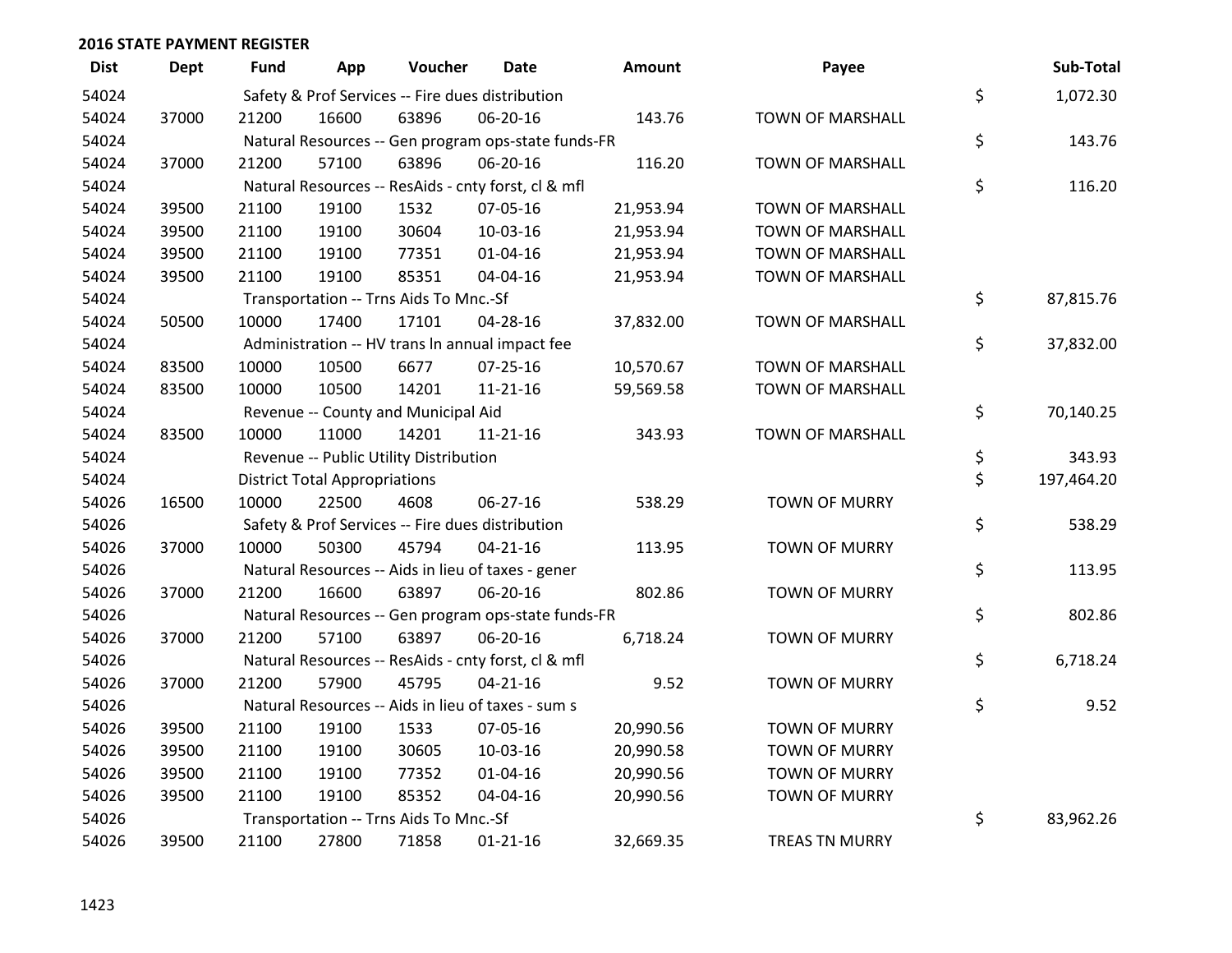| <b>Dist</b> | <b>Dept</b> | Fund  | App                                  | Voucher                                             | Date           | <b>Amount</b> | Payee                   | Sub-Total        |
|-------------|-------------|-------|--------------------------------------|-----------------------------------------------------|----------------|---------------|-------------------------|------------------|
| 54024       |             |       |                                      | Safety & Prof Services -- Fire dues distribution    |                |               |                         | \$<br>1,072.30   |
| 54024       | 37000       | 21200 | 16600                                | 63896                                               | 06-20-16       | 143.76        | TOWN OF MARSHALL        |                  |
| 54024       |             |       |                                      | Natural Resources -- Gen program ops-state funds-FR |                |               |                         | \$<br>143.76     |
| 54024       | 37000       | 21200 | 57100                                | 63896                                               | 06-20-16       | 116.20        | <b>TOWN OF MARSHALL</b> |                  |
| 54024       |             |       |                                      | Natural Resources -- ResAids - cnty forst, cl & mfl |                |               |                         | \$<br>116.20     |
| 54024       | 39500       | 21100 | 19100                                | 1532                                                | 07-05-16       | 21,953.94     | <b>TOWN OF MARSHALL</b> |                  |
| 54024       | 39500       | 21100 | 19100                                | 30604                                               | 10-03-16       | 21,953.94     | <b>TOWN OF MARSHALL</b> |                  |
| 54024       | 39500       | 21100 | 19100                                | 77351                                               | $01 - 04 - 16$ | 21,953.94     | <b>TOWN OF MARSHALL</b> |                  |
| 54024       | 39500       | 21100 | 19100                                | 85351                                               | 04-04-16       | 21,953.94     | TOWN OF MARSHALL        |                  |
| 54024       |             |       |                                      | Transportation -- Trns Aids To Mnc.-Sf              |                |               |                         | \$<br>87,815.76  |
| 54024       | 50500       | 10000 | 17400                                | 17101                                               | 04-28-16       | 37,832.00     | <b>TOWN OF MARSHALL</b> |                  |
| 54024       |             |       |                                      | Administration -- HV trans In annual impact fee     |                |               |                         | \$<br>37,832.00  |
| 54024       | 83500       | 10000 | 10500                                | 6677                                                | $07 - 25 - 16$ | 10,570.67     | <b>TOWN OF MARSHALL</b> |                  |
| 54024       | 83500       | 10000 | 10500                                | 14201                                               | $11 - 21 - 16$ | 59,569.58     | <b>TOWN OF MARSHALL</b> |                  |
| 54024       |             |       |                                      | Revenue -- County and Municipal Aid                 |                |               |                         | \$<br>70,140.25  |
| 54024       | 83500       | 10000 | 11000                                | 14201                                               | $11 - 21 - 16$ | 343.93        | <b>TOWN OF MARSHALL</b> |                  |
| 54024       |             |       |                                      | Revenue -- Public Utility Distribution              |                |               |                         | \$<br>343.93     |
| 54024       |             |       | <b>District Total Appropriations</b> |                                                     |                |               |                         | \$<br>197,464.20 |
| 54026       | 16500       | 10000 | 22500                                | 4608                                                | 06-27-16       | 538.29        | <b>TOWN OF MURRY</b>    |                  |
| 54026       |             |       |                                      | Safety & Prof Services -- Fire dues distribution    |                |               |                         | \$<br>538.29     |
| 54026       | 37000       | 10000 | 50300                                | 45794                                               | $04 - 21 - 16$ | 113.95        | <b>TOWN OF MURRY</b>    |                  |
| 54026       |             |       |                                      | Natural Resources -- Aids in lieu of taxes - gener  |                |               |                         | \$<br>113.95     |
| 54026       | 37000       | 21200 | 16600                                | 63897                                               | 06-20-16       | 802.86        | <b>TOWN OF MURRY</b>    |                  |
| 54026       |             |       |                                      | Natural Resources -- Gen program ops-state funds-FR |                |               |                         | \$<br>802.86     |
| 54026       | 37000       | 21200 | 57100                                | 63897                                               | 06-20-16       | 6,718.24      | <b>TOWN OF MURRY</b>    |                  |
| 54026       |             |       |                                      | Natural Resources -- ResAids - cnty forst, cl & mfl |                |               |                         | \$<br>6,718.24   |
| 54026       | 37000       | 21200 | 57900                                | 45795                                               | $04 - 21 - 16$ | 9.52          | <b>TOWN OF MURRY</b>    |                  |
| 54026       |             |       |                                      | Natural Resources -- Aids in lieu of taxes - sum s  |                |               |                         | \$<br>9.52       |
| 54026       | 39500       | 21100 | 19100                                | 1533                                                | 07-05-16       | 20,990.56     | <b>TOWN OF MURRY</b>    |                  |
| 54026       | 39500       | 21100 | 19100                                | 30605                                               | 10-03-16       | 20,990.58     | <b>TOWN OF MURRY</b>    |                  |
| 54026       | 39500       | 21100 | 19100                                | 77352                                               | $01 - 04 - 16$ | 20,990.56     | <b>TOWN OF MURRY</b>    |                  |
| 54026       | 39500       | 21100 | 19100                                | 85352                                               | 04-04-16       | 20,990.56     | <b>TOWN OF MURRY</b>    |                  |
| 54026       |             |       |                                      | Transportation -- Trns Aids To Mnc.-Sf              |                |               |                         | \$<br>83,962.26  |
| 54026       | 39500       | 21100 | 27800                                | 71858                                               | $01 - 21 - 16$ | 32,669.35     | <b>TREAS TN MURRY</b>   |                  |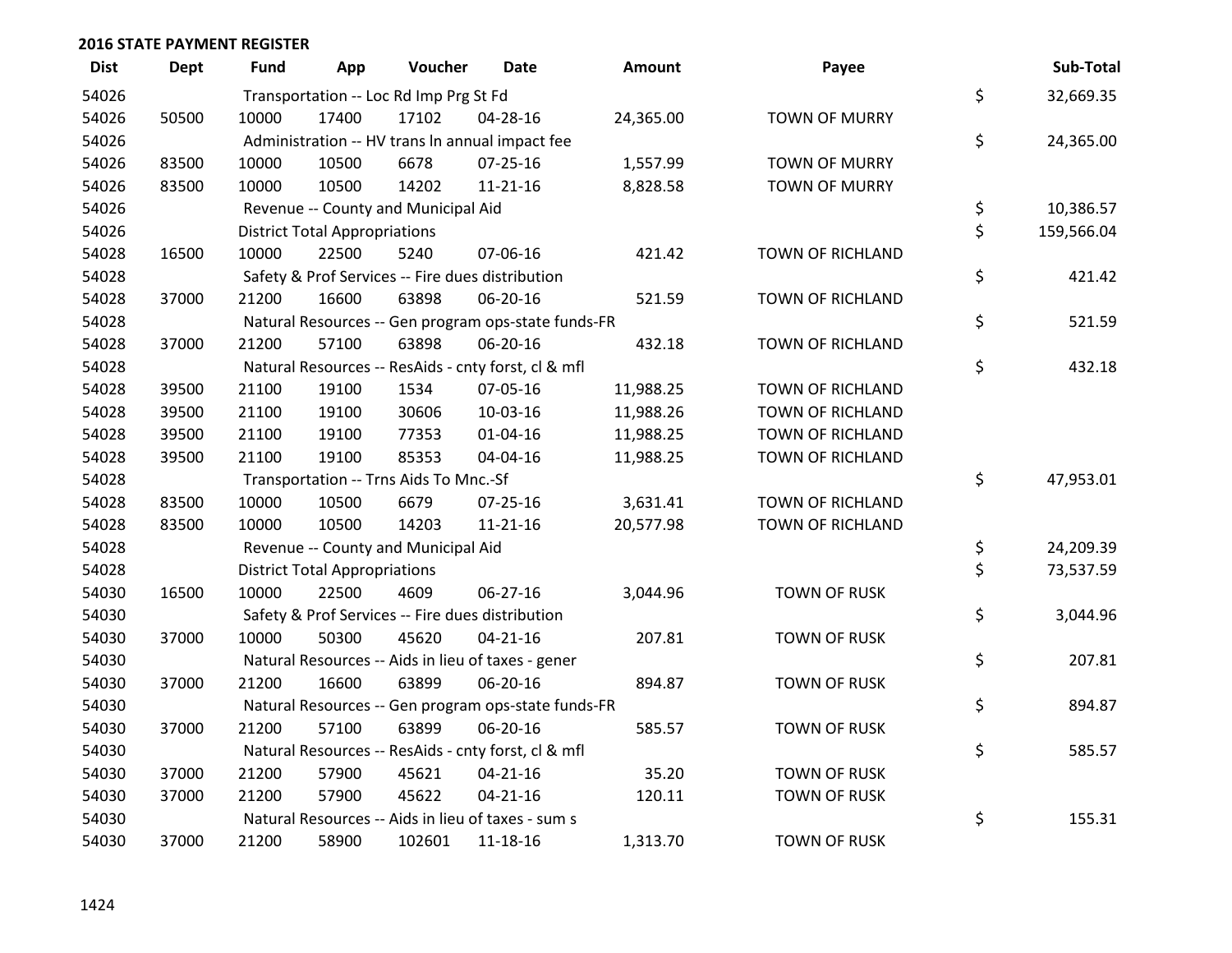| <b>Dist</b> | <b>Dept</b> | <b>Fund</b> | App                                  | Voucher                                | Date                                                | <b>Amount</b> | Payee                   | Sub-Total        |
|-------------|-------------|-------------|--------------------------------------|----------------------------------------|-----------------------------------------------------|---------------|-------------------------|------------------|
| 54026       |             |             |                                      | Transportation -- Loc Rd Imp Prg St Fd |                                                     |               |                         | \$<br>32,669.35  |
| 54026       | 50500       | 10000       | 17400                                | 17102                                  | 04-28-16                                            | 24,365.00     | <b>TOWN OF MURRY</b>    |                  |
| 54026       |             |             |                                      |                                        | Administration -- HV trans In annual impact fee     |               |                         | \$<br>24,365.00  |
| 54026       | 83500       | 10000       | 10500                                | 6678                                   | $07 - 25 - 16$                                      | 1,557.99      | <b>TOWN OF MURRY</b>    |                  |
| 54026       | 83500       | 10000       | 10500                                | 14202                                  | $11 - 21 - 16$                                      | 8,828.58      | <b>TOWN OF MURRY</b>    |                  |
| 54026       |             |             |                                      | Revenue -- County and Municipal Aid    |                                                     |               |                         | \$<br>10,386.57  |
| 54026       |             |             | <b>District Total Appropriations</b> |                                        |                                                     |               |                         | \$<br>159,566.04 |
| 54028       | 16500       | 10000       | 22500                                | 5240                                   | 07-06-16                                            | 421.42        | <b>TOWN OF RICHLAND</b> |                  |
| 54028       |             |             |                                      |                                        | Safety & Prof Services -- Fire dues distribution    |               |                         | \$<br>421.42     |
| 54028       | 37000       | 21200       | 16600                                | 63898                                  | 06-20-16                                            | 521.59        | TOWN OF RICHLAND        |                  |
| 54028       |             |             |                                      |                                        | Natural Resources -- Gen program ops-state funds-FR |               |                         | \$<br>521.59     |
| 54028       | 37000       | 21200       | 57100                                | 63898                                  | 06-20-16                                            | 432.18        | TOWN OF RICHLAND        |                  |
| 54028       |             |             |                                      |                                        | Natural Resources -- ResAids - cnty forst, cl & mfl |               |                         | \$<br>432.18     |
| 54028       | 39500       | 21100       | 19100                                | 1534                                   | 07-05-16                                            | 11,988.25     | TOWN OF RICHLAND        |                  |
| 54028       | 39500       | 21100       | 19100                                | 30606                                  | 10-03-16                                            | 11,988.26     | TOWN OF RICHLAND        |                  |
| 54028       | 39500       | 21100       | 19100                                | 77353                                  | $01 - 04 - 16$                                      | 11,988.25     | <b>TOWN OF RICHLAND</b> |                  |
| 54028       | 39500       | 21100       | 19100                                | 85353                                  | 04-04-16                                            | 11,988.25     | TOWN OF RICHLAND        |                  |
| 54028       |             |             |                                      | Transportation -- Trns Aids To Mnc.-Sf |                                                     |               |                         | \$<br>47,953.01  |
| 54028       | 83500       | 10000       | 10500                                | 6679                                   | 07-25-16                                            | 3,631.41      | TOWN OF RICHLAND        |                  |
| 54028       | 83500       | 10000       | 10500                                | 14203                                  | $11 - 21 - 16$                                      | 20,577.98     | <b>TOWN OF RICHLAND</b> |                  |
| 54028       |             |             |                                      | Revenue -- County and Municipal Aid    |                                                     |               |                         | \$<br>24,209.39  |
| 54028       |             |             | <b>District Total Appropriations</b> |                                        |                                                     |               |                         | \$<br>73,537.59  |
| 54030       | 16500       | 10000       | 22500                                | 4609                                   | 06-27-16                                            | 3,044.96      | <b>TOWN OF RUSK</b>     |                  |
| 54030       |             |             |                                      |                                        | Safety & Prof Services -- Fire dues distribution    |               |                         | \$<br>3,044.96   |
| 54030       | 37000       | 10000       | 50300                                | 45620                                  | $04 - 21 - 16$                                      | 207.81        | <b>TOWN OF RUSK</b>     |                  |
| 54030       |             |             |                                      |                                        | Natural Resources -- Aids in lieu of taxes - gener  |               |                         | \$<br>207.81     |
| 54030       | 37000       | 21200       | 16600                                | 63899                                  | 06-20-16                                            | 894.87        | <b>TOWN OF RUSK</b>     |                  |
| 54030       |             |             |                                      |                                        | Natural Resources -- Gen program ops-state funds-FR |               |                         | \$<br>894.87     |
| 54030       | 37000       | 21200       | 57100                                | 63899                                  | 06-20-16                                            | 585.57        | <b>TOWN OF RUSK</b>     |                  |
| 54030       |             |             |                                      |                                        | Natural Resources -- ResAids - cnty forst, cl & mfl |               |                         | \$<br>585.57     |
| 54030       | 37000       | 21200       | 57900                                | 45621                                  | $04 - 21 - 16$                                      | 35.20         | <b>TOWN OF RUSK</b>     |                  |
| 54030       | 37000       | 21200       | 57900                                | 45622                                  | $04 - 21 - 16$                                      | 120.11        | <b>TOWN OF RUSK</b>     |                  |
| 54030       |             |             |                                      |                                        | Natural Resources -- Aids in lieu of taxes - sum s  |               |                         | \$<br>155.31     |
| 54030       | 37000       | 21200       | 58900                                | 102601                                 | 11-18-16                                            | 1,313.70      | <b>TOWN OF RUSK</b>     |                  |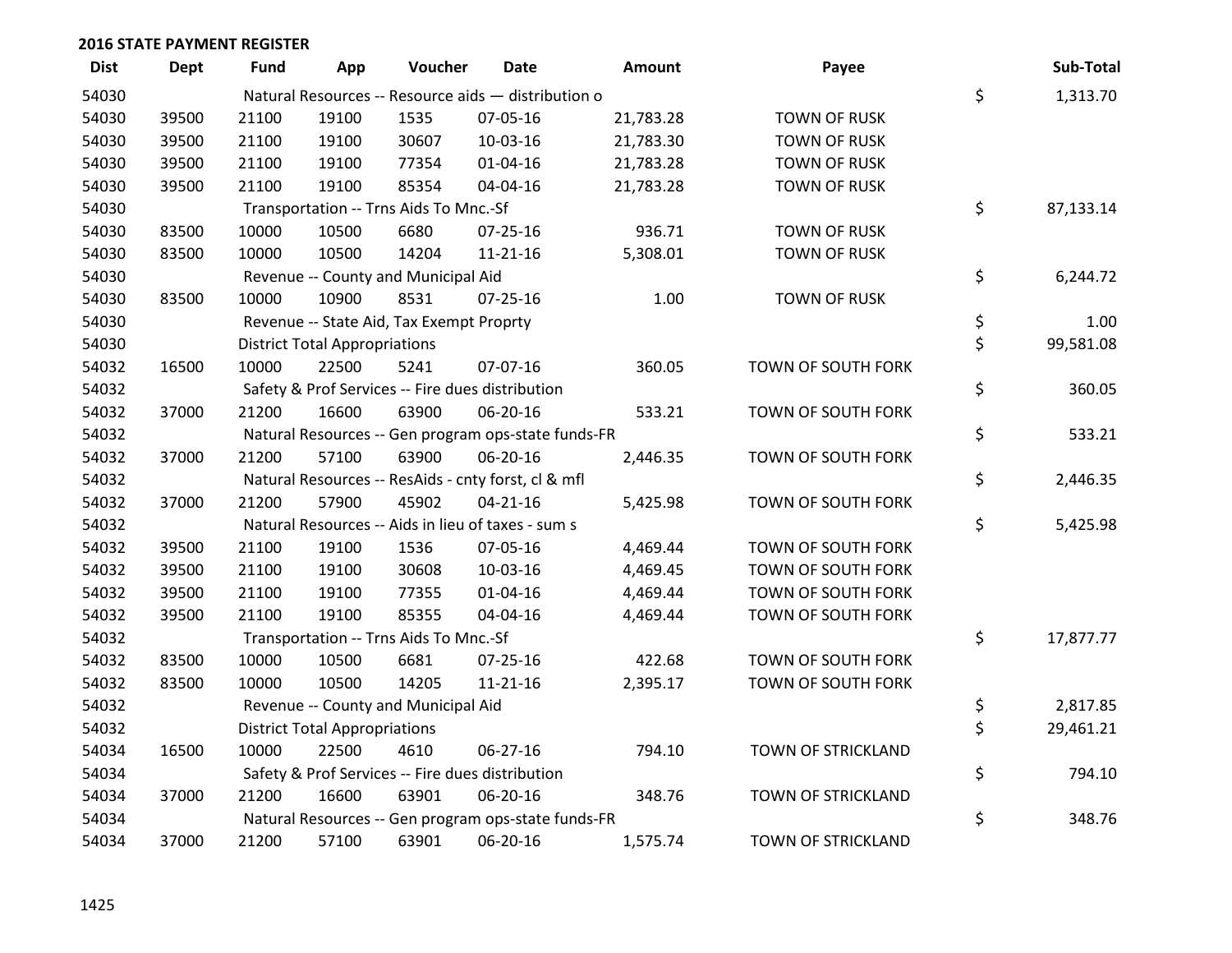| <b>Dist</b> | <b>Dept</b> | <b>Fund</b> | App                                  | Voucher                                  | Date                                                | <b>Amount</b> | Payee               | Sub-Total       |
|-------------|-------------|-------------|--------------------------------------|------------------------------------------|-----------------------------------------------------|---------------|---------------------|-----------------|
| 54030       |             |             |                                      |                                          | Natural Resources -- Resource aids - distribution o |               |                     | \$<br>1,313.70  |
| 54030       | 39500       | 21100       | 19100                                | 1535                                     | 07-05-16                                            | 21,783.28     | <b>TOWN OF RUSK</b> |                 |
| 54030       | 39500       | 21100       | 19100                                | 30607                                    | 10-03-16                                            | 21,783.30     | <b>TOWN OF RUSK</b> |                 |
| 54030       | 39500       | 21100       | 19100                                | 77354                                    | $01 - 04 - 16$                                      | 21,783.28     | <b>TOWN OF RUSK</b> |                 |
| 54030       | 39500       | 21100       | 19100                                | 85354                                    | 04-04-16                                            | 21,783.28     | <b>TOWN OF RUSK</b> |                 |
| 54030       |             |             |                                      | Transportation -- Trns Aids To Mnc.-Sf   |                                                     |               |                     | \$<br>87,133.14 |
| 54030       | 83500       | 10000       | 10500                                | 6680                                     | $07 - 25 - 16$                                      | 936.71        | <b>TOWN OF RUSK</b> |                 |
| 54030       | 83500       | 10000       | 10500                                | 14204                                    | $11 - 21 - 16$                                      | 5,308.01      | <b>TOWN OF RUSK</b> |                 |
| 54030       |             |             |                                      | Revenue -- County and Municipal Aid      |                                                     |               |                     | \$<br>6,244.72  |
| 54030       | 83500       | 10000       | 10900                                | 8531                                     | $07 - 25 - 16$                                      | 1.00          | <b>TOWN OF RUSK</b> |                 |
| 54030       |             |             |                                      | Revenue -- State Aid, Tax Exempt Proprty |                                                     |               |                     | \$<br>1.00      |
| 54030       |             |             | <b>District Total Appropriations</b> |                                          |                                                     |               |                     | \$<br>99,581.08 |
| 54032       | 16500       | 10000       | 22500                                | 5241                                     | 07-07-16                                            | 360.05        | TOWN OF SOUTH FORK  |                 |
| 54032       |             |             |                                      |                                          | Safety & Prof Services -- Fire dues distribution    |               |                     | \$<br>360.05    |
| 54032       | 37000       | 21200       | 16600                                | 63900                                    | 06-20-16                                            | 533.21        | TOWN OF SOUTH FORK  |                 |
| 54032       |             |             |                                      |                                          | Natural Resources -- Gen program ops-state funds-FR |               |                     | \$<br>533.21    |
| 54032       | 37000       | 21200       | 57100                                | 63900                                    | 06-20-16                                            | 2,446.35      | TOWN OF SOUTH FORK  |                 |
| 54032       |             |             |                                      |                                          | Natural Resources -- ResAids - cnty forst, cl & mfl |               |                     | \$<br>2,446.35  |
| 54032       | 37000       | 21200       | 57900                                | 45902                                    | $04 - 21 - 16$                                      | 5,425.98      | TOWN OF SOUTH FORK  |                 |
| 54032       |             |             |                                      |                                          | Natural Resources -- Aids in lieu of taxes - sum s  |               |                     | \$<br>5,425.98  |
| 54032       | 39500       | 21100       | 19100                                | 1536                                     | 07-05-16                                            | 4,469.44      | TOWN OF SOUTH FORK  |                 |
| 54032       | 39500       | 21100       | 19100                                | 30608                                    | 10-03-16                                            | 4,469.45      | TOWN OF SOUTH FORK  |                 |
| 54032       | 39500       | 21100       | 19100                                | 77355                                    | $01 - 04 - 16$                                      | 4,469.44      | TOWN OF SOUTH FORK  |                 |
| 54032       | 39500       | 21100       | 19100                                | 85355                                    | 04-04-16                                            | 4,469.44      | TOWN OF SOUTH FORK  |                 |
| 54032       |             |             |                                      | Transportation -- Trns Aids To Mnc.-Sf   |                                                     |               |                     | \$<br>17,877.77 |
| 54032       | 83500       | 10000       | 10500                                | 6681                                     | $07 - 25 - 16$                                      | 422.68        | TOWN OF SOUTH FORK  |                 |
| 54032       | 83500       | 10000       | 10500                                | 14205                                    | $11 - 21 - 16$                                      | 2,395.17      | TOWN OF SOUTH FORK  |                 |
| 54032       |             |             |                                      | Revenue -- County and Municipal Aid      |                                                     |               |                     | \$<br>2,817.85  |
| 54032       |             |             | <b>District Total Appropriations</b> |                                          |                                                     |               |                     | \$<br>29,461.21 |
| 54034       | 16500       | 10000       | 22500                                | 4610                                     | 06-27-16                                            | 794.10        | TOWN OF STRICKLAND  |                 |
| 54034       |             |             |                                      |                                          | Safety & Prof Services -- Fire dues distribution    |               |                     | \$<br>794.10    |
| 54034       | 37000       | 21200       | 16600                                | 63901                                    | 06-20-16                                            | 348.76        | TOWN OF STRICKLAND  |                 |
| 54034       |             |             |                                      |                                          | Natural Resources -- Gen program ops-state funds-FR |               |                     | \$<br>348.76    |
| 54034       | 37000       | 21200       | 57100                                | 63901                                    | 06-20-16                                            | 1,575.74      | TOWN OF STRICKLAND  |                 |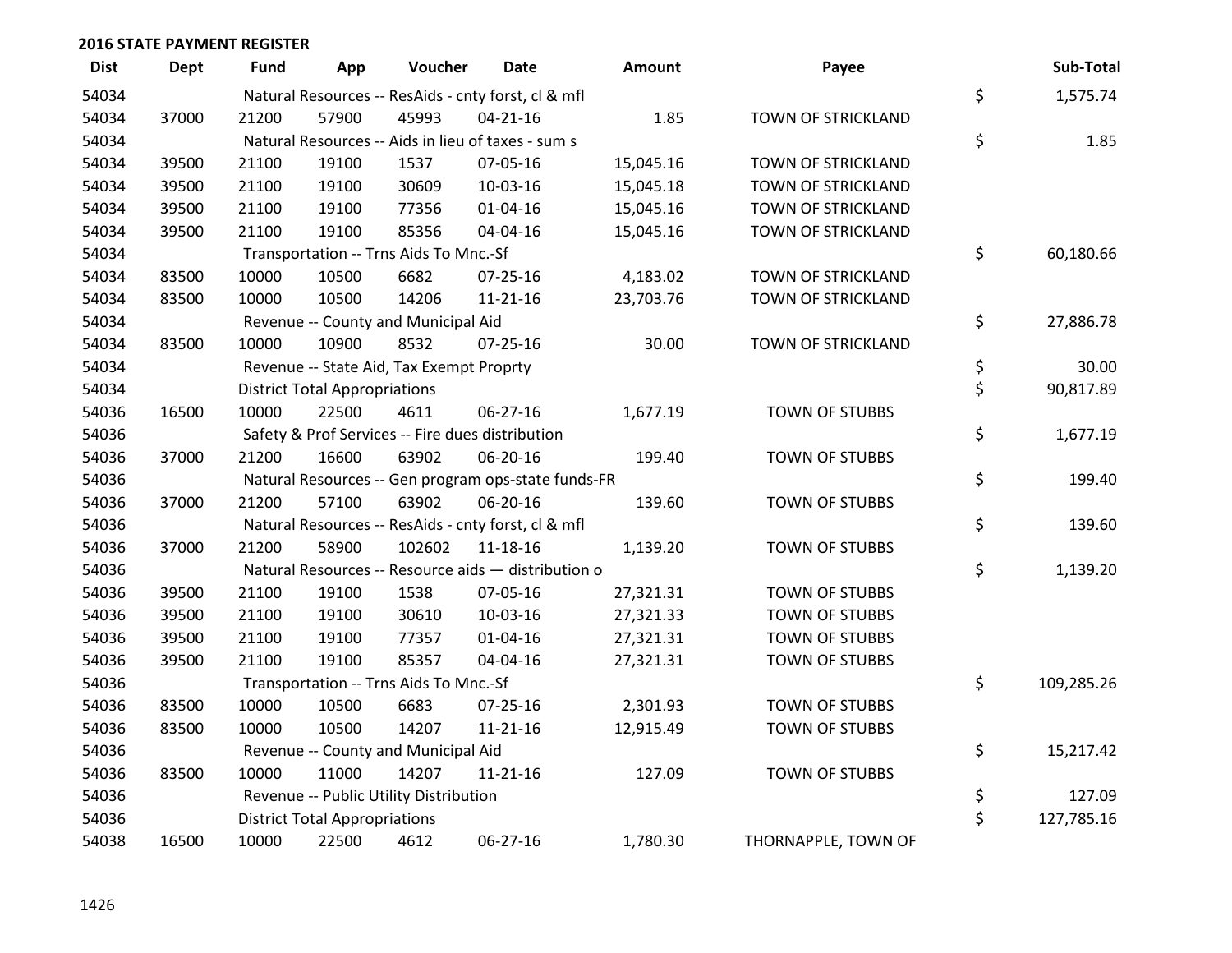| <b>Dist</b> | <b>Dept</b> | <b>Fund</b> | App                                  | Voucher                                             | <b>Date</b>    | <b>Amount</b> | Payee                 | Sub-Total        |
|-------------|-------------|-------------|--------------------------------------|-----------------------------------------------------|----------------|---------------|-----------------------|------------------|
| 54034       |             |             |                                      | Natural Resources -- ResAids - cnty forst, cl & mfl |                |               |                       | \$<br>1,575.74   |
| 54034       | 37000       | 21200       | 57900                                | 45993                                               | $04 - 21 - 16$ | 1.85          | TOWN OF STRICKLAND    |                  |
| 54034       |             |             |                                      | Natural Resources -- Aids in lieu of taxes - sum s  |                |               |                       | \$<br>1.85       |
| 54034       | 39500       | 21100       | 19100                                | 1537                                                | 07-05-16       | 15,045.16     | TOWN OF STRICKLAND    |                  |
| 54034       | 39500       | 21100       | 19100                                | 30609                                               | 10-03-16       | 15,045.18     | TOWN OF STRICKLAND    |                  |
| 54034       | 39500       | 21100       | 19100                                | 77356                                               | $01 - 04 - 16$ | 15,045.16     | TOWN OF STRICKLAND    |                  |
| 54034       | 39500       | 21100       | 19100                                | 85356                                               | 04-04-16       | 15,045.16     | TOWN OF STRICKLAND    |                  |
| 54034       |             |             |                                      | Transportation -- Trns Aids To Mnc.-Sf              |                |               |                       | \$<br>60,180.66  |
| 54034       | 83500       | 10000       | 10500                                | 6682                                                | $07 - 25 - 16$ | 4,183.02      | TOWN OF STRICKLAND    |                  |
| 54034       | 83500       | 10000       | 10500                                | 14206                                               | $11 - 21 - 16$ | 23,703.76     | TOWN OF STRICKLAND    |                  |
| 54034       |             |             |                                      | Revenue -- County and Municipal Aid                 |                |               |                       | \$<br>27,886.78  |
| 54034       | 83500       | 10000       | 10900                                | 8532                                                | $07 - 25 - 16$ | 30.00         | TOWN OF STRICKLAND    |                  |
| 54034       |             |             |                                      | Revenue -- State Aid, Tax Exempt Proprty            |                |               |                       | \$<br>30.00      |
| 54034       |             |             | <b>District Total Appropriations</b> |                                                     |                |               |                       | \$<br>90,817.89  |
| 54036       | 16500       | 10000       | 22500                                | 4611                                                | 06-27-16       | 1,677.19      | TOWN OF STUBBS        |                  |
| 54036       |             |             |                                      | Safety & Prof Services -- Fire dues distribution    |                |               |                       | \$<br>1,677.19   |
| 54036       | 37000       | 21200       | 16600                                | 63902                                               | 06-20-16       | 199.40        | <b>TOWN OF STUBBS</b> |                  |
| 54036       |             |             |                                      | Natural Resources -- Gen program ops-state funds-FR |                |               |                       | \$<br>199.40     |
| 54036       | 37000       | 21200       | 57100                                | 63902                                               | 06-20-16       | 139.60        | TOWN OF STUBBS        |                  |
| 54036       |             |             |                                      | Natural Resources -- ResAids - cnty forst, cl & mfl |                |               |                       | \$<br>139.60     |
| 54036       | 37000       | 21200       | 58900                                | 102602                                              | 11-18-16       | 1,139.20      | <b>TOWN OF STUBBS</b> |                  |
| 54036       |             |             |                                      | Natural Resources -- Resource aids - distribution o |                |               |                       | \$<br>1,139.20   |
| 54036       | 39500       | 21100       | 19100                                | 1538                                                | 07-05-16       | 27,321.31     | TOWN OF STUBBS        |                  |
| 54036       | 39500       | 21100       | 19100                                | 30610                                               | 10-03-16       | 27,321.33     | TOWN OF STUBBS        |                  |
| 54036       | 39500       | 21100       | 19100                                | 77357                                               | $01 - 04 - 16$ | 27,321.31     | TOWN OF STUBBS        |                  |
| 54036       | 39500       | 21100       | 19100                                | 85357                                               | 04-04-16       | 27,321.31     | TOWN OF STUBBS        |                  |
| 54036       |             |             |                                      | Transportation -- Trns Aids To Mnc.-Sf              |                |               |                       | \$<br>109,285.26 |
| 54036       | 83500       | 10000       | 10500                                | 6683                                                | $07 - 25 - 16$ | 2,301.93      | TOWN OF STUBBS        |                  |
| 54036       | 83500       | 10000       | 10500                                | 14207                                               | $11 - 21 - 16$ | 12,915.49     | TOWN OF STUBBS        |                  |
| 54036       |             |             |                                      | Revenue -- County and Municipal Aid                 |                |               |                       | \$<br>15,217.42  |
| 54036       | 83500       | 10000       | 11000                                | 14207                                               | $11 - 21 - 16$ | 127.09        | TOWN OF STUBBS        |                  |
| 54036       |             |             |                                      | Revenue -- Public Utility Distribution              |                |               |                       | \$<br>127.09     |
| 54036       |             |             | <b>District Total Appropriations</b> |                                                     |                |               |                       | \$<br>127,785.16 |
| 54038       | 16500       | 10000       | 22500                                | 4612                                                | 06-27-16       | 1,780.30      | THORNAPPLE, TOWN OF   |                  |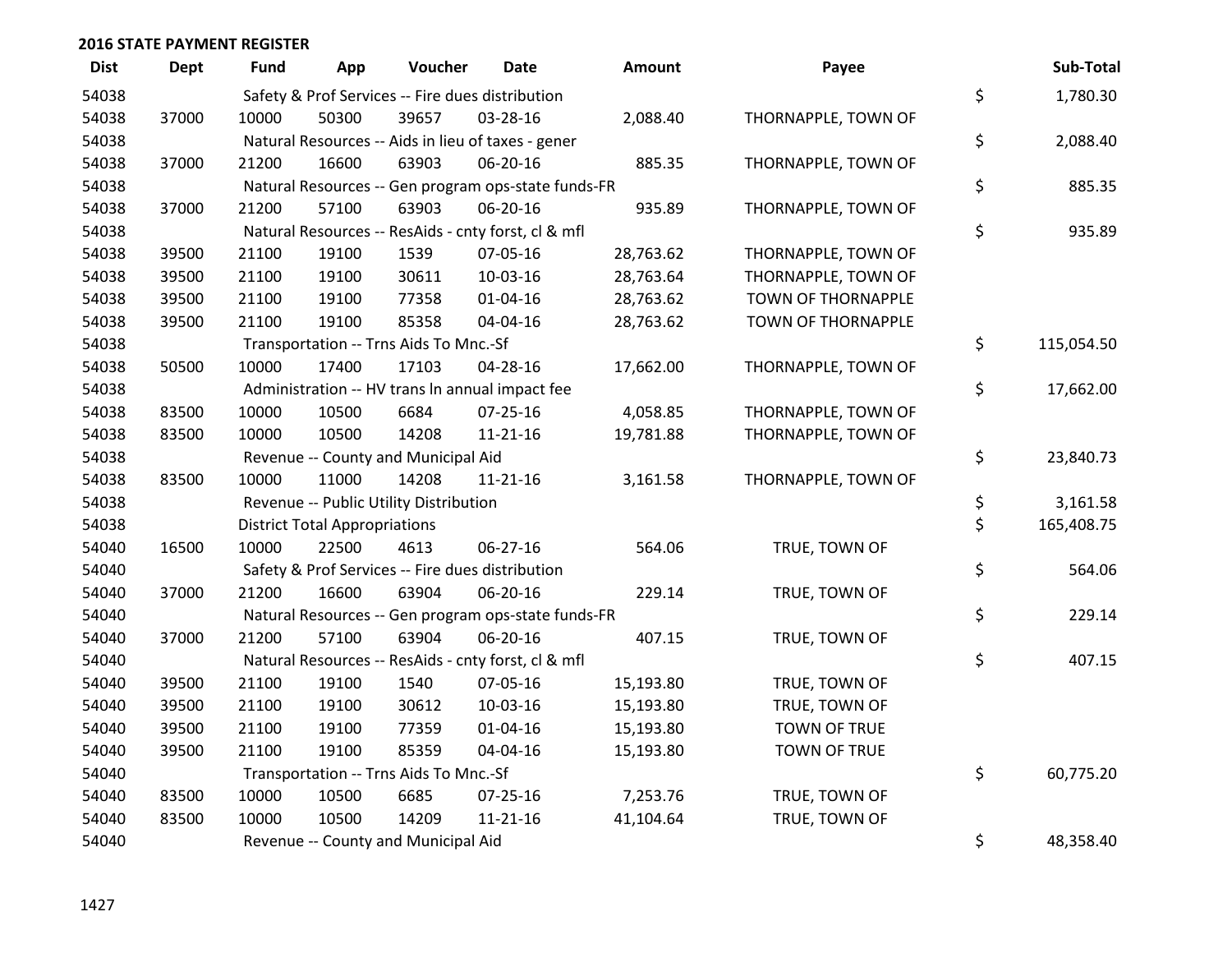| <b>Dist</b> | <b>Dept</b> | <b>Fund</b> | App                                  | Voucher                                             | Date           | Amount    | Payee               | Sub-Total        |
|-------------|-------------|-------------|--------------------------------------|-----------------------------------------------------|----------------|-----------|---------------------|------------------|
| 54038       |             |             |                                      | Safety & Prof Services -- Fire dues distribution    |                |           |                     | \$<br>1,780.30   |
| 54038       | 37000       | 10000       | 50300                                | 39657                                               | 03-28-16       | 2,088.40  | THORNAPPLE, TOWN OF |                  |
| 54038       |             |             |                                      | Natural Resources -- Aids in lieu of taxes - gener  |                |           |                     | \$<br>2,088.40   |
| 54038       | 37000       | 21200       | 16600                                | 63903                                               | 06-20-16       | 885.35    | THORNAPPLE, TOWN OF |                  |
| 54038       |             |             |                                      | Natural Resources -- Gen program ops-state funds-FR |                |           |                     | \$<br>885.35     |
| 54038       | 37000       | 21200       | 57100                                | 63903                                               | 06-20-16       | 935.89    | THORNAPPLE, TOWN OF |                  |
| 54038       |             |             |                                      | Natural Resources -- ResAids - cnty forst, cl & mfl |                |           |                     | \$<br>935.89     |
| 54038       | 39500       | 21100       | 19100                                | 1539                                                | 07-05-16       | 28,763.62 | THORNAPPLE, TOWN OF |                  |
| 54038       | 39500       | 21100       | 19100                                | 30611                                               | 10-03-16       | 28,763.64 | THORNAPPLE, TOWN OF |                  |
| 54038       | 39500       | 21100       | 19100                                | 77358                                               | $01 - 04 - 16$ | 28,763.62 | TOWN OF THORNAPPLE  |                  |
| 54038       | 39500       | 21100       | 19100                                | 85358                                               | 04-04-16       | 28,763.62 | TOWN OF THORNAPPLE  |                  |
| 54038       |             |             |                                      | Transportation -- Trns Aids To Mnc.-Sf              |                |           |                     | \$<br>115,054.50 |
| 54038       | 50500       | 10000       | 17400                                | 17103                                               | $04 - 28 - 16$ | 17,662.00 | THORNAPPLE, TOWN OF |                  |
| 54038       |             |             |                                      | Administration -- HV trans In annual impact fee     |                |           |                     | \$<br>17,662.00  |
| 54038       | 83500       | 10000       | 10500                                | 6684                                                | $07 - 25 - 16$ | 4,058.85  | THORNAPPLE, TOWN OF |                  |
| 54038       | 83500       | 10000       | 10500                                | 14208                                               | $11 - 21 - 16$ | 19,781.88 | THORNAPPLE, TOWN OF |                  |
| 54038       |             |             |                                      | Revenue -- County and Municipal Aid                 |                |           |                     | \$<br>23,840.73  |
| 54038       | 83500       | 10000       | 11000                                | 14208                                               | $11 - 21 - 16$ | 3,161.58  | THORNAPPLE, TOWN OF |                  |
| 54038       |             |             |                                      | Revenue -- Public Utility Distribution              |                |           |                     | \$<br>3,161.58   |
| 54038       |             |             | <b>District Total Appropriations</b> |                                                     |                |           |                     | \$<br>165,408.75 |
| 54040       | 16500       | 10000       | 22500                                | 4613                                                | 06-27-16       | 564.06    | TRUE, TOWN OF       |                  |
| 54040       |             |             |                                      | Safety & Prof Services -- Fire dues distribution    |                |           |                     | \$<br>564.06     |
| 54040       | 37000       | 21200       | 16600                                | 63904                                               | 06-20-16       | 229.14    | TRUE, TOWN OF       |                  |
| 54040       |             |             |                                      | Natural Resources -- Gen program ops-state funds-FR |                |           |                     | \$<br>229.14     |
| 54040       | 37000       | 21200       | 57100                                | 63904                                               | 06-20-16       | 407.15    | TRUE, TOWN OF       |                  |
| 54040       |             |             |                                      | Natural Resources -- ResAids - cnty forst, cl & mfl |                |           |                     | \$<br>407.15     |
| 54040       | 39500       | 21100       | 19100                                | 1540                                                | 07-05-16       | 15,193.80 | TRUE, TOWN OF       |                  |
| 54040       | 39500       | 21100       | 19100                                | 30612                                               | 10-03-16       | 15,193.80 | TRUE, TOWN OF       |                  |
| 54040       | 39500       | 21100       | 19100                                | 77359                                               | $01 - 04 - 16$ | 15,193.80 | <b>TOWN OF TRUE</b> |                  |
| 54040       | 39500       | 21100       | 19100                                | 85359                                               | 04-04-16       | 15,193.80 | TOWN OF TRUE        |                  |
| 54040       |             |             |                                      | Transportation -- Trns Aids To Mnc.-Sf              |                |           |                     | \$<br>60,775.20  |
| 54040       | 83500       | 10000       | 10500                                | 6685                                                | $07 - 25 - 16$ | 7,253.76  | TRUE, TOWN OF       |                  |
| 54040       | 83500       | 10000       | 10500                                | 14209                                               | $11 - 21 - 16$ | 41,104.64 | TRUE, TOWN OF       |                  |
| 54040       |             |             |                                      | Revenue -- County and Municipal Aid                 |                |           |                     | \$<br>48,358.40  |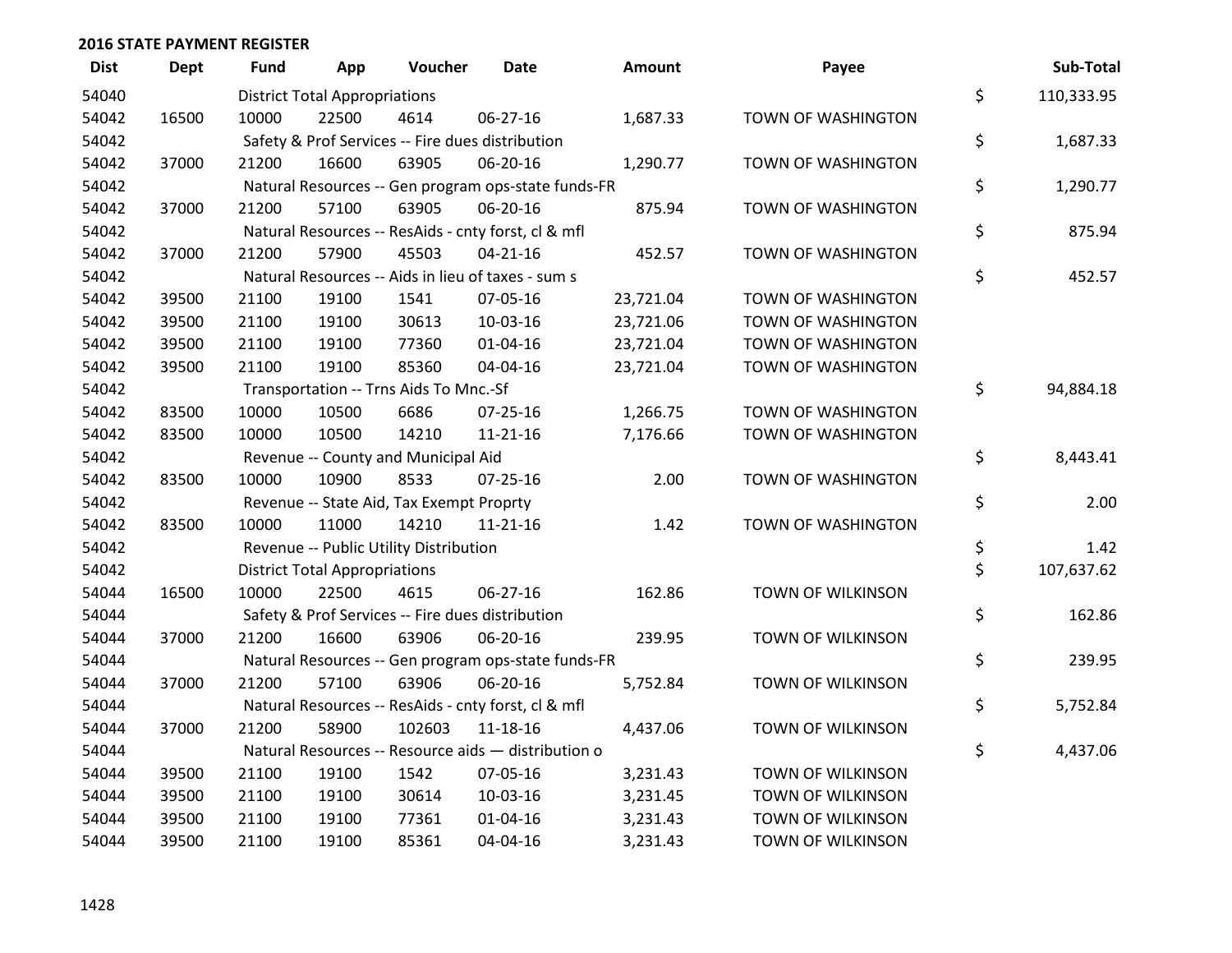| <b>Dist</b> | <b>Dept</b> | <b>Fund</b> | App                                  | Voucher                                          | <b>Date</b>                                         | Amount    | Payee                    | Sub-Total        |
|-------------|-------------|-------------|--------------------------------------|--------------------------------------------------|-----------------------------------------------------|-----------|--------------------------|------------------|
| 54040       |             |             | <b>District Total Appropriations</b> |                                                  |                                                     |           |                          | \$<br>110,333.95 |
| 54042       | 16500       | 10000       | 22500                                | 4614                                             | 06-27-16                                            | 1,687.33  | TOWN OF WASHINGTON       |                  |
| 54042       |             |             |                                      | Safety & Prof Services -- Fire dues distribution |                                                     |           |                          | \$<br>1,687.33   |
| 54042       | 37000       | 21200       | 16600                                | 63905                                            | 06-20-16                                            | 1,290.77  | TOWN OF WASHINGTON       |                  |
| 54042       |             |             |                                      |                                                  | Natural Resources -- Gen program ops-state funds-FR |           |                          | \$<br>1,290.77   |
| 54042       | 37000       | 21200       | 57100                                | 63905                                            | 06-20-16                                            | 875.94    | TOWN OF WASHINGTON       |                  |
| 54042       |             |             |                                      |                                                  | Natural Resources -- ResAids - cnty forst, cl & mfl |           |                          | \$<br>875.94     |
| 54042       | 37000       | 21200       | 57900                                | 45503                                            | $04 - 21 - 16$                                      | 452.57    | TOWN OF WASHINGTON       |                  |
| 54042       |             |             |                                      |                                                  | Natural Resources -- Aids in lieu of taxes - sum s  |           |                          | \$<br>452.57     |
| 54042       | 39500       | 21100       | 19100                                | 1541                                             | 07-05-16                                            | 23,721.04 | TOWN OF WASHINGTON       |                  |
| 54042       | 39500       | 21100       | 19100                                | 30613                                            | 10-03-16                                            | 23,721.06 | TOWN OF WASHINGTON       |                  |
| 54042       | 39500       | 21100       | 19100                                | 77360                                            | $01 - 04 - 16$                                      | 23,721.04 | TOWN OF WASHINGTON       |                  |
| 54042       | 39500       | 21100       | 19100                                | 85360                                            | 04-04-16                                            | 23,721.04 | TOWN OF WASHINGTON       |                  |
| 54042       |             |             |                                      | Transportation -- Trns Aids To Mnc.-Sf           |                                                     |           |                          | \$<br>94,884.18  |
| 54042       | 83500       | 10000       | 10500                                | 6686                                             | $07 - 25 - 16$                                      | 1,266.75  | TOWN OF WASHINGTON       |                  |
| 54042       | 83500       | 10000       | 10500                                | 14210                                            | 11-21-16                                            | 7,176.66  | TOWN OF WASHINGTON       |                  |
| 54042       |             |             |                                      | Revenue -- County and Municipal Aid              |                                                     |           |                          | \$<br>8,443.41   |
| 54042       | 83500       | 10000       | 10900                                | 8533                                             | $07 - 25 - 16$                                      | 2.00      | TOWN OF WASHINGTON       |                  |
| 54042       |             |             |                                      | Revenue -- State Aid, Tax Exempt Proprty         |                                                     |           |                          | \$<br>2.00       |
| 54042       | 83500       | 10000       | 11000                                | 14210                                            | $11 - 21 - 16$                                      | 1.42      | TOWN OF WASHINGTON       |                  |
| 54042       |             |             |                                      | Revenue -- Public Utility Distribution           |                                                     |           |                          | \$<br>1.42       |
| 54042       |             |             | <b>District Total Appropriations</b> |                                                  |                                                     |           |                          | \$<br>107,637.62 |
| 54044       | 16500       | 10000       | 22500                                | 4615                                             | 06-27-16                                            | 162.86    | <b>TOWN OF WILKINSON</b> |                  |
| 54044       |             |             |                                      | Safety & Prof Services -- Fire dues distribution |                                                     |           |                          | \$<br>162.86     |
| 54044       | 37000       | 21200       | 16600                                | 63906                                            | 06-20-16                                            | 239.95    | TOWN OF WILKINSON        |                  |
| 54044       |             |             |                                      |                                                  | Natural Resources -- Gen program ops-state funds-FR |           |                          | \$<br>239.95     |
| 54044       | 37000       | 21200       | 57100                                | 63906                                            | 06-20-16                                            | 5,752.84  | TOWN OF WILKINSON        |                  |
| 54044       |             |             |                                      |                                                  | Natural Resources -- ResAids - cnty forst, cl & mfl |           |                          | \$<br>5,752.84   |
| 54044       | 37000       | 21200       | 58900                                | 102603                                           | 11-18-16                                            | 4,437.06  | TOWN OF WILKINSON        |                  |
| 54044       |             |             |                                      |                                                  | Natural Resources -- Resource aids - distribution o |           |                          | \$<br>4,437.06   |
| 54044       | 39500       | 21100       | 19100                                | 1542                                             | 07-05-16                                            | 3,231.43  | TOWN OF WILKINSON        |                  |
| 54044       | 39500       | 21100       | 19100                                | 30614                                            | 10-03-16                                            | 3,231.45  | TOWN OF WILKINSON        |                  |
| 54044       | 39500       | 21100       | 19100                                | 77361                                            | $01 - 04 - 16$                                      | 3,231.43  | <b>TOWN OF WILKINSON</b> |                  |
| 54044       | 39500       | 21100       | 19100                                | 85361                                            | 04-04-16                                            | 3,231.43  | <b>TOWN OF WILKINSON</b> |                  |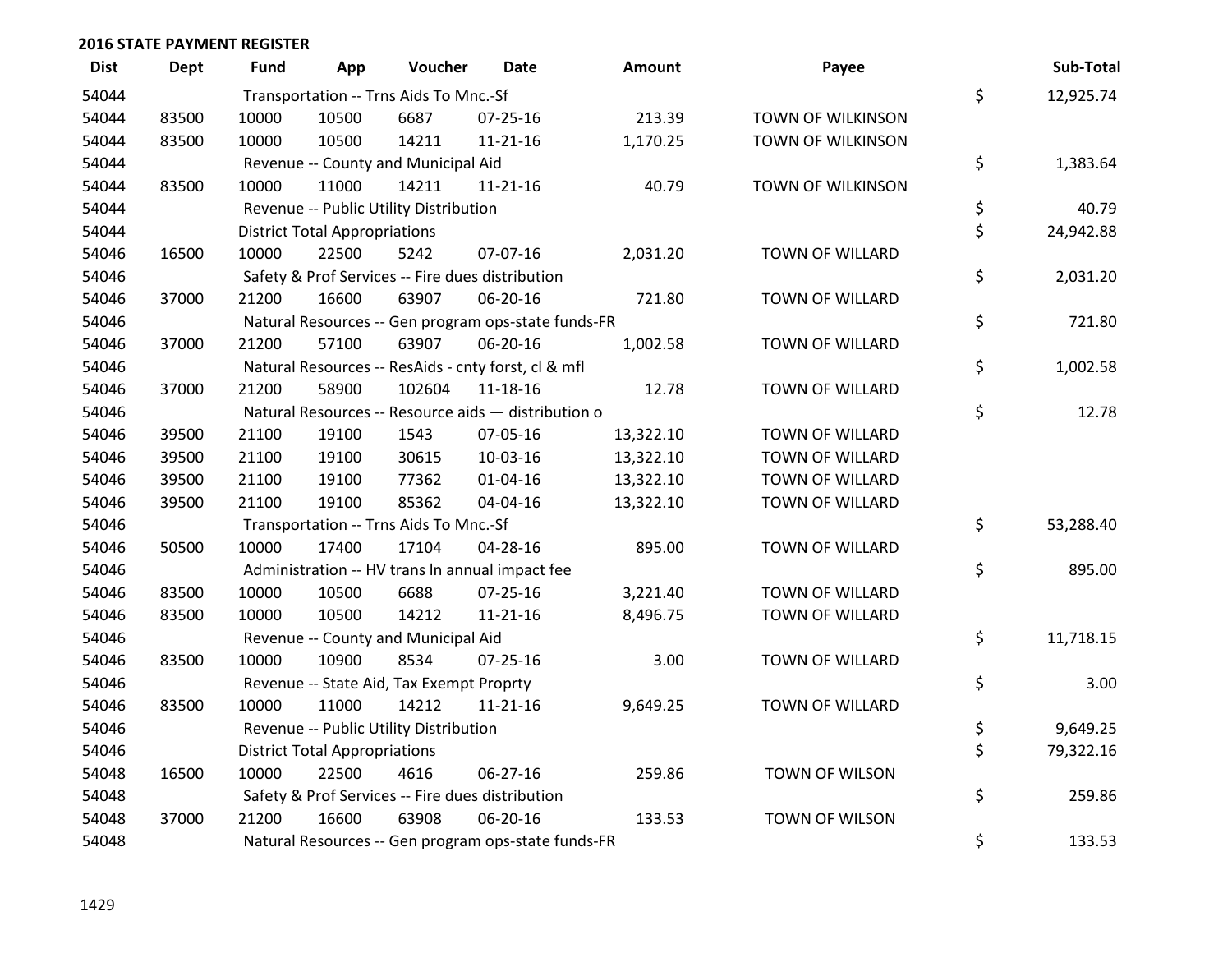| <b>Dist</b> | <b>Dept</b> | Fund  | App                                  | Voucher                                             | <b>Date</b>    | <b>Amount</b> | Payee                    | Sub-Total       |
|-------------|-------------|-------|--------------------------------------|-----------------------------------------------------|----------------|---------------|--------------------------|-----------------|
| 54044       |             |       |                                      | Transportation -- Trns Aids To Mnc.-Sf              |                |               |                          | \$<br>12,925.74 |
| 54044       | 83500       | 10000 | 10500                                | 6687                                                | $07 - 25 - 16$ | 213.39        | TOWN OF WILKINSON        |                 |
| 54044       | 83500       | 10000 | 10500                                | 14211                                               | $11 - 21 - 16$ | 1,170.25      | TOWN OF WILKINSON        |                 |
| 54044       |             |       |                                      | Revenue -- County and Municipal Aid                 |                |               |                          | \$<br>1,383.64  |
| 54044       | 83500       | 10000 | 11000                                | 14211                                               | $11 - 21 - 16$ | 40.79         | <b>TOWN OF WILKINSON</b> |                 |
| 54044       |             |       |                                      | Revenue -- Public Utility Distribution              |                |               |                          | \$<br>40.79     |
| 54044       |             |       | <b>District Total Appropriations</b> |                                                     |                |               |                          | \$<br>24,942.88 |
| 54046       | 16500       | 10000 | 22500                                | 5242                                                | 07-07-16       | 2,031.20      | <b>TOWN OF WILLARD</b>   |                 |
| 54046       |             |       |                                      | Safety & Prof Services -- Fire dues distribution    |                |               |                          | \$<br>2,031.20  |
| 54046       | 37000       | 21200 | 16600                                | 63907                                               | 06-20-16       | 721.80        | TOWN OF WILLARD          |                 |
| 54046       |             |       |                                      | Natural Resources -- Gen program ops-state funds-FR |                |               |                          | \$<br>721.80    |
| 54046       | 37000       | 21200 | 57100                                | 63907                                               | 06-20-16       | 1,002.58      | <b>TOWN OF WILLARD</b>   |                 |
| 54046       |             |       |                                      | Natural Resources -- ResAids - cnty forst, cl & mfl |                |               |                          | \$<br>1,002.58  |
| 54046       | 37000       | 21200 | 58900                                | 102604                                              | 11-18-16       | 12.78         | TOWN OF WILLARD          |                 |
| 54046       |             |       |                                      | Natural Resources -- Resource aids - distribution o |                |               |                          | \$<br>12.78     |
| 54046       | 39500       | 21100 | 19100                                | 1543                                                | 07-05-16       | 13,322.10     | <b>TOWN OF WILLARD</b>   |                 |
| 54046       | 39500       | 21100 | 19100                                | 30615                                               | 10-03-16       | 13,322.10     | <b>TOWN OF WILLARD</b>   |                 |
| 54046       | 39500       | 21100 | 19100                                | 77362                                               | 01-04-16       | 13,322.10     | TOWN OF WILLARD          |                 |
| 54046       | 39500       | 21100 | 19100                                | 85362                                               | 04-04-16       | 13,322.10     | TOWN OF WILLARD          |                 |
| 54046       |             |       |                                      | Transportation -- Trns Aids To Mnc.-Sf              |                |               |                          | \$<br>53,288.40 |
| 54046       | 50500       | 10000 | 17400                                | 17104                                               | 04-28-16       | 895.00        | <b>TOWN OF WILLARD</b>   |                 |
| 54046       |             |       |                                      | Administration -- HV trans In annual impact fee     |                |               |                          | \$<br>895.00    |
| 54046       | 83500       | 10000 | 10500                                | 6688                                                | 07-25-16       | 3,221.40      | TOWN OF WILLARD          |                 |
| 54046       | 83500       | 10000 | 10500                                | 14212                                               | $11 - 21 - 16$ | 8,496.75      | TOWN OF WILLARD          |                 |
| 54046       |             |       |                                      | Revenue -- County and Municipal Aid                 |                |               |                          | \$<br>11,718.15 |
| 54046       | 83500       | 10000 | 10900                                | 8534                                                | $07 - 25 - 16$ | 3.00          | TOWN OF WILLARD          |                 |
| 54046       |             |       |                                      | Revenue -- State Aid, Tax Exempt Proprty            |                |               |                          | \$<br>3.00      |
| 54046       | 83500       | 10000 | 11000                                | 14212                                               | $11 - 21 - 16$ | 9,649.25      | <b>TOWN OF WILLARD</b>   |                 |
| 54046       |             |       |                                      | Revenue -- Public Utility Distribution              |                |               |                          | \$<br>9,649.25  |
| 54046       |             |       | <b>District Total Appropriations</b> |                                                     |                |               |                          | \$<br>79,322.16 |
| 54048       | 16500       | 10000 | 22500                                | 4616                                                | 06-27-16       | 259.86        | TOWN OF WILSON           |                 |
| 54048       |             |       |                                      | Safety & Prof Services -- Fire dues distribution    |                |               |                          | \$<br>259.86    |
| 54048       | 37000       | 21200 | 16600                                | 63908                                               | 06-20-16       | 133.53        | TOWN OF WILSON           |                 |
| 54048       |             |       |                                      | Natural Resources -- Gen program ops-state funds-FR |                |               |                          | \$<br>133.53    |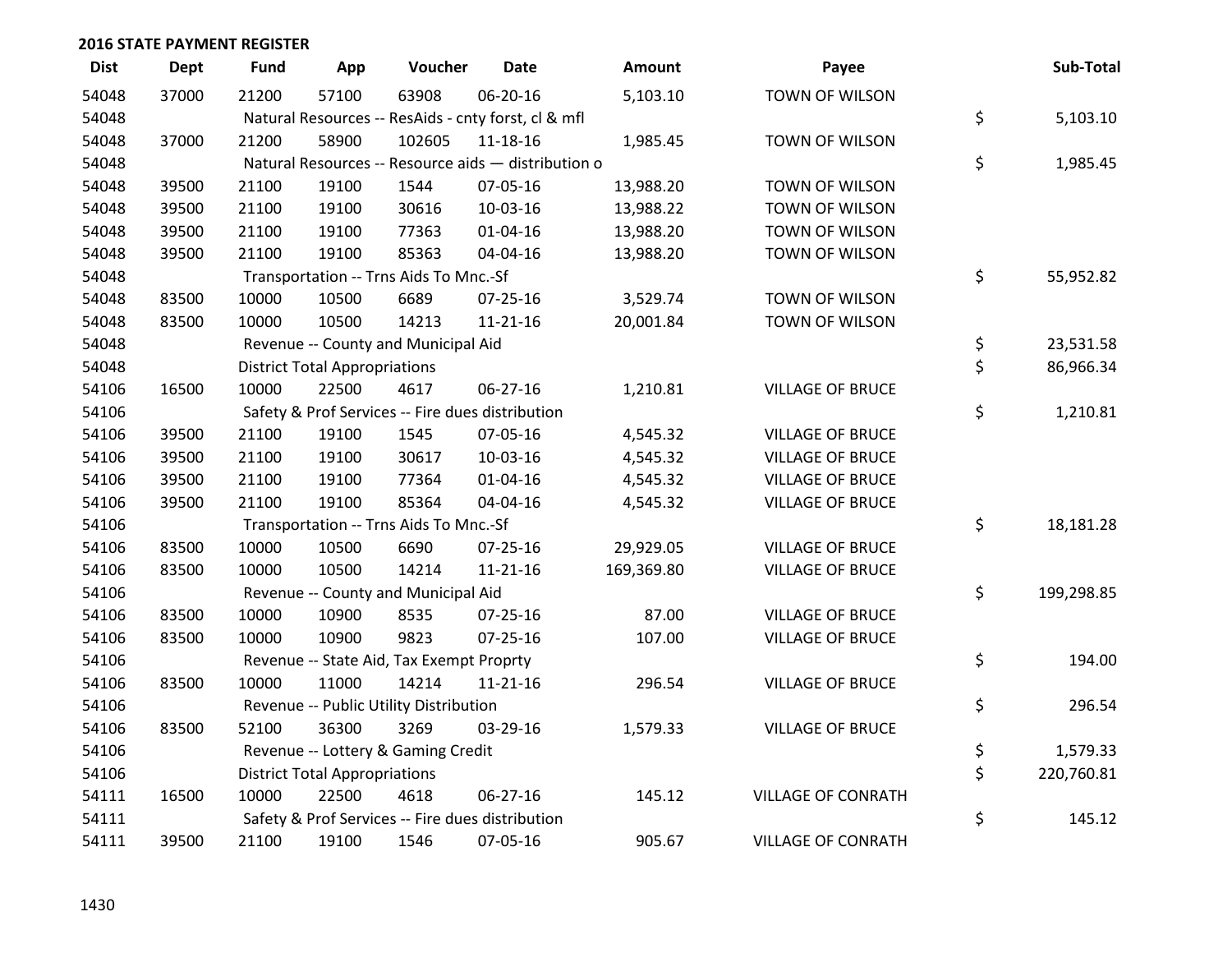| <b>Dist</b> | <b>Dept</b> | <b>Fund</b> | App                                  | Voucher                                  | Date                                                | <b>Amount</b> | Payee                     | Sub-Total        |
|-------------|-------------|-------------|--------------------------------------|------------------------------------------|-----------------------------------------------------|---------------|---------------------------|------------------|
| 54048       | 37000       | 21200       | 57100                                | 63908                                    | 06-20-16                                            | 5,103.10      | TOWN OF WILSON            |                  |
| 54048       |             |             |                                      |                                          | Natural Resources -- ResAids - cnty forst, cl & mfl |               |                           | \$<br>5,103.10   |
| 54048       | 37000       | 21200       | 58900                                | 102605                                   | 11-18-16                                            | 1,985.45      | <b>TOWN OF WILSON</b>     |                  |
| 54048       |             |             |                                      |                                          | Natural Resources -- Resource aids - distribution o |               |                           | \$<br>1,985.45   |
| 54048       | 39500       | 21100       | 19100                                | 1544                                     | 07-05-16                                            | 13,988.20     | TOWN OF WILSON            |                  |
| 54048       | 39500       | 21100       | 19100                                | 30616                                    | 10-03-16                                            | 13,988.22     | TOWN OF WILSON            |                  |
| 54048       | 39500       | 21100       | 19100                                | 77363                                    | $01 - 04 - 16$                                      | 13,988.20     | <b>TOWN OF WILSON</b>     |                  |
| 54048       | 39500       | 21100       | 19100                                | 85363                                    | 04-04-16                                            | 13,988.20     | TOWN OF WILSON            |                  |
| 54048       |             |             |                                      | Transportation -- Trns Aids To Mnc.-Sf   |                                                     |               |                           | \$<br>55,952.82  |
| 54048       | 83500       | 10000       | 10500                                | 6689                                     | 07-25-16                                            | 3,529.74      | TOWN OF WILSON            |                  |
| 54048       | 83500       | 10000       | 10500                                | 14213                                    | $11 - 21 - 16$                                      | 20,001.84     | TOWN OF WILSON            |                  |
| 54048       |             |             |                                      | Revenue -- County and Municipal Aid      |                                                     |               |                           | \$<br>23,531.58  |
| 54048       |             |             | <b>District Total Appropriations</b> |                                          |                                                     |               |                           | \$<br>86,966.34  |
| 54106       | 16500       | 10000       | 22500                                | 4617                                     | 06-27-16                                            | 1,210.81      | <b>VILLAGE OF BRUCE</b>   |                  |
| 54106       |             |             |                                      |                                          | Safety & Prof Services -- Fire dues distribution    |               |                           | \$<br>1,210.81   |
| 54106       | 39500       | 21100       | 19100                                | 1545                                     | 07-05-16                                            | 4,545.32      | <b>VILLAGE OF BRUCE</b>   |                  |
| 54106       | 39500       | 21100       | 19100                                | 30617                                    | 10-03-16                                            | 4,545.32      | <b>VILLAGE OF BRUCE</b>   |                  |
| 54106       | 39500       | 21100       | 19100                                | 77364                                    | $01 - 04 - 16$                                      | 4,545.32      | <b>VILLAGE OF BRUCE</b>   |                  |
| 54106       | 39500       | 21100       | 19100                                | 85364                                    | 04-04-16                                            | 4,545.32      | <b>VILLAGE OF BRUCE</b>   |                  |
| 54106       |             |             |                                      | Transportation -- Trns Aids To Mnc.-Sf   |                                                     |               |                           | \$<br>18,181.28  |
| 54106       | 83500       | 10000       | 10500                                | 6690                                     | 07-25-16                                            | 29,929.05     | <b>VILLAGE OF BRUCE</b>   |                  |
| 54106       | 83500       | 10000       | 10500                                | 14214                                    | $11 - 21 - 16$                                      | 169,369.80    | <b>VILLAGE OF BRUCE</b>   |                  |
| 54106       |             |             |                                      | Revenue -- County and Municipal Aid      |                                                     |               |                           | \$<br>199,298.85 |
| 54106       | 83500       | 10000       | 10900                                | 8535                                     | $07 - 25 - 16$                                      | 87.00         | <b>VILLAGE OF BRUCE</b>   |                  |
| 54106       | 83500       | 10000       | 10900                                | 9823                                     | $07 - 25 - 16$                                      | 107.00        | <b>VILLAGE OF BRUCE</b>   |                  |
| 54106       |             |             |                                      | Revenue -- State Aid, Tax Exempt Proprty |                                                     |               |                           | \$<br>194.00     |
| 54106       | 83500       | 10000       | 11000                                | 14214                                    | $11 - 21 - 16$                                      | 296.54        | <b>VILLAGE OF BRUCE</b>   |                  |
| 54106       |             |             |                                      | Revenue -- Public Utility Distribution   |                                                     |               |                           | \$<br>296.54     |
| 54106       | 83500       | 52100       | 36300                                | 3269                                     | 03-29-16                                            | 1,579.33      | <b>VILLAGE OF BRUCE</b>   |                  |
| 54106       |             |             |                                      | Revenue -- Lottery & Gaming Credit       |                                                     |               |                           | \$<br>1,579.33   |
| 54106       |             |             | <b>District Total Appropriations</b> |                                          |                                                     |               |                           | \$<br>220,760.81 |
| 54111       | 16500       | 10000       | 22500                                | 4618                                     | 06-27-16                                            | 145.12        | <b>VILLAGE OF CONRATH</b> |                  |
| 54111       |             |             |                                      |                                          | Safety & Prof Services -- Fire dues distribution    |               |                           | \$<br>145.12     |
| 54111       | 39500       | 21100       | 19100                                | 1546                                     | 07-05-16                                            | 905.67        | <b>VILLAGE OF CONRATH</b> |                  |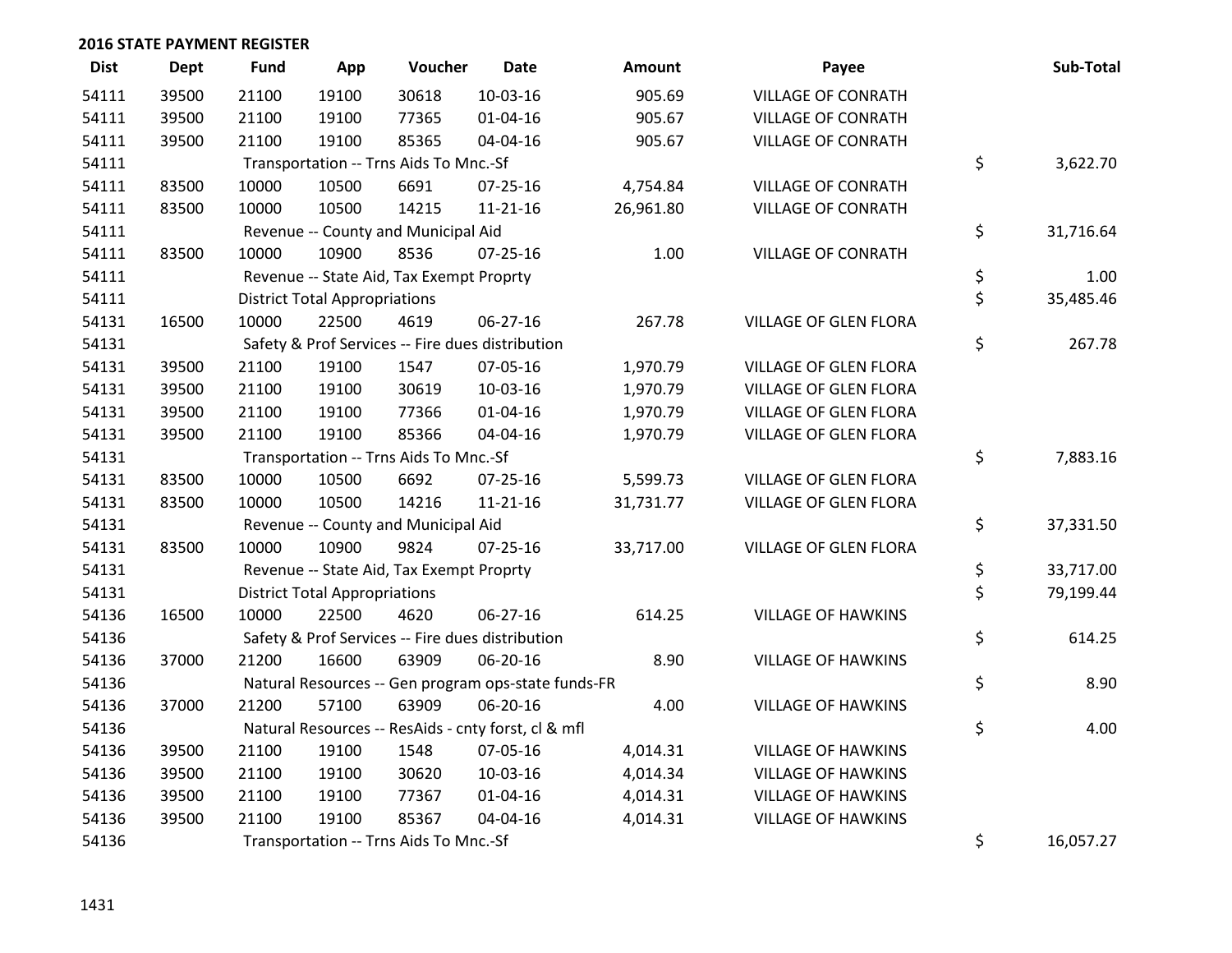| <b>Dist</b> | Dept  | <b>Fund</b> | App                                  | Voucher                                  | <b>Date</b>                                         | <b>Amount</b> | Payee                        | Sub-Total       |
|-------------|-------|-------------|--------------------------------------|------------------------------------------|-----------------------------------------------------|---------------|------------------------------|-----------------|
| 54111       | 39500 | 21100       | 19100                                | 30618                                    | 10-03-16                                            | 905.69        | <b>VILLAGE OF CONRATH</b>    |                 |
| 54111       | 39500 | 21100       | 19100                                | 77365                                    | $01 - 04 - 16$                                      | 905.67        | <b>VILLAGE OF CONRATH</b>    |                 |
| 54111       | 39500 | 21100       | 19100                                | 85365                                    | 04-04-16                                            | 905.67        | <b>VILLAGE OF CONRATH</b>    |                 |
| 54111       |       |             |                                      | Transportation -- Trns Aids To Mnc.-Sf   |                                                     |               |                              | \$<br>3,622.70  |
| 54111       | 83500 | 10000       | 10500                                | 6691                                     | $07 - 25 - 16$                                      | 4,754.84      | <b>VILLAGE OF CONRATH</b>    |                 |
| 54111       | 83500 | 10000       | 10500                                | 14215                                    | $11 - 21 - 16$                                      | 26,961.80     | <b>VILLAGE OF CONRATH</b>    |                 |
| 54111       |       |             |                                      | Revenue -- County and Municipal Aid      |                                                     |               |                              | \$<br>31,716.64 |
| 54111       | 83500 | 10000       | 10900                                | 8536                                     | 07-25-16                                            | 1.00          | <b>VILLAGE OF CONRATH</b>    |                 |
| 54111       |       |             |                                      | Revenue -- State Aid, Tax Exempt Proprty |                                                     |               |                              | \$<br>1.00      |
| 54111       |       |             | <b>District Total Appropriations</b> |                                          |                                                     |               |                              | \$<br>35,485.46 |
| 54131       | 16500 | 10000       | 22500                                | 4619                                     | 06-27-16                                            | 267.78        | VILLAGE OF GLEN FLORA        |                 |
| 54131       |       |             |                                      |                                          | Safety & Prof Services -- Fire dues distribution    |               |                              | \$<br>267.78    |
| 54131       | 39500 | 21100       | 19100                                | 1547                                     | 07-05-16                                            | 1,970.79      | <b>VILLAGE OF GLEN FLORA</b> |                 |
| 54131       | 39500 | 21100       | 19100                                | 30619                                    | 10-03-16                                            | 1,970.79      | <b>VILLAGE OF GLEN FLORA</b> |                 |
| 54131       | 39500 | 21100       | 19100                                | 77366                                    | $01 - 04 - 16$                                      | 1,970.79      | <b>VILLAGE OF GLEN FLORA</b> |                 |
| 54131       | 39500 | 21100       | 19100                                | 85366                                    | 04-04-16                                            | 1,970.79      | VILLAGE OF GLEN FLORA        |                 |
| 54131       |       |             |                                      | Transportation -- Trns Aids To Mnc.-Sf   |                                                     |               |                              | \$<br>7,883.16  |
| 54131       | 83500 | 10000       | 10500                                | 6692                                     | 07-25-16                                            | 5,599.73      | <b>VILLAGE OF GLEN FLORA</b> |                 |
| 54131       | 83500 | 10000       | 10500                                | 14216                                    | $11 - 21 - 16$                                      | 31,731.77     | VILLAGE OF GLEN FLORA        |                 |
| 54131       |       |             |                                      | Revenue -- County and Municipal Aid      |                                                     |               |                              | \$<br>37,331.50 |
| 54131       | 83500 | 10000       | 10900                                | 9824                                     | $07 - 25 - 16$                                      | 33,717.00     | VILLAGE OF GLEN FLORA        |                 |
| 54131       |       |             |                                      | Revenue -- State Aid, Tax Exempt Proprty |                                                     |               |                              | \$<br>33,717.00 |
| 54131       |       |             | <b>District Total Appropriations</b> |                                          |                                                     |               |                              | \$<br>79,199.44 |
| 54136       | 16500 | 10000       | 22500                                | 4620                                     | 06-27-16                                            | 614.25        | <b>VILLAGE OF HAWKINS</b>    |                 |
| 54136       |       |             |                                      |                                          | Safety & Prof Services -- Fire dues distribution    |               |                              | \$<br>614.25    |
| 54136       | 37000 | 21200       | 16600                                | 63909                                    | 06-20-16                                            | 8.90          | <b>VILLAGE OF HAWKINS</b>    |                 |
| 54136       |       |             |                                      |                                          | Natural Resources -- Gen program ops-state funds-FR |               |                              | \$<br>8.90      |
| 54136       | 37000 | 21200       | 57100                                | 63909                                    | 06-20-16                                            | 4.00          | <b>VILLAGE OF HAWKINS</b>    |                 |
| 54136       |       |             |                                      |                                          | Natural Resources -- ResAids - cnty forst, cl & mfl |               |                              | \$<br>4.00      |
| 54136       | 39500 | 21100       | 19100                                | 1548                                     | 07-05-16                                            | 4,014.31      | <b>VILLAGE OF HAWKINS</b>    |                 |
| 54136       | 39500 | 21100       | 19100                                | 30620                                    | 10-03-16                                            | 4,014.34      | <b>VILLAGE OF HAWKINS</b>    |                 |
| 54136       | 39500 | 21100       | 19100                                | 77367                                    | $01 - 04 - 16$                                      | 4,014.31      | <b>VILLAGE OF HAWKINS</b>    |                 |
| 54136       | 39500 | 21100       | 19100                                | 85367                                    | 04-04-16                                            | 4,014.31      | <b>VILLAGE OF HAWKINS</b>    |                 |
| 54136       |       |             |                                      | Transportation -- Trns Aids To Mnc.-Sf   |                                                     |               |                              | \$<br>16,057.27 |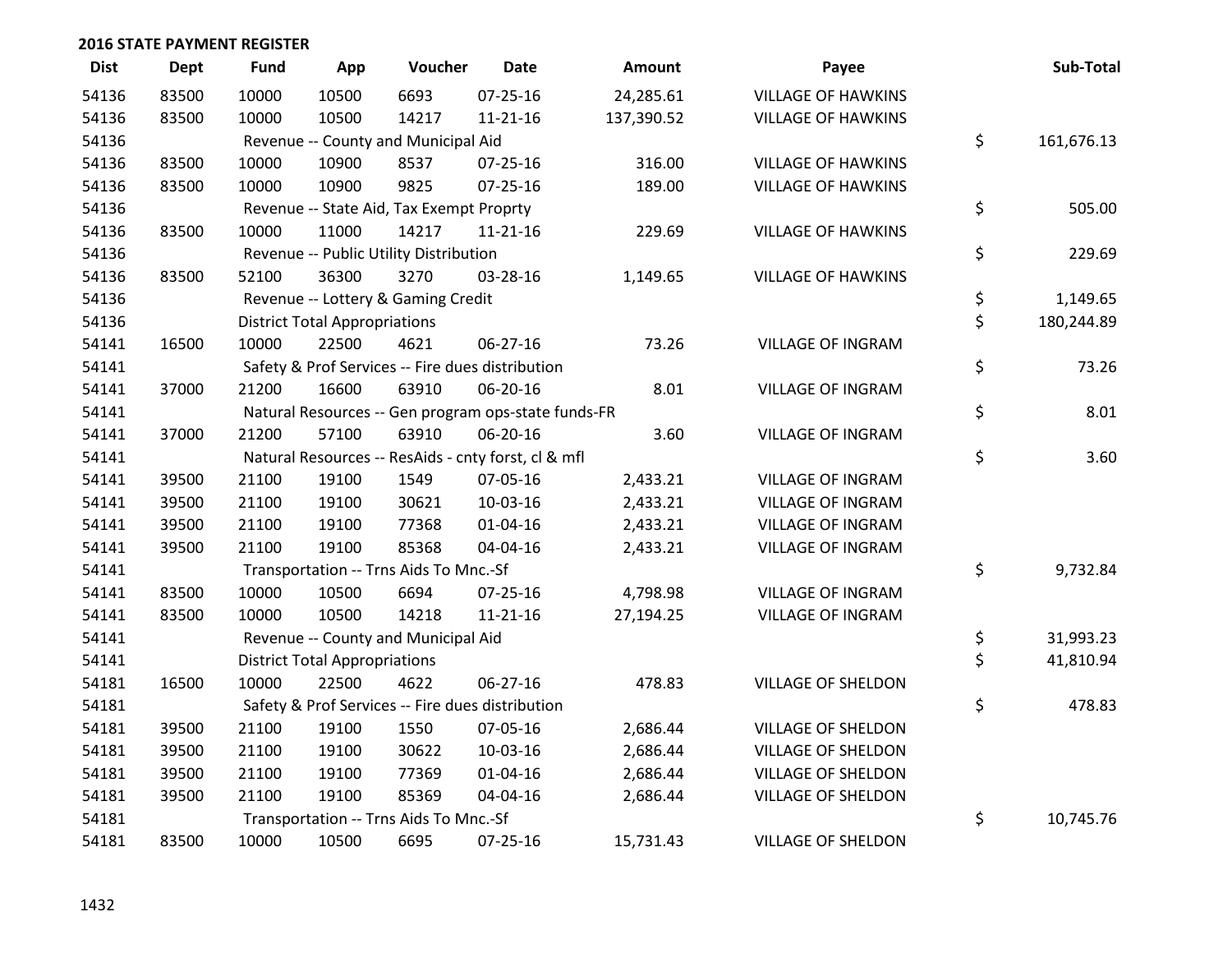| <b>Dist</b> | Dept  | <b>Fund</b> | App                                  | Voucher                                  | <b>Date</b>                                         | Amount     | Payee                     | Sub-Total        |
|-------------|-------|-------------|--------------------------------------|------------------------------------------|-----------------------------------------------------|------------|---------------------------|------------------|
| 54136       | 83500 | 10000       | 10500                                | 6693                                     | $07 - 25 - 16$                                      | 24,285.61  | <b>VILLAGE OF HAWKINS</b> |                  |
| 54136       | 83500 | 10000       | 10500                                | 14217                                    | 11-21-16                                            | 137,390.52 | <b>VILLAGE OF HAWKINS</b> |                  |
| 54136       |       |             |                                      | Revenue -- County and Municipal Aid      |                                                     |            |                           | \$<br>161,676.13 |
| 54136       | 83500 | 10000       | 10900                                | 8537                                     | $07 - 25 - 16$                                      | 316.00     | <b>VILLAGE OF HAWKINS</b> |                  |
| 54136       | 83500 | 10000       | 10900                                | 9825                                     | $07 - 25 - 16$                                      | 189.00     | <b>VILLAGE OF HAWKINS</b> |                  |
| 54136       |       |             |                                      | Revenue -- State Aid, Tax Exempt Proprty |                                                     |            |                           | \$<br>505.00     |
| 54136       | 83500 | 10000       | 11000                                | 14217                                    | $11 - 21 - 16$                                      | 229.69     | <b>VILLAGE OF HAWKINS</b> |                  |
| 54136       |       |             |                                      | Revenue -- Public Utility Distribution   |                                                     |            |                           | \$<br>229.69     |
| 54136       | 83500 | 52100       | 36300                                | 3270                                     | 03-28-16                                            | 1,149.65   | <b>VILLAGE OF HAWKINS</b> |                  |
| 54136       |       |             |                                      | Revenue -- Lottery & Gaming Credit       |                                                     |            |                           | \$<br>1,149.65   |
| 54136       |       |             | <b>District Total Appropriations</b> |                                          |                                                     |            |                           | \$<br>180,244.89 |
| 54141       | 16500 | 10000       | 22500                                | 4621                                     | $06 - 27 - 16$                                      | 73.26      | <b>VILLAGE OF INGRAM</b>  |                  |
| 54141       |       |             |                                      |                                          | Safety & Prof Services -- Fire dues distribution    |            |                           | \$<br>73.26      |
| 54141       | 37000 | 21200       | 16600                                | 63910                                    | 06-20-16                                            | 8.01       | <b>VILLAGE OF INGRAM</b>  |                  |
| 54141       |       |             |                                      |                                          | Natural Resources -- Gen program ops-state funds-FR |            |                           | \$<br>8.01       |
| 54141       | 37000 | 21200       | 57100                                | 63910                                    | 06-20-16                                            | 3.60       | <b>VILLAGE OF INGRAM</b>  |                  |
| 54141       |       |             |                                      |                                          | Natural Resources -- ResAids - cnty forst, cl & mfl |            |                           | \$<br>3.60       |
| 54141       | 39500 | 21100       | 19100                                | 1549                                     | 07-05-16                                            | 2,433.21   | <b>VILLAGE OF INGRAM</b>  |                  |
| 54141       | 39500 | 21100       | 19100                                | 30621                                    | 10-03-16                                            | 2,433.21   | <b>VILLAGE OF INGRAM</b>  |                  |
| 54141       | 39500 | 21100       | 19100                                | 77368                                    | $01 - 04 - 16$                                      | 2,433.21   | <b>VILLAGE OF INGRAM</b>  |                  |
| 54141       | 39500 | 21100       | 19100                                | 85368                                    | 04-04-16                                            | 2,433.21   | <b>VILLAGE OF INGRAM</b>  |                  |
| 54141       |       |             |                                      | Transportation -- Trns Aids To Mnc.-Sf   |                                                     |            |                           | \$<br>9,732.84   |
| 54141       | 83500 | 10000       | 10500                                | 6694                                     | 07-25-16                                            | 4,798.98   | <b>VILLAGE OF INGRAM</b>  |                  |
| 54141       | 83500 | 10000       | 10500                                | 14218                                    | $11 - 21 - 16$                                      | 27,194.25  | <b>VILLAGE OF INGRAM</b>  |                  |
| 54141       |       |             |                                      | Revenue -- County and Municipal Aid      |                                                     |            |                           | \$<br>31,993.23  |
| 54141       |       |             | <b>District Total Appropriations</b> |                                          |                                                     |            |                           | \$<br>41,810.94  |
| 54181       | 16500 | 10000       | 22500                                | 4622                                     | 06-27-16                                            | 478.83     | <b>VILLAGE OF SHELDON</b> |                  |
| 54181       |       |             |                                      |                                          | Safety & Prof Services -- Fire dues distribution    |            |                           | \$<br>478.83     |
| 54181       | 39500 | 21100       | 19100                                | 1550                                     | 07-05-16                                            | 2,686.44   | <b>VILLAGE OF SHELDON</b> |                  |
| 54181       | 39500 | 21100       | 19100                                | 30622                                    | 10-03-16                                            | 2,686.44   | <b>VILLAGE OF SHELDON</b> |                  |
| 54181       | 39500 | 21100       | 19100                                | 77369                                    | 01-04-16                                            | 2,686.44   | VILLAGE OF SHELDON        |                  |
| 54181       | 39500 | 21100       | 19100                                | 85369                                    | 04-04-16                                            | 2,686.44   | VILLAGE OF SHELDON        |                  |
| 54181       |       |             |                                      | Transportation -- Trns Aids To Mnc.-Sf   |                                                     |            |                           | \$<br>10,745.76  |
| 54181       | 83500 | 10000       | 10500                                | 6695                                     | $07 - 25 - 16$                                      | 15,731.43  | <b>VILLAGE OF SHELDON</b> |                  |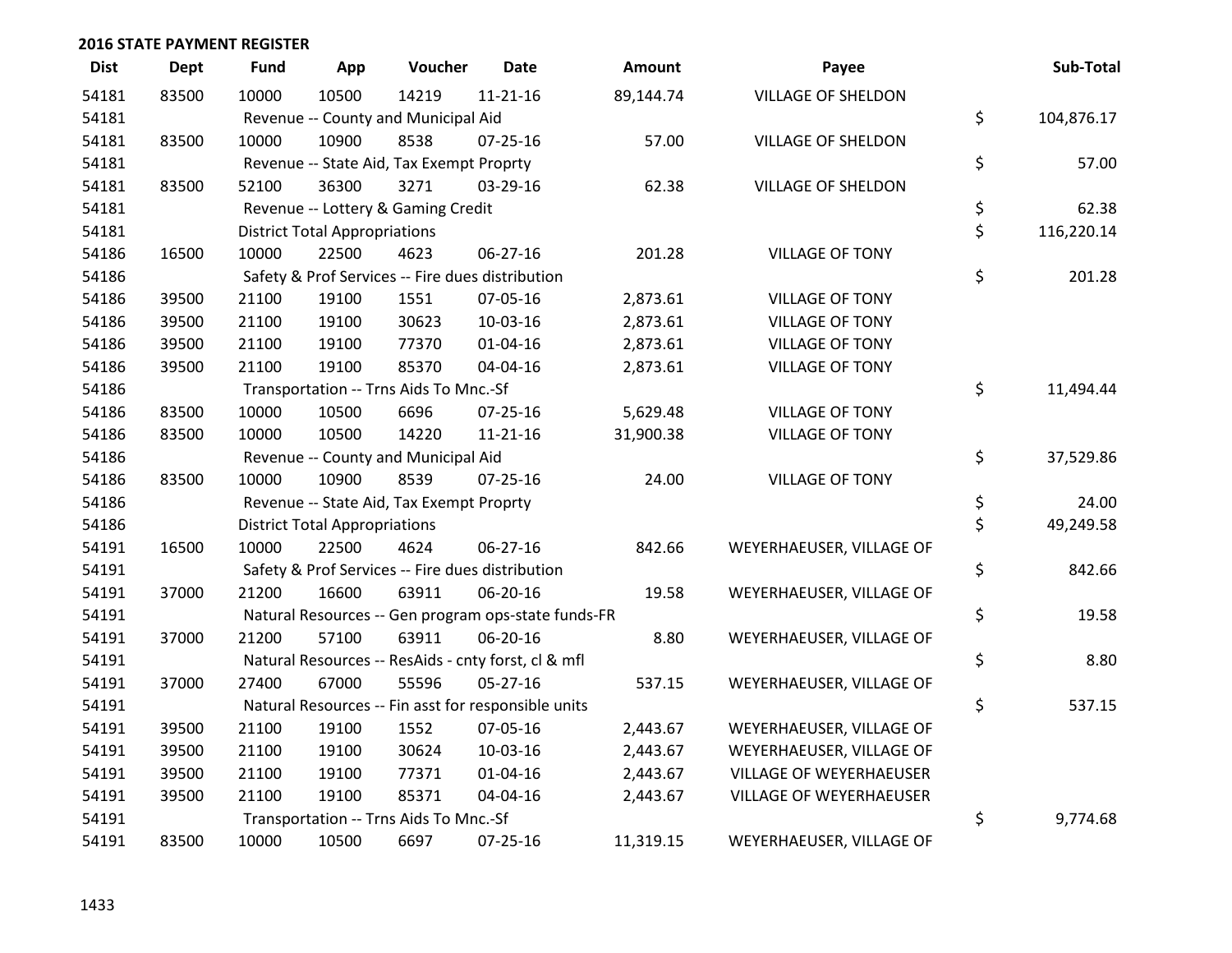| <b>Dist</b> | <b>Dept</b> | Fund  | App                                  | Voucher                                             | <b>Date</b>    | <b>Amount</b> | Payee                          | Sub-Total        |
|-------------|-------------|-------|--------------------------------------|-----------------------------------------------------|----------------|---------------|--------------------------------|------------------|
| 54181       | 83500       | 10000 | 10500                                | 14219                                               | $11 - 21 - 16$ | 89,144.74     | <b>VILLAGE OF SHELDON</b>      |                  |
| 54181       |             |       |                                      | Revenue -- County and Municipal Aid                 |                |               |                                | \$<br>104,876.17 |
| 54181       | 83500       | 10000 | 10900                                | 8538                                                | $07 - 25 - 16$ | 57.00         | VILLAGE OF SHELDON             |                  |
| 54181       |             |       |                                      | Revenue -- State Aid, Tax Exempt Proprty            |                |               |                                | \$<br>57.00      |
| 54181       | 83500       | 52100 | 36300                                | 3271                                                | 03-29-16       | 62.38         | <b>VILLAGE OF SHELDON</b>      |                  |
| 54181       |             |       |                                      | Revenue -- Lottery & Gaming Credit                  |                |               |                                | \$<br>62.38      |
| 54181       |             |       | <b>District Total Appropriations</b> |                                                     |                |               |                                | \$<br>116,220.14 |
| 54186       | 16500       | 10000 | 22500                                | 4623                                                | 06-27-16       | 201.28        | <b>VILLAGE OF TONY</b>         |                  |
| 54186       |             |       |                                      | Safety & Prof Services -- Fire dues distribution    |                |               |                                | \$<br>201.28     |
| 54186       | 39500       | 21100 | 19100                                | 1551                                                | 07-05-16       | 2,873.61      | <b>VILLAGE OF TONY</b>         |                  |
| 54186       | 39500       | 21100 | 19100                                | 30623                                               | 10-03-16       | 2,873.61      | <b>VILLAGE OF TONY</b>         |                  |
| 54186       | 39500       | 21100 | 19100                                | 77370                                               | $01 - 04 - 16$ | 2,873.61      | <b>VILLAGE OF TONY</b>         |                  |
| 54186       | 39500       | 21100 | 19100                                | 85370                                               | 04-04-16       | 2,873.61      | <b>VILLAGE OF TONY</b>         |                  |
| 54186       |             |       |                                      | Transportation -- Trns Aids To Mnc.-Sf              |                |               |                                | \$<br>11,494.44  |
| 54186       | 83500       | 10000 | 10500                                | 6696                                                | $07 - 25 - 16$ | 5,629.48      | <b>VILLAGE OF TONY</b>         |                  |
| 54186       | 83500       | 10000 | 10500                                | 14220                                               | $11 - 21 - 16$ | 31,900.38     | <b>VILLAGE OF TONY</b>         |                  |
| 54186       |             |       |                                      | Revenue -- County and Municipal Aid                 |                |               |                                | \$<br>37,529.86  |
| 54186       | 83500       | 10000 | 10900                                | 8539                                                | $07 - 25 - 16$ | 24.00         | <b>VILLAGE OF TONY</b>         |                  |
| 54186       |             |       |                                      | Revenue -- State Aid, Tax Exempt Proprty            |                |               |                                | \$<br>24.00      |
| 54186       |             |       | <b>District Total Appropriations</b> |                                                     |                |               |                                | \$<br>49,249.58  |
| 54191       | 16500       | 10000 | 22500                                | 4624                                                | 06-27-16       | 842.66        | WEYERHAEUSER, VILLAGE OF       |                  |
| 54191       |             |       |                                      | Safety & Prof Services -- Fire dues distribution    |                |               |                                | \$<br>842.66     |
| 54191       | 37000       | 21200 | 16600                                | 63911                                               | 06-20-16       | 19.58         | WEYERHAEUSER, VILLAGE OF       |                  |
| 54191       |             |       |                                      | Natural Resources -- Gen program ops-state funds-FR |                |               |                                | \$<br>19.58      |
| 54191       | 37000       | 21200 | 57100                                | 63911                                               | 06-20-16       | 8.80          | WEYERHAEUSER, VILLAGE OF       |                  |
| 54191       |             |       |                                      | Natural Resources -- ResAids - cnty forst, cl & mfl |                |               |                                | \$<br>8.80       |
| 54191       | 37000       | 27400 | 67000                                | 55596                                               | $05 - 27 - 16$ | 537.15        | WEYERHAEUSER, VILLAGE OF       |                  |
| 54191       |             |       |                                      | Natural Resources -- Fin asst for responsible units |                |               |                                | \$<br>537.15     |
| 54191       | 39500       | 21100 | 19100                                | 1552                                                | 07-05-16       | 2,443.67      | WEYERHAEUSER, VILLAGE OF       |                  |
| 54191       | 39500       | 21100 | 19100                                | 30624                                               | 10-03-16       | 2,443.67      | WEYERHAEUSER, VILLAGE OF       |                  |
| 54191       | 39500       | 21100 | 19100                                | 77371                                               | $01 - 04 - 16$ | 2,443.67      | <b>VILLAGE OF WEYERHAEUSER</b> |                  |
| 54191       | 39500       | 21100 | 19100                                | 85371                                               | 04-04-16       | 2,443.67      | VILLAGE OF WEYERHAEUSER        |                  |
| 54191       |             |       |                                      | Transportation -- Trns Aids To Mnc.-Sf              |                |               |                                | \$<br>9,774.68   |
| 54191       | 83500       | 10000 | 10500                                | 6697                                                | $07 - 25 - 16$ | 11,319.15     | WEYERHAEUSER, VILLAGE OF       |                  |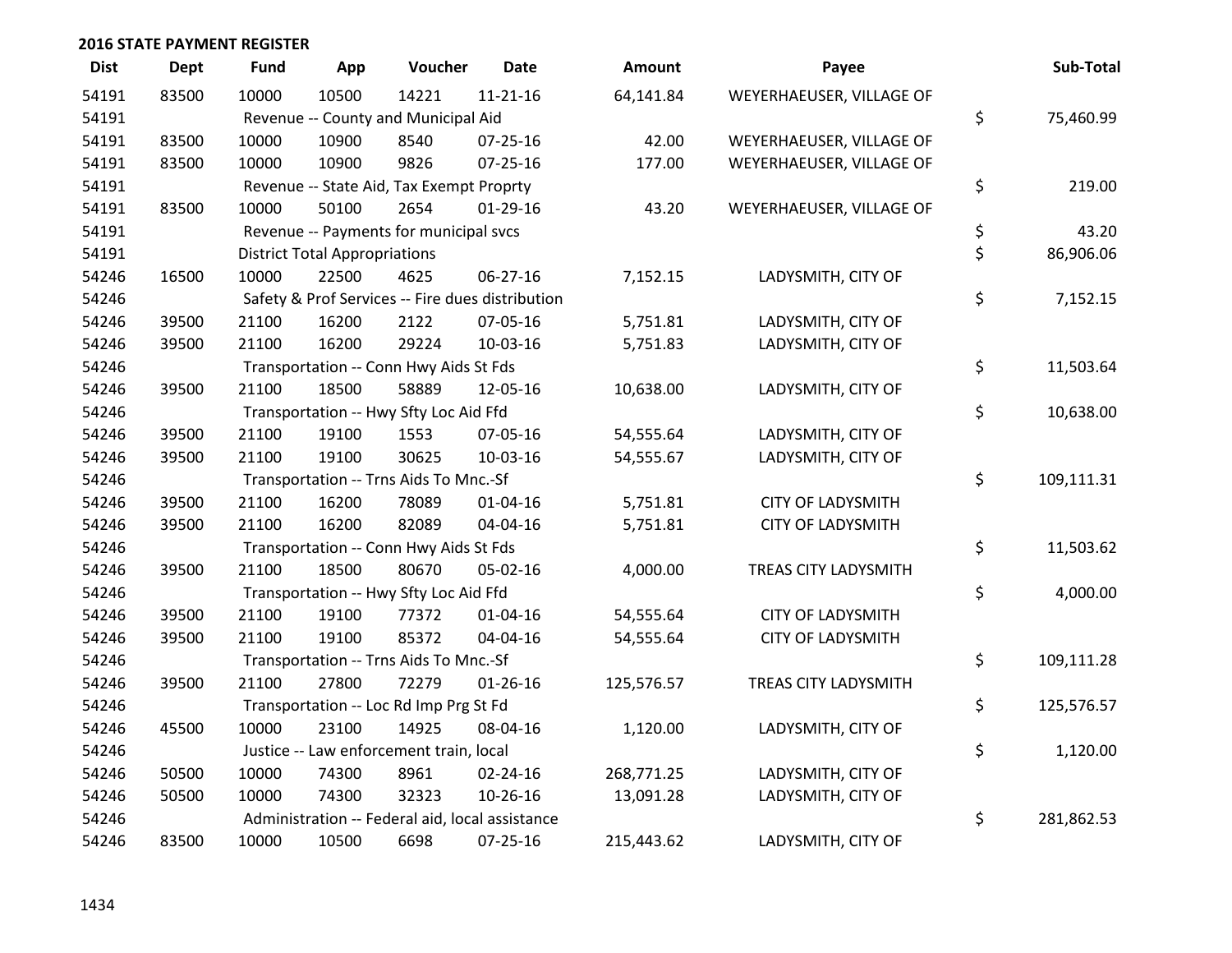| <b>Dist</b> | <b>Dept</b> | <b>Fund</b>                                           | App                                       | Voucher                                  | <b>Date</b>                                      | <b>Amount</b> | Payee                    |    | Sub-Total  |
|-------------|-------------|-------------------------------------------------------|-------------------------------------------|------------------------------------------|--------------------------------------------------|---------------|--------------------------|----|------------|
| 54191       | 83500       | 10000                                                 | 10500                                     | 14221                                    | $11 - 21 - 16$                                   | 64,141.84     | WEYERHAEUSER, VILLAGE OF |    |            |
| 54191       |             |                                                       | \$<br>Revenue -- County and Municipal Aid |                                          |                                                  |               |                          |    | 75,460.99  |
| 54191       | 83500       | 10000                                                 | 10900                                     | 8540                                     | $07 - 25 - 16$                                   | 42.00         | WEYERHAEUSER, VILLAGE OF |    |            |
| 54191       | 83500       | 10000                                                 | 10900                                     | 9826                                     | $07 - 25 - 16$                                   | 177.00        | WEYERHAEUSER, VILLAGE OF |    |            |
| 54191       |             |                                                       |                                           | Revenue -- State Aid, Tax Exempt Proprty |                                                  |               |                          | \$ | 219.00     |
| 54191       | 83500       | 10000                                                 | 50100                                     | 2654                                     | $01-29-16$                                       | 43.20         | WEYERHAEUSER, VILLAGE OF |    |            |
| 54191       |             |                                                       | Revenue -- Payments for municipal svcs    |                                          |                                                  |               |                          |    | 43.20      |
| 54191       |             |                                                       | <b>District Total Appropriations</b>      |                                          |                                                  |               |                          | \$ | 86,906.06  |
| 54246       | 16500       | 10000                                                 | 22500                                     | 4625                                     | 06-27-16                                         | 7,152.15      | LADYSMITH, CITY OF       |    |            |
| 54246       |             |                                                       |                                           |                                          | Safety & Prof Services -- Fire dues distribution |               |                          | \$ | 7,152.15   |
| 54246       | 39500       | 21100                                                 | 16200                                     | 2122                                     | 07-05-16                                         | 5,751.81      | LADYSMITH, CITY OF       |    |            |
| 54246       | 39500       | 21100                                                 | 16200                                     | 29224                                    | 10-03-16                                         | 5,751.83      | LADYSMITH, CITY OF       |    |            |
| 54246       |             |                                                       |                                           | Transportation -- Conn Hwy Aids St Fds   |                                                  |               |                          | \$ | 11,503.64  |
| 54246       | 39500       | 21100                                                 | 18500                                     | 58889                                    | 12-05-16                                         | 10,638.00     | LADYSMITH, CITY OF       |    |            |
| 54246       |             |                                                       |                                           | Transportation -- Hwy Sfty Loc Aid Ffd   |                                                  |               |                          | \$ | 10,638.00  |
| 54246       | 39500       | 21100                                                 | 19100                                     | 1553                                     | 07-05-16                                         | 54,555.64     | LADYSMITH, CITY OF       |    |            |
| 54246       | 39500       | 21100                                                 | 19100                                     | 30625                                    | 10-03-16                                         | 54,555.67     | LADYSMITH, CITY OF       |    |            |
| 54246       |             |                                                       |                                           | Transportation -- Trns Aids To Mnc.-Sf   |                                                  |               |                          | \$ | 109,111.31 |
| 54246       | 39500       | 21100                                                 | 16200                                     | 78089                                    | $01 - 04 - 16$                                   | 5,751.81      | <b>CITY OF LADYSMITH</b> |    |            |
| 54246       | 39500       | 21100                                                 | 16200                                     | 82089                                    | 04-04-16                                         | 5,751.81      | <b>CITY OF LADYSMITH</b> |    |            |
| 54246       |             |                                                       |                                           | Transportation -- Conn Hwy Aids St Fds   |                                                  |               |                          | \$ | 11,503.62  |
| 54246       | 39500       | 21100                                                 | 18500                                     | 80670                                    | 05-02-16                                         | 4,000.00      | TREAS CITY LADYSMITH     | \$ |            |
| 54246       |             |                                                       | Transportation -- Hwy Sfty Loc Aid Ffd    |                                          |                                                  |               |                          |    | 4,000.00   |
| 54246       | 39500       | 21100                                                 | 19100                                     | 77372                                    | $01 - 04 - 16$                                   | 54,555.64     | <b>CITY OF LADYSMITH</b> |    |            |
| 54246       | 39500       | 21100                                                 | 19100                                     | 85372                                    | 04-04-16                                         | 54,555.64     | <b>CITY OF LADYSMITH</b> | \$ |            |
| 54246       |             |                                                       | Transportation -- Trns Aids To Mnc.-Sf    |                                          |                                                  |               |                          |    | 109,111.28 |
| 54246       | 39500       | 21100                                                 | 27800                                     | 72279                                    | $01 - 26 - 16$                                   | 125,576.57    | TREAS CITY LADYSMITH     |    |            |
| 54246       |             |                                                       |                                           | Transportation -- Loc Rd Imp Prg St Fd   |                                                  |               |                          | \$ | 125,576.57 |
| 54246       | 45500       | 10000                                                 | 23100                                     | 14925                                    | 08-04-16                                         | 1,120.00      | LADYSMITH, CITY OF       | \$ |            |
| 54246       |             |                                                       | Justice -- Law enforcement train, local   |                                          |                                                  |               |                          |    | 1,120.00   |
| 54246       | 50500       | 10000                                                 | 74300                                     | 8961                                     | 02-24-16                                         | 268,771.25    | LADYSMITH, CITY OF       |    |            |
| 54246       | 50500       | 10000                                                 | 74300                                     | 32323                                    | 10-26-16                                         | 13,091.28     | LADYSMITH, CITY OF       |    |            |
| 54246       |             | \$<br>Administration -- Federal aid, local assistance |                                           |                                          |                                                  |               |                          |    | 281,862.53 |
| 54246       | 83500       | 10000                                                 | 10500                                     | 6698                                     | 07-25-16                                         | 215,443.62    | LADYSMITH, CITY OF       |    |            |

| <b>Amount</b> | Payee                    | Sub-Total        |
|---------------|--------------------------|------------------|
| 1,141.84      | WEYERHAEUSER, VILLAGE OF |                  |
|               |                          | \$<br>75,460.99  |
| 42.00         | WEYERHAEUSER, VILLAGE OF |                  |
| 177.00        | WEYERHAEUSER, VILLAGE OF |                  |
|               |                          | \$<br>219.00     |
| 43.20         | WEYERHAEUSER, VILLAGE OF |                  |
|               |                          | \$<br>43.20      |
|               |                          | \$<br>86,906.06  |
| 152.15        | LADYSMITH, CITY OF       |                  |
|               |                          | \$<br>7,152.15   |
| 5,751.81      | LADYSMITH, CITY OF       |                  |
| 5,751.83      | LADYSMITH, CITY OF       |                  |
|               |                          | \$<br>11,503.64  |
| ,638.00       | LADYSMITH, CITY OF       | \$<br>10,638.00  |
| 1,555.64      | LADYSMITH, CITY OF       |                  |
| 1,555.67      | LADYSMITH, CITY OF       |                  |
|               |                          | \$<br>109,111.31 |
| 5,751.81      | <b>CITY OF LADYSMITH</b> |                  |
| 5,751.81      | <b>CITY OF LADYSMITH</b> |                  |
|               |                          | \$<br>11,503.62  |
| 1,000.00      | TREAS CITY LADYSMITH     |                  |
|               |                          | \$<br>4,000.00   |
| 1,555.64      | <b>CITY OF LADYSMITH</b> |                  |
| 1,555.64      | <b>CITY OF LADYSMITH</b> |                  |
|               |                          | \$<br>109,111.28 |
| 576.57        | TREAS CITY LADYSMITH     |                  |
|               |                          | \$<br>125,576.57 |
| 120.00        | LADYSMITH, CITY OF       |                  |
|               |                          | \$<br>1,120.00   |
| 3,771.25      | LADYSMITH, CITY OF       |                  |
| 3,091.28      | LADYSMITH, CITY OF       |                  |
|               |                          | \$<br>281,862.53 |
| 6,443.62      | LADYSMITH, CITY OF       |                  |